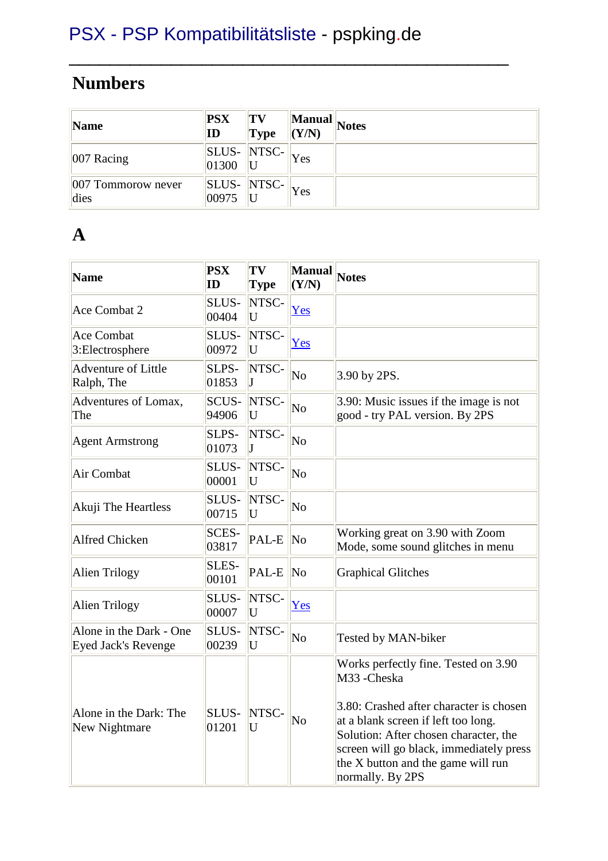#### **Numbers**

| Name                          | <b>PSX</b><br>ID | $ T_V $<br> Type                                         | (Y/N) | Manual Notes |
|-------------------------------|------------------|----------------------------------------------------------|-------|--------------|
| $ 007 \text{ Racing} $        | 01300            | $\parallel$ SLUS- $\parallel$ NTSC- $\parallel$          | Yes   |              |
| $ 007$ Tommorow never<br>dies | 00975            | $\ \overline{\text{SLUS-}}\ \text{NTSC-}\ _{\text{Yes}}$ |       |              |

\_\_\_\_\_\_\_\_\_\_\_\_\_\_\_\_\_\_\_\_\_\_\_\_\_\_\_\_\_\_\_\_\_\_\_\_\_\_\_\_\_\_\_

#### **A**

| <b>Name</b>                                           | <b>PSX</b><br>ID | TV<br><b>Type</b> | <b>Manual</b><br>(Y/N) | <b>Notes</b>                                                                                                                                                                                                                                                                       |
|-------------------------------------------------------|------------------|-------------------|------------------------|------------------------------------------------------------------------------------------------------------------------------------------------------------------------------------------------------------------------------------------------------------------------------------|
| Ace Combat 2                                          | SLUS-<br>00404   | NTSC-<br>U        | Yes                    |                                                                                                                                                                                                                                                                                    |
| <b>Ace Combat</b><br>3: Electrosphere                 | SLUS-<br>00972   | NTSC-<br>U        | Yes                    |                                                                                                                                                                                                                                                                                    |
| <b>Adventure of Little</b><br>Ralph, The              | SLPS-<br>01853   | NTSC-<br>J        | N <sub>o</sub>         | 3.90 by 2PS.                                                                                                                                                                                                                                                                       |
| Adventures of Lomax,<br>The                           | SCUS-<br>94906   | NTSC-<br>U        | $\overline{\text{No}}$ | 3.90: Music issues if the image is not<br>good - try PAL version. By 2PS                                                                                                                                                                                                           |
| <b>Agent Armstrong</b>                                | SLPS-<br>01073   | NTSC-<br>T        | N <sub>o</sub>         |                                                                                                                                                                                                                                                                                    |
| Air Combat                                            | SLUS-<br>00001   | NTSC-<br>U        | N <sub>o</sub>         |                                                                                                                                                                                                                                                                                    |
| Akuji The Heartless                                   | SLUS-<br>00715   | NTSC-<br>U        | $\overline{\text{No}}$ |                                                                                                                                                                                                                                                                                    |
| <b>Alfred Chicken</b>                                 | SCES-<br>03817   | PAL-E             | $\overline{\text{No}}$ | Working great on 3.90 with Zoom<br>Mode, some sound glitches in menu                                                                                                                                                                                                               |
| <b>Alien Trilogy</b>                                  | SLES-<br>00101   | PAL-E             | No                     | <b>Graphical Glitches</b>                                                                                                                                                                                                                                                          |
| <b>Alien Trilogy</b>                                  | SLUS-<br>00007   | NTSC-<br>U        | Yes                    |                                                                                                                                                                                                                                                                                    |
| Alone in the Dark - One<br><b>Eyed Jack's Revenge</b> | SLUS-<br>00239   | NTSC-<br>U        | N <sub>o</sub>         | Tested by MAN-biker                                                                                                                                                                                                                                                                |
| Alone in the Dark: The<br>New Nightmare               | SLUS-<br>01201   | NTSC-<br>U        | N <sub>0</sub>         | Works perfectly fine. Tested on 3.90<br>M33-Cheska<br>3.80: Crashed after character is chosen<br>at a blank screen if left too long.<br>Solution: After chosen character, the<br>screen will go black, immediately press<br>the X button and the game will run<br>normally. By 2PS |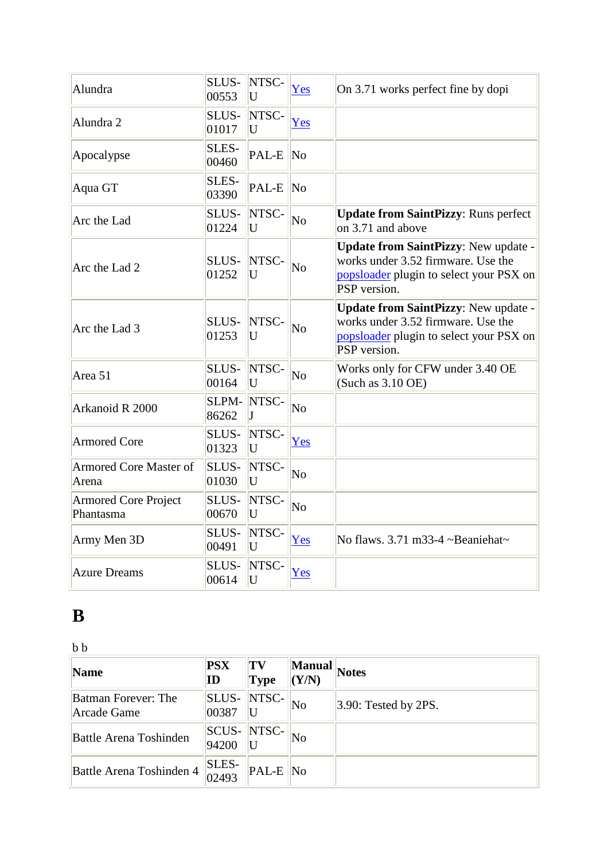| Alundra                                  | SLUS-<br>00553 | NTSC-<br>U | Yes                    | On 3.71 works perfect fine by dopi                                                                                                                  |
|------------------------------------------|----------------|------------|------------------------|-----------------------------------------------------------------------------------------------------------------------------------------------------|
| Alundra 2                                | SLUS-<br>01017 | NTSC-<br>U | Yes                    |                                                                                                                                                     |
| Apocalypse                               | SLES-<br>00460 | PAL-E No   |                        |                                                                                                                                                     |
| Aqua GT                                  | SLES-<br>03390 | PAL-E No   |                        |                                                                                                                                                     |
| Arc the Lad                              | SLUS-<br>01224 | NTSC-<br>U | $\overline{\text{No}}$ | <b>Update from SaintPizzy: Runs perfect</b><br>on $3.71$ and above                                                                                  |
| Arc the Lad 2                            | SLUS-<br>01252 | NTSC-<br>U | $\overline{\text{No}}$ | <b>Update from SaintPizzy: New update -</b><br>works under 3.52 firmware. Use the<br>popsloader plugin to select your PSX on<br><b>PSP</b> version. |
| Arc the Lad 3                            | SLUS-<br>01253 | NTSC-<br>U | N <sub>o</sub>         | <b>Update from SaintPizzy: New update -</b><br>works under 3.52 firmware. Use the<br>popsloader plugin to select your PSX on<br>PSP version.        |
| Area 51                                  | SLUS-<br>00164 | NTSC-<br>U | N <sub>o</sub>         | Works only for CFW under 3.40 OE<br>$(Such as 3.10$ OE)                                                                                             |
| Arkanoid R 2000                          | SLPM-<br>86262 | NTSC-      | No                     |                                                                                                                                                     |
| <b>Armored Core</b>                      | SLUS-<br>01323 | NTSC-<br>U | Yes                    |                                                                                                                                                     |
| <b>Armored Core Master of</b><br>Arena   | SLUS-<br>01030 | NTSC-<br>U | No                     |                                                                                                                                                     |
| <b>Armored Core Project</b><br>Phantasma | SLUS-<br>00670 | NTSC-<br>U | $\overline{\text{No}}$ |                                                                                                                                                     |
| Army Men 3D                              | SLUS-<br>00491 | NTSC-<br>U | Yes                    | No flaws. 3.71 m33-4 ~Beaniehat~                                                                                                                    |
| <b>Azure Dreams</b>                      | SLUS-<br>00614 | NTSC-<br>U | Yes                    |                                                                                                                                                     |

## **B**

 $\mathbf b$   $\mathbf b$ 

| Name                               | <b>PSX</b><br>$\mathbf{ID}$ | TV<br><b>Type</b> | <b>Manual</b><br>(Y/N) | <b>Notes</b>            |
|------------------------------------|-----------------------------|-------------------|------------------------|-------------------------|
| Batman Forever: The<br>Arcade Game | SLUS-<br>00387              | NTSC-             | No                     | $ 3.90:$ Tested by 2PS. |
| <b>Battle Arena Toshinden</b>      | <b>SCUS-</b><br>94200       | NTSC-             | No                     |                         |
| Battle Arena Toshinden 4           | <b>SLES-</b><br>02493       | PAL-E No          |                        |                         |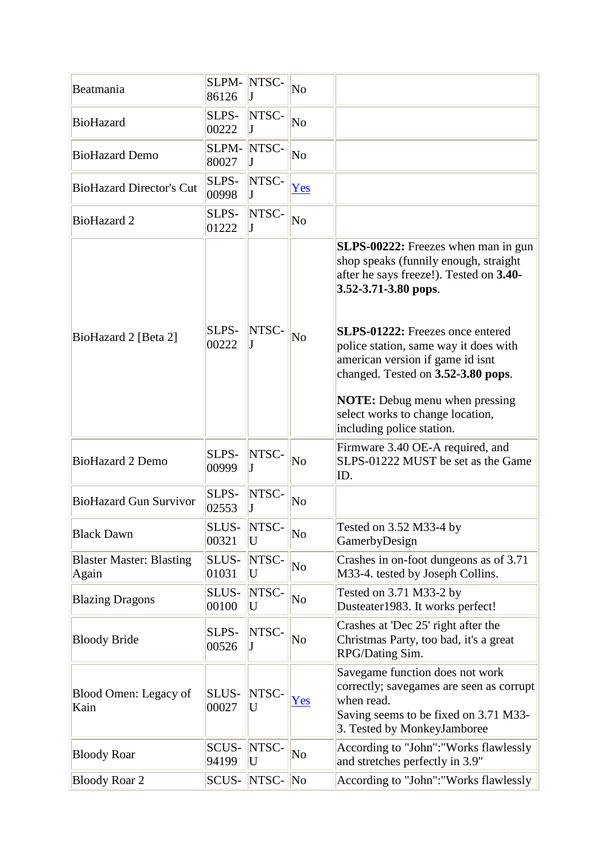| Beatmania                                | SLPM-<br>86126 | NTSC-            | $\overline{\text{No}}$ |                                                                                                                                                                                                                                                                                                                                                                                                                                      |
|------------------------------------------|----------------|------------------|------------------------|--------------------------------------------------------------------------------------------------------------------------------------------------------------------------------------------------------------------------------------------------------------------------------------------------------------------------------------------------------------------------------------------------------------------------------------|
| <b>BioHazard</b>                         | SLPS-<br>00222 | NTSC-            | $\overline{\text{No}}$ |                                                                                                                                                                                                                                                                                                                                                                                                                                      |
| <b>BioHazard Demo</b>                    | SLPM-<br>80027 | NTSC-            | No                     |                                                                                                                                                                                                                                                                                                                                                                                                                                      |
| <b>BioHazard Director's Cut</b>          | SLPS-<br>00998 | NTSC-            | Yes                    |                                                                                                                                                                                                                                                                                                                                                                                                                                      |
| <b>BioHazard 2</b>                       | SLPS-<br>01222 | NTSC-            | No                     |                                                                                                                                                                                                                                                                                                                                                                                                                                      |
| BioHazard 2 [Beta 2]                     | SLPS-<br>00222 | NTSC-            | No                     | <b>SLPS-00222:</b> Freezes when man in gun<br>shop speaks (funnily enough, straight<br>after he says freeze!). Tested on 3.40-<br>$3.52 - 3.71 - 3.80$ pops.<br><b>SLPS-01222:</b> Freezes once entered<br>police station, same way it does with<br>american version if game id isnt<br>changed. Tested on 3.52-3.80 pops.<br><b>NOTE:</b> Debug menu when pressing<br>select works to change location,<br>including police station. |
| <b>BioHazard 2 Demo</b>                  | SLPS-<br>00999 | NTSC-            | No                     | Firmware 3.40 OE-A required, and<br>SLPS-01222 MUST be set as the Game<br>ID.                                                                                                                                                                                                                                                                                                                                                        |
| <b>BioHazard Gun Survivor</b>            | SLPS-<br>02553 | NTSC-            | $\overline{\text{No}}$ |                                                                                                                                                                                                                                                                                                                                                                                                                                      |
| <b>Black Dawn</b>                        | SLUS-<br>00321 | NTSC-<br>U       | No                     | Tested on 3.52 M33-4 by<br>GamerbyDesign                                                                                                                                                                                                                                                                                                                                                                                             |
| <b>Blaster Master: Blasting</b><br>Again | SLUS-<br>01031 | NTSC-<br>U       | No                     | Crashes in on-foot dungeons as of 3.71<br>M33-4. tested by Joseph Collins.                                                                                                                                                                                                                                                                                                                                                           |
| <b>Blazing Dragons</b>                   | SLUS-<br>00100 | NTSC-<br>U       | $\overline{\text{No}}$ | Tested on 3.71 M33-2 by<br>Dusteater1983. It works perfect!                                                                                                                                                                                                                                                                                                                                                                          |
| <b>Bloody Bride</b>                      | SLPS-<br>00526 | NTSC-            | No                     | Crashes at 'Dec 25' right after the<br>Christmas Party, too bad, it's a great<br>RPG/Dating Sim.                                                                                                                                                                                                                                                                                                                                     |
| Blood Omen: Legacy of<br>Kain            | SLUS-<br>00027 | NTSC-<br>U       | Yes                    | Savegame function does not work<br>correctly; savegames are seen as corrupt<br>when read.<br>Saving seems to be fixed on 3.71 M33-<br>3. Tested by MonkeyJamboree                                                                                                                                                                                                                                                                    |
| <b>Bloody Roar</b>                       | SCUS-<br>94199 | NTSC-<br>U       | No                     | According to "John": "Works flawlessly<br>and stretches perfectly in 3.9"                                                                                                                                                                                                                                                                                                                                                            |
| <b>Bloody Roar 2</b>                     |                | SCUS-  NTSC-  No |                        | According to "John": "Works flawlessly                                                                                                                                                                                                                                                                                                                                                                                               |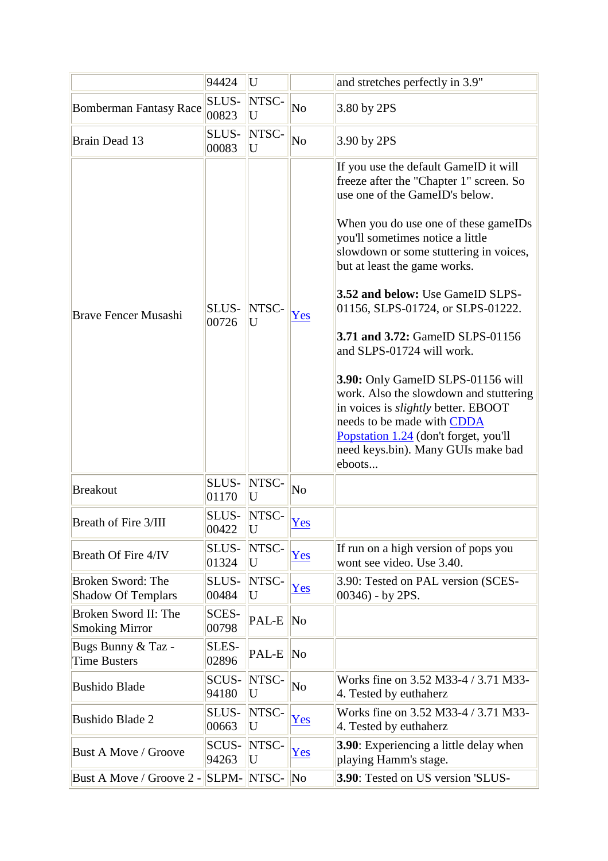|                                                       | 94424                 | U           |                        | and stretches perfectly in 3.9"                                                                                                                                                                                                                                                                                                                                                                                                                                                                                                                                                                                                                                               |
|-------------------------------------------------------|-----------------------|-------------|------------------------|-------------------------------------------------------------------------------------------------------------------------------------------------------------------------------------------------------------------------------------------------------------------------------------------------------------------------------------------------------------------------------------------------------------------------------------------------------------------------------------------------------------------------------------------------------------------------------------------------------------------------------------------------------------------------------|
| <b>Bomberman Fantasy Race</b>                         | SLUS-<br>00823        | NTSC-<br>U  | No                     | 3.80 by 2PS                                                                                                                                                                                                                                                                                                                                                                                                                                                                                                                                                                                                                                                                   |
| Brain Dead 13                                         | SLUS-<br>00083        | NTSC-<br>U  | $\overline{\text{No}}$ | 3.90 by 2PS                                                                                                                                                                                                                                                                                                                                                                                                                                                                                                                                                                                                                                                                   |
| <b>Brave Fencer Musashi</b>                           | SLUS-<br>00726        | NTSC-<br>U  | Yes                    | If you use the default GameID it will<br>freeze after the "Chapter 1" screen. So<br>use one of the GameID's below.<br>When you do use one of these gameIDs<br>you'll sometimes notice a little<br>slowdown or some stuttering in voices,<br>but at least the game works.<br>3.52 and below: Use GameID SLPS-<br>01156, SLPS-01724, or SLPS-01222.<br><b>3.71 and 3.72:</b> GameID SLPS-01156<br>and SLPS-01724 will work.<br>3.90: Only GameID SLPS-01156 will<br>work. Also the slowdown and stuttering<br>in voices is <i>slightly</i> better. EBOOT<br>needs to be made with CDDA<br>Popstation 1.24 (don't forget, you'll<br>need keys.bin). Many GUIs make bad<br>eboots |
| <b>Breakout</b>                                       | SLUS-<br>01170        | NTSC-<br>U  | No                     |                                                                                                                                                                                                                                                                                                                                                                                                                                                                                                                                                                                                                                                                               |
| Breath of Fire 3/III                                  | SLUS-<br>00422        | NTSC-<br> U | Yes                    |                                                                                                                                                                                                                                                                                                                                                                                                                                                                                                                                                                                                                                                                               |
| Breath Of Fire 4/IV                                   | SLUS-<br>01324        | NTSC-<br>U  | Yes                    | If run on a high version of pops you<br>wont see video. Use 3.40.                                                                                                                                                                                                                                                                                                                                                                                                                                                                                                                                                                                                             |
| <b>Broken Sword: The</b><br><b>Shadow Of Templars</b> | SLUS-<br>00484        | NTSC-<br>U  | Yes                    | 3.90: Tested on PAL version (SCES-<br>$(00346)$ - by 2PS.                                                                                                                                                                                                                                                                                                                                                                                                                                                                                                                                                                                                                     |
| Broken Sword II: The<br><b>Smoking Mirror</b>         | <b>SCES-</b><br>00798 | PAL-E       | $\overline{\text{No}}$ |                                                                                                                                                                                                                                                                                                                                                                                                                                                                                                                                                                                                                                                                               |
| Bugs Bunny & Taz -<br><b>Time Busters</b>             | SLES-<br>02896        | PAL-E       | $\overline{\text{No}}$ |                                                                                                                                                                                                                                                                                                                                                                                                                                                                                                                                                                                                                                                                               |
| <b>Bushido Blade</b>                                  | SCUS-<br>94180        | NTSC-<br>U  | No                     | Works fine on 3.52 M33-4 / 3.71 M33-<br>4. Tested by euthaherz                                                                                                                                                                                                                                                                                                                                                                                                                                                                                                                                                                                                                |
| <b>Bushido Blade 2</b>                                | SLUS-<br>00663        | NTSC-<br>U  | Yes                    | Works fine on 3.52 M33-4 / 3.71 M33-<br>4. Tested by euthaherz                                                                                                                                                                                                                                                                                                                                                                                                                                                                                                                                                                                                                |
| <b>Bust A Move / Groove</b>                           | SCUS-<br>94263        | NTSC-<br>U  | Yes                    | <b>3.90</b> : Experiencing a little delay when<br>playing Hamm's stage.                                                                                                                                                                                                                                                                                                                                                                                                                                                                                                                                                                                                       |
| Bust A Move / Groove 2 -                              | SLPM-                 | NTSC-       | $\overline{\text{No}}$ | 3.90: Tested on US version 'SLUS-                                                                                                                                                                                                                                                                                                                                                                                                                                                                                                                                                                                                                                             |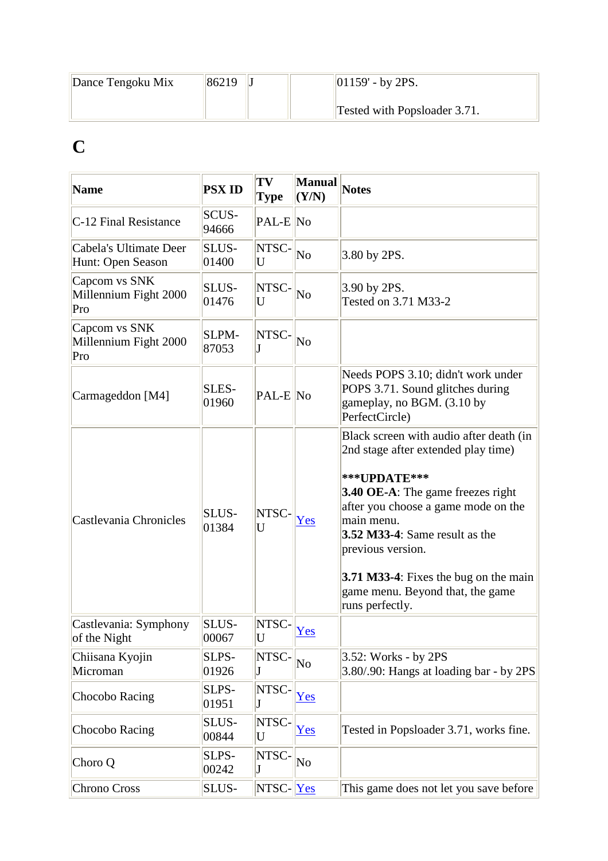| Dance Tengoku Mix | 86219 | $ 01159' - by 2PS.$          |
|-------------------|-------|------------------------------|
|                   |       | Tested with Popsloader 3.71. |

# **C**

| <b>Name</b>                                   | <b>PSX ID</b>         | TV<br><b>Type</b>              | <b>Manual</b><br>(Y/N) | <b>Notes</b>                                                                                                                                                                                                                                                                                                                                                  |
|-----------------------------------------------|-----------------------|--------------------------------|------------------------|---------------------------------------------------------------------------------------------------------------------------------------------------------------------------------------------------------------------------------------------------------------------------------------------------------------------------------------------------------------|
| C-12 Final Resistance                         | SCUS-<br>94666        | PAL-E No                       |                        |                                                                                                                                                                                                                                                                                                                                                               |
| Cabela's Ultimate Deer<br>Hunt: Open Season   | SLUS-<br>01400        | NTSC-<br>U                     | No                     | 3.80 by 2PS.                                                                                                                                                                                                                                                                                                                                                  |
| Capcom vs SNK<br>Millennium Fight 2000<br>Pro | <b>SLUS-</b><br>01476 | NTSC-<br>U                     | No                     | 3.90 by 2PS.<br>Tested on 3.71 M33-2                                                                                                                                                                                                                                                                                                                          |
| Capcom vs SNK<br>Millennium Fight 2000<br>Pro | <b>SLPM-</b><br>87053 | NTSC-<br>T                     | No                     |                                                                                                                                                                                                                                                                                                                                                               |
| Carmageddon [M4]                              | SLES-<br>01960        | $PAL-E No$                     |                        | Needs POPS 3.10; didn't work under<br>POPS 3.71. Sound glitches during<br>gameplay, no BGM. (3.10 by<br>PerfectCircle)                                                                                                                                                                                                                                        |
| Castlevania Chronicles                        | <b>SLUS-</b><br>01384 | NTSC-<br>U                     | Yes                    | Black screen with audio after death (in<br>2nd stage after extended play time)<br>***UPDATE***<br><b>3.40 OE-A:</b> The game freezes right<br>after you choose a game mode on the<br>main menu.<br><b>3.52 M33-4:</b> Same result as the<br>previous version.<br>3.71 M33-4: Fixes the bug on the main<br>game menu. Beyond that, the game<br>runs perfectly. |
| Castlevania: Symphony<br>of the Night         | SLUS-<br>00067        | NTSC-<br>$\overline{\text{U}}$ | Yes                    |                                                                                                                                                                                                                                                                                                                                                               |
| Chiisana Kyojin<br>Microman                   | SLPS-<br>01926        | NTSC-<br>J                     | $\overline{\text{No}}$ | 3.52: Works - by 2PS<br>3.80/.90: Hangs at loading bar - by 2PS                                                                                                                                                                                                                                                                                               |
| Chocobo Racing                                | SLPS-<br>01951        | NTSC-<br>J                     | Yes                    |                                                                                                                                                                                                                                                                                                                                                               |
| Chocobo Racing                                | SLUS-<br>00844        | NTSC-<br>U                     | Yes                    | Tested in Popsloader 3.71, works fine.                                                                                                                                                                                                                                                                                                                        |
| Choro Q                                       | SLPS-<br>00242        | NTSC-<br>J                     | $\overline{\text{No}}$ |                                                                                                                                                                                                                                                                                                                                                               |
| Chrono Cross                                  | SLUS-                 | $NTSC- Yes$                    |                        | This game does not let you save before                                                                                                                                                                                                                                                                                                                        |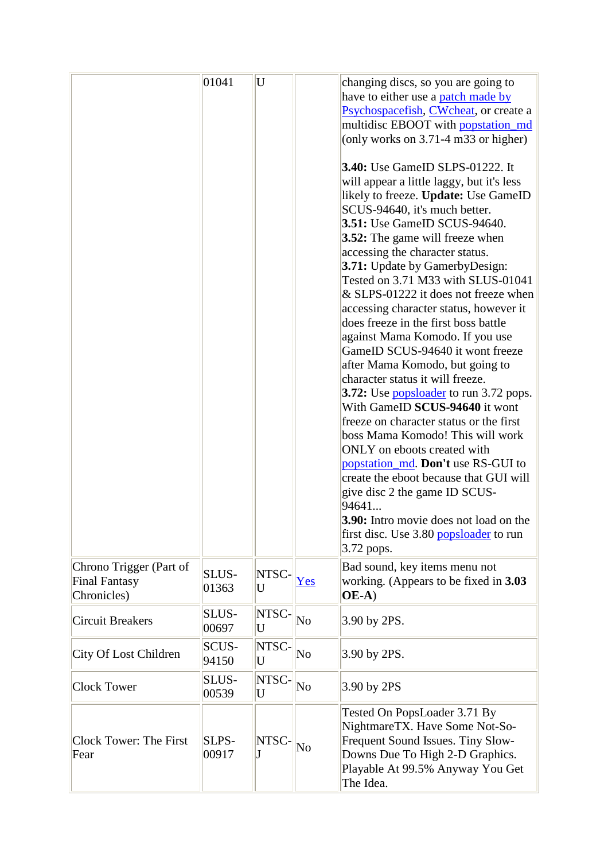|                                                                | 01041                 | U                       |     | changing discs, so you are going to<br>have to either use a patch made by<br>Psychospacefish, CWcheat, or create a<br>multidisc EBOOT with popstation md<br>(only works on $3.71 - 4$ m $33$ or higher)<br><b>3.40:</b> Use GameID SLPS-01222. It<br>will appear a little laggy, but it's less<br>likely to freeze. Update: Use GameID<br>SCUS-94640, it's much better.<br><b>3.51:</b> Use GameID SCUS-94640.<br><b>3.52:</b> The game will freeze when<br>accessing the character status.<br>3.71: Update by GamerbyDesign:<br>Tested on 3.71 M33 with SLUS-01041<br>& SLPS-01222 it does not freeze when<br>accessing character status, however it<br>does freeze in the first boss battle<br>against Mama Komodo. If you use<br>GameID SCUS-94640 it wont freeze<br>after Mama Komodo, but going to<br>character status it will freeze.<br>3.72: Use <b>popsloader</b> to run 3.72 pops.<br>With GameID SCUS-94640 it wont<br>freeze on character status or the first<br>boss Mama Komodo! This will work<br>ONLY on eboots created with<br>popstation_md. Don't use RS-GUI to<br>create the eboot because that GUI will<br>give disc 2 the game ID SCUS-<br>94641<br><b>3.90:</b> Intro movie does not load on the<br>first disc. Use 3.80 popsloader to run<br>3.72 pops. |
|----------------------------------------------------------------|-----------------------|-------------------------|-----|---------------------------------------------------------------------------------------------------------------------------------------------------------------------------------------------------------------------------------------------------------------------------------------------------------------------------------------------------------------------------------------------------------------------------------------------------------------------------------------------------------------------------------------------------------------------------------------------------------------------------------------------------------------------------------------------------------------------------------------------------------------------------------------------------------------------------------------------------------------------------------------------------------------------------------------------------------------------------------------------------------------------------------------------------------------------------------------------------------------------------------------------------------------------------------------------------------------------------------------------------------------------------------|
| Chrono Trigger (Part of<br><b>Final Fantasy</b><br>Chronicles) | SLUS-<br>01363        | NTSC-<br>U              | Yes | Bad sound, key items menu not<br>working. (Appears to be fixed in 3.03<br>$OE-A)$                                                                                                                                                                                                                                                                                                                                                                                                                                                                                                                                                                                                                                                                                                                                                                                                                                                                                                                                                                                                                                                                                                                                                                                               |
| <b>Circuit Breakers</b>                                        | SLUS-<br>00697        | NTSC-<br>$\overline{U}$ | No  | 3.90 by 2PS.                                                                                                                                                                                                                                                                                                                                                                                                                                                                                                                                                                                                                                                                                                                                                                                                                                                                                                                                                                                                                                                                                                                                                                                                                                                                    |
| City Of Lost Children                                          | <b>SCUS-</b><br>94150 | NTSC-<br>U              | No  | 3.90 by 2PS.                                                                                                                                                                                                                                                                                                                                                                                                                                                                                                                                                                                                                                                                                                                                                                                                                                                                                                                                                                                                                                                                                                                                                                                                                                                                    |
| <b>Clock Tower</b>                                             | <b>SLUS-</b><br>00539 | NTSC-<br>U              | No  | 3.90 by 2PS                                                                                                                                                                                                                                                                                                                                                                                                                                                                                                                                                                                                                                                                                                                                                                                                                                                                                                                                                                                                                                                                                                                                                                                                                                                                     |
| Clock Tower: The First<br>Fear                                 | SLPS-<br>00917        | <b>NTSC</b>             | No  | Tested On PopsLoader 3.71 By<br>NightmareTX. Have Some Not-So-<br>Frequent Sound Issues. Tiny Slow-<br>Downs Due To High 2-D Graphics.<br>Playable At 99.5% Anyway You Get<br>The Idea.                                                                                                                                                                                                                                                                                                                                                                                                                                                                                                                                                                                                                                                                                                                                                                                                                                                                                                                                                                                                                                                                                         |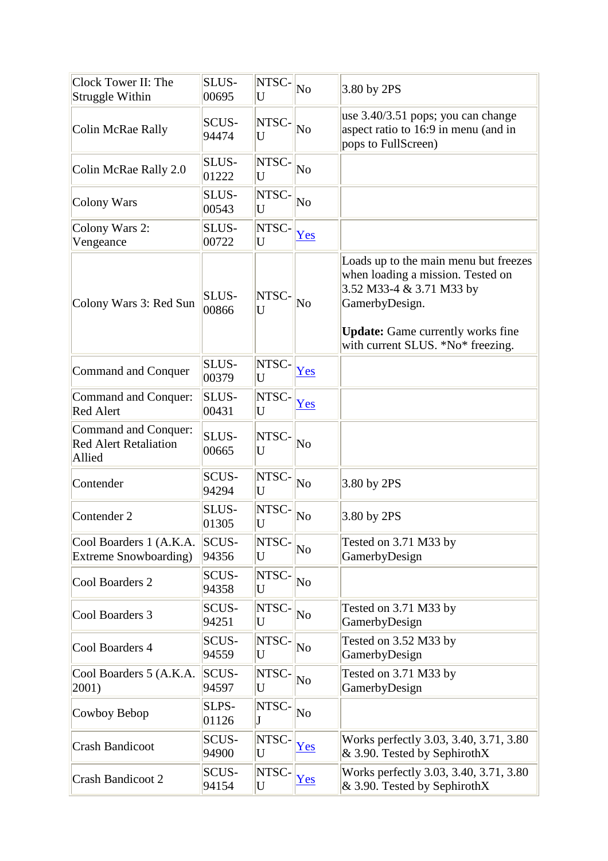| Clock Tower II: The<br>Struggle Within                         | SLUS-<br>00695        | NTSC-<br>U | N <sub>o</sub>         | 3.80 by 2PS                                                                                                                                                                                               |
|----------------------------------------------------------------|-----------------------|------------|------------------------|-----------------------------------------------------------------------------------------------------------------------------------------------------------------------------------------------------------|
| Colin McRae Rally                                              | <b>SCUS-</b><br>94474 | NTSC-<br>U | No                     | use 3.40/3.51 pops; you can change<br>aspect ratio to 16:9 in menu (and in<br>pops to FullScreen)                                                                                                         |
| Colin McRae Rally 2.0                                          | <b>SLUS-</b><br>01222 | NTSC-<br>U | No                     |                                                                                                                                                                                                           |
| Colony Wars                                                    | SLUS-<br>00543        | NTSC-<br>U | No                     |                                                                                                                                                                                                           |
| Colony Wars 2:<br>Vengeance                                    | <b>SLUS-</b><br>00722 | NTSC-<br>U | Yes                    |                                                                                                                                                                                                           |
| Colony Wars 3: Red Sun                                         | <b>SLUS-</b><br>00866 | NTSC-<br>U | N <sub>0</sub>         | Loads up to the main menu but freezes<br>when loading a mission. Tested on<br>3.52 M33-4 & 3.71 M33 by<br>GamerbyDesign.<br><b>Update:</b> Game currently works fine<br>with current SLUS. *No* freezing. |
| Command and Conquer                                            | <b>SLUS-</b><br>00379 | NTSC-<br>U | Yes                    |                                                                                                                                                                                                           |
| Command and Conquer:<br>Red Alert                              | <b>SLUS-</b><br>00431 | NTSC-<br>U | Yes                    |                                                                                                                                                                                                           |
| Command and Conquer:<br><b>Red Alert Retaliation</b><br>Allied | <b>SLUS-</b><br>00665 | NTSC-<br>U | No                     |                                                                                                                                                                                                           |
| Contender                                                      | <b>SCUS-</b><br>94294 | NTSC-<br>U | No                     | 3.80 by 2PS                                                                                                                                                                                               |
| Contender 2                                                    | <b>SLUS-</b><br>01305 | NTSC-<br>U | No                     | 3.80 by 2PS                                                                                                                                                                                               |
| Cool Boarders 1 (A.K.A.<br>Extreme Snowboarding)               | SCUS-<br>94356        | NTSC-<br>U | N <sub>o</sub>         | Tested on 3.71 M33 by<br>GamerbyDesign                                                                                                                                                                    |
| Cool Boarders 2                                                | <b>SCUS-</b><br>94358 | NTSC-<br>U | $\overline{\text{No}}$ |                                                                                                                                                                                                           |
| Cool Boarders 3                                                | <b>SCUS-</b><br>94251 | NTSC-<br>U | $\overline{\text{No}}$ | Tested on 3.71 M33 by<br>GamerbyDesign                                                                                                                                                                    |
| Cool Boarders 4                                                | <b>SCUS-</b><br>94559 | NTSC-<br>U | No                     | Tested on 3.52 M33 by<br>GamerbyDesign                                                                                                                                                                    |
| Cool Boarders 5 (A.K.A.<br>$ 2001\rangle$                      | <b>SCUS-</b><br>94597 | NTSC-<br>U | $\overline{\text{No}}$ | Tested on 3.71 M33 by<br>GamerbyDesign                                                                                                                                                                    |
| Cowboy Bebop                                                   | SLPS-<br>01126        | NTSC-<br>J | $\overline{\text{No}}$ |                                                                                                                                                                                                           |
| <b>Crash Bandicoot</b>                                         | <b>SCUS-</b><br>94900 | NTSC-<br>U | Yes                    | Works perfectly 3.03, 3.40, 3.71, 3.80<br>& 3.90. Tested by SephirothX                                                                                                                                    |
| <b>Crash Bandicoot 2</b>                                       | <b>SCUS-</b><br>94154 | NTSC-<br>U | Yes                    | Works perfectly 3.03, 3.40, 3.71, 3.80<br>& 3.90. Tested by SephirothX                                                                                                                                    |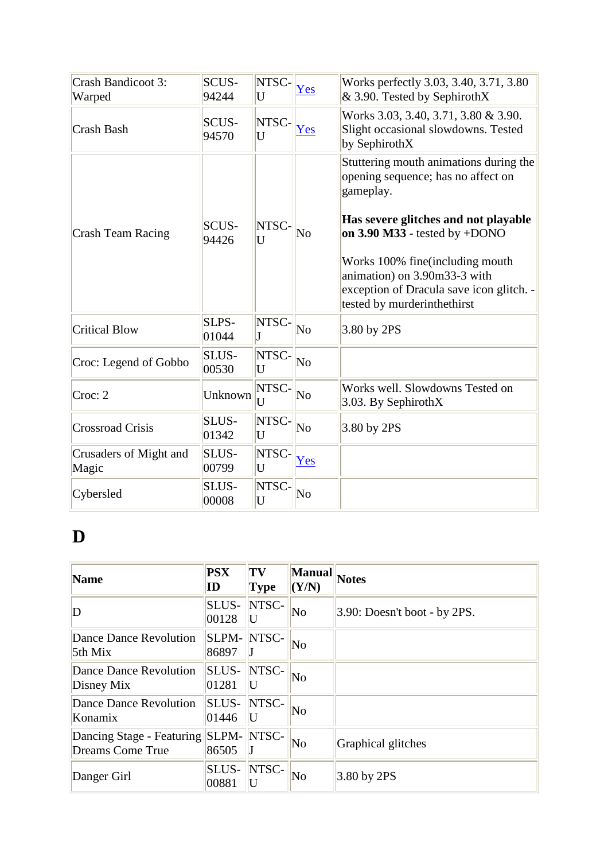| Crash Bandicoot 3:<br>Warped    | <b>SCUS-</b><br>94244 | NTSC-<br>U | Yes                    | Works perfectly 3.03, 3.40, 3.71, 3.80<br>$& 3.90$ . Tested by SephirothX                                                                                                                                                                                                                                              |
|---------------------------------|-----------------------|------------|------------------------|------------------------------------------------------------------------------------------------------------------------------------------------------------------------------------------------------------------------------------------------------------------------------------------------------------------------|
| Crash Bash                      | SCUS-<br>94570        | NTSC-<br>U | Yes                    | Works 3.03, 3.40, 3.71, 3.80 & 3.90.<br>Slight occasional slowdowns. Tested<br>by SephirothX                                                                                                                                                                                                                           |
| Crash Team Racing               | <b>SCUS-</b><br>94426 | NTSC-<br>U | $\overline{\text{No}}$ | Stuttering mouth animations during the<br>opening sequence; has no affect on<br>gameplay.<br>Has severe glitches and not playable<br>on $3.90$ M $33$ - tested by +DONO<br>Works 100% fine (including mouth<br>animation) on 3.90m33-3 with<br>exception of Dracula save icon glitch. -<br>tested by murderinthethirst |
| <b>Critical Blow</b>            | SLPS-<br>01044        | NTSC-      | $\overline{\text{No}}$ | 3.80 by 2PS                                                                                                                                                                                                                                                                                                            |
| Croc: Legend of Gobbo           | SLUS-<br>00530        | NTSC-<br>U | No                     |                                                                                                                                                                                                                                                                                                                        |
| Croc: 2                         | Unknown               | NTSC-<br>U | No                     | Works well. Slowdowns Tested on<br>3.03. By SephirothX                                                                                                                                                                                                                                                                 |
| <b>Crossroad Crisis</b>         | SLUS-<br>01342        | NTSC-<br>U | $\overline{\text{No}}$ | 3.80 by 2PS                                                                                                                                                                                                                                                                                                            |
| Crusaders of Might and<br>Magic | SLUS-<br>00799        | NTSC-<br>U | Yes                    |                                                                                                                                                                                                                                                                                                                        |
| Cybersled                       | SLUS-<br>00008        | NTSC-<br>U | No                     |                                                                                                                                                                                                                                                                                                                        |

#### **D**

| <b>Name</b>                                          | <b>PSX</b><br>ID      | TV<br><b>Type</b> | <b>Manual</b><br>(Y/N) | <b>Notes</b>                    |
|------------------------------------------------------|-----------------------|-------------------|------------------------|---------------------------------|
| D                                                    | SLUS-<br>00128        | NTSC-<br>U        | $\overline{\text{No}}$ | $3.90$ : Doesn't boot - by 2PS. |
| Dance Dance Revolution<br>5th Mix                    | SLPM-<br>86897        | NTSC-             | $\overline{\text{No}}$ |                                 |
| Dance Dance Revolution<br>Disney Mix                 | SLUS-<br>01281        | NTSC-<br>U        | No                     |                                 |
| Dance Dance Revolution<br>Konamix                    | <b>SLUS-</b><br>01446 | NTSC-             | $\overline{\text{No}}$ |                                 |
| Dancing Stage - Featuring<br><b>Dreams Come True</b> | <b>SLPM-</b><br>86505 | NTSC-             | $\overline{\text{No}}$ | Graphical glitches              |
| Danger Girl                                          | SLUS-<br>00881        | NTSC-<br>U        | $\overline{\text{No}}$ | $3.80$ by 2PS                   |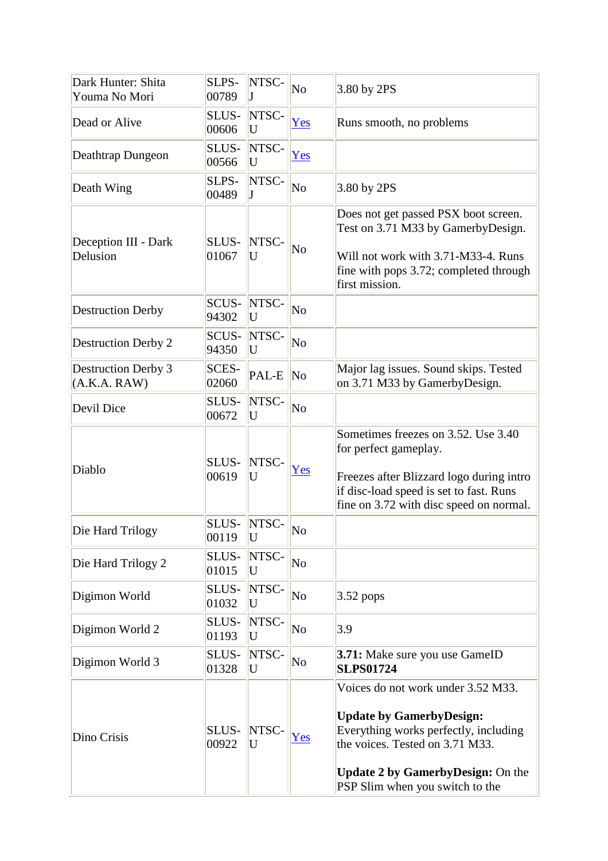| Dark Hunter: Shita<br>Youma No Mori        | SLPS-<br>00789 | NTSC-      | No                     | 3.80 by 2PS                                                                                                                                                                                                                      |
|--------------------------------------------|----------------|------------|------------------------|----------------------------------------------------------------------------------------------------------------------------------------------------------------------------------------------------------------------------------|
| Dead or Alive                              | SLUS-<br>00606 | NTSC-<br>U | Yes                    | Runs smooth, no problems                                                                                                                                                                                                         |
| Deathtrap Dungeon                          | SLUS-<br>00566 | NTSC-<br>U | Yes                    |                                                                                                                                                                                                                                  |
| Death Wing                                 | SLPS-<br>00489 | NTSC-      | No                     | 3.80 by 2PS                                                                                                                                                                                                                      |
| Deception III - Dark<br>Delusion           | SLUS-<br>01067 | NTSC-<br>U | No                     | Does not get passed PSX boot screen.<br>Test on 3.71 M33 by GamerbyDesign.<br>Will not work with 3.71-M33-4. Runs<br>fine with pops 3.72; completed through<br>first mission.                                                    |
| <b>Destruction Derby</b>                   | SCUS-<br>94302 | NTSC-<br>U | No                     |                                                                                                                                                                                                                                  |
| <b>Destruction Derby 2</b>                 | SCUS-<br>94350 | NTSC-<br>U | No                     |                                                                                                                                                                                                                                  |
| <b>Destruction Derby 3</b><br>(A.K.A. RAW) | SCES-<br>02060 | PAL-E      | $\overline{\text{No}}$ | Major lag issues. Sound skips. Tested<br>on 3.71 M33 by GamerbyDesign.                                                                                                                                                           |
| Devil Dice                                 | SLUS-<br>00672 | NTSC-<br>U | No                     |                                                                                                                                                                                                                                  |
| Diablo                                     | SLUS-<br>00619 | NTSC-<br>U | Yes                    | Sometimes freezes on 3.52. Use 3.40<br>for perfect gameplay.<br>Freezes after Blizzard logo during intro<br>if disc-load speed is set to fast. Runs<br>fine on 3.72 with disc speed on normal.                                   |
| Die Hard Trilogy                           | SLUS-<br>00119 | NTSC-<br>U | No                     |                                                                                                                                                                                                                                  |
| Die Hard Trilogy 2                         | SLUS-<br>01015 | NTSC-<br>U | No                     |                                                                                                                                                                                                                                  |
| Digimon World                              | SLUS-<br>01032 | NTSC-<br>U | No                     | $3.52$ pops                                                                                                                                                                                                                      |
| Digimon World 2                            | SLUS-<br>01193 | NTSC-<br>U | N <sub>o</sub>         | 3.9                                                                                                                                                                                                                              |
| Digimon World 3                            | SLUS-<br>01328 | NTSC-<br>U | No                     | 3.71: Make sure you use GameID<br><b>SLPS01724</b>                                                                                                                                                                               |
| Dino Crisis                                | SLUS-<br>00922 | NTSC-<br>U | Yes                    | Voices do not work under 3.52 M33.<br><b>Update by GamerbyDesign:</b><br>Everything works perfectly, including<br>the voices. Tested on 3.71 M33.<br><b>Update 2 by GamerbyDesign: On the</b><br>PSP Slim when you switch to the |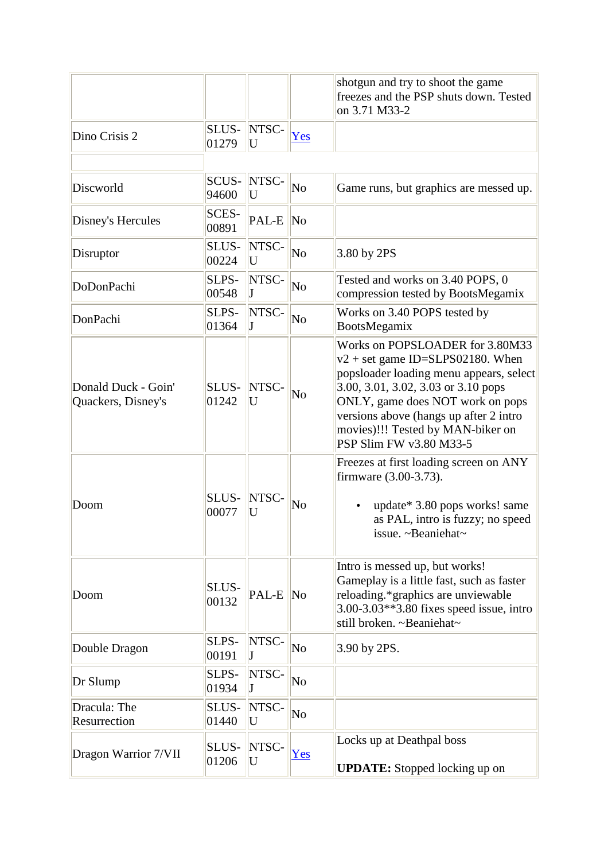|                                           |                       |            |                        | shotgun and try to shoot the game<br>freezes and the PSP shuts down. Tested<br>on 3.71 M33-2                                                                                                                                                                                                          |
|-------------------------------------------|-----------------------|------------|------------------------|-------------------------------------------------------------------------------------------------------------------------------------------------------------------------------------------------------------------------------------------------------------------------------------------------------|
| Dino Crisis 2                             | SLUS-<br>01279        | NTSC-<br>U | Yes                    |                                                                                                                                                                                                                                                                                                       |
| Discworld                                 | SCUS-<br>94600        | NTSC-<br>U | No                     | Game runs, but graphics are messed up.                                                                                                                                                                                                                                                                |
| Disney's Hercules                         | <b>SCES-</b><br>00891 | PAL-E      | No                     |                                                                                                                                                                                                                                                                                                       |
| Disruptor                                 | SLUS-<br>00224        | NTSC-<br>U | No                     | 3.80 by 2PS                                                                                                                                                                                                                                                                                           |
| <b>DoDonPachi</b>                         | SLPS-<br>00548        | NTSC-      | No                     | Tested and works on 3.40 POPS, 0<br>compression tested by BootsMegamix                                                                                                                                                                                                                                |
| DonPachi                                  | SLPS-<br>01364        | NTSC-<br>T | No                     | Works on 3.40 POPS tested by<br>BootsMegamix                                                                                                                                                                                                                                                          |
| Donald Duck - Goin'<br>Quackers, Disney's | SLUS-<br>01242        | NTSC-<br>U | No                     | Works on POPSLOADER for 3.80M33<br>$v2 + set$ game ID=SLPS02180. When<br>popsloader loading menu appears, select<br>3.00, 3.01, 3.02, 3.03 or 3.10 pops<br>ONLY, game does NOT work on pops<br>versions above (hangs up after 2 intro<br>movies)!!! Tested by MAN-biker on<br>PSP Slim FW v3.80 M33-5 |
| Doom                                      | SLUS-<br>00077        | NTSC-<br>U | No                     | Freezes at first loading screen on ANY<br>firmware (3.00-3.73).<br>update* 3.80 pops works! same<br>as PAL, intro is fuzzy; no speed<br>issue. $\sim$ Beaniehat $\sim$                                                                                                                                |
| Doom                                      | SLUS-<br>00132        | PAL-E      | $\overline{\text{No}}$ | Intro is messed up, but works!<br>Gameplay is a little fast, such as faster<br>reloading.*graphics are unviewable<br>3.00-3.03**3.80 fixes speed issue, intro<br>still broken. ~Beaniehat~                                                                                                            |
| Double Dragon                             | SLPS-<br>00191        | NTSC-      | $\overline{\text{No}}$ | 3.90 by 2PS.                                                                                                                                                                                                                                                                                          |
| Dr Slump                                  | SLPS-<br>01934        | NTSC-      | No                     |                                                                                                                                                                                                                                                                                                       |
| Dracula: The<br>Resurrection              | SLUS-<br>01440        | NTSC-<br>U | No                     |                                                                                                                                                                                                                                                                                                       |
| Dragon Warrior 7/VII                      | SLUS-<br>01206        | NTSC-<br>U | Yes                    | Locks up at Deathpal boss<br><b>UPDATE:</b> Stopped locking up on                                                                                                                                                                                                                                     |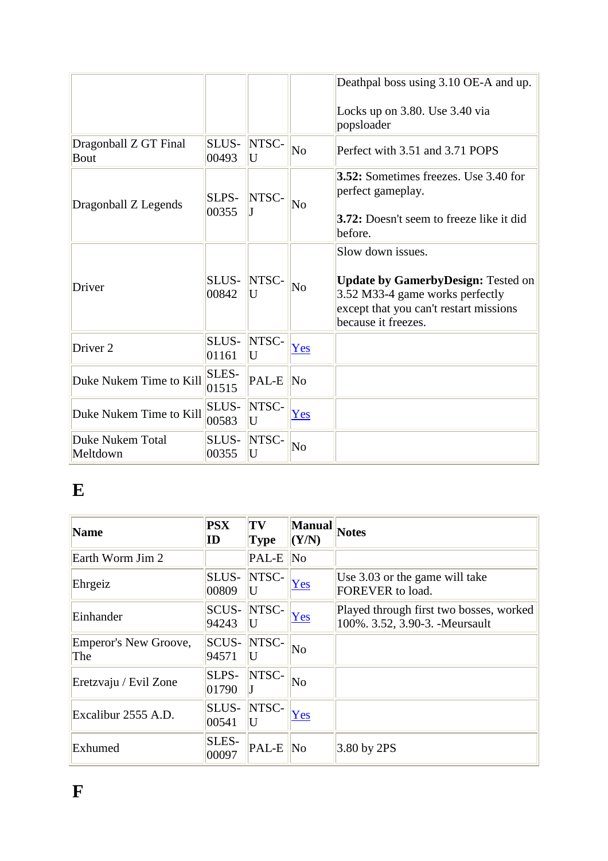|                              |                       |            |                        | Deathpal boss using 3.10 OE-A and up.                                                                                                                              |
|------------------------------|-----------------------|------------|------------------------|--------------------------------------------------------------------------------------------------------------------------------------------------------------------|
| Dragonball Z GT Final        | SLUS-                 | NTSC-      | $\overline{\text{No}}$ | Locks up on 3.80. Use 3.40 via<br>popsloader<br>Perfect with 3.51 and 3.71 POPS                                                                                    |
| <b>Bout</b>                  | 00493                 | U          |                        |                                                                                                                                                                    |
| Dragonball Z Legends         | SLPS-<br>00355        | NTSC-      | $\overline{\text{No}}$ | <b>3.52:</b> Sometimes freezes. Use 3.40 for<br>perfect gameplay.<br><b>3.72:</b> Doesn't seem to freeze like it did<br>before.                                    |
| Driver                       | SLUS-<br>00842        | NTSC-<br>U | No                     | Slow down issues.<br><b>Update by GamerbyDesign: Tested on</b><br>3.52 M33-4 game works perfectly<br>except that you can't restart missions<br>because it freezes. |
| Driver <sub>2</sub>          | SLUS-<br>01161        | NTSC-<br>U | Yes                    |                                                                                                                                                                    |
| Duke Nukem Time to Kill      | <b>SLES-</b><br>01515 | PAL-E      | N <sub>0</sub>         |                                                                                                                                                                    |
| Duke Nukem Time to Kill      | SLUS-<br>00583        | NTSC-<br>U | Yes                    |                                                                                                                                                                    |
| Duke Nukem Total<br>Meltdown | SLUS-<br>00355        | NTSC-<br>U | N <sub>o</sub>         |                                                                                                                                                                    |

## **E**

| <b>Name</b>                  | <b>PSX</b><br>ID      | TV<br><b>Type</b> | <b>Manual</b><br>(Y/N) | <b>Notes</b>                                                               |
|------------------------------|-----------------------|-------------------|------------------------|----------------------------------------------------------------------------|
| Earth Worm Jim 2             |                       | PAL-E             | N <sub>0</sub>         |                                                                            |
| Ehrgeiz                      | SLUS-<br>00809        | NTSC-<br>U        | Yes                    | Use 3.03 or the game will take<br>FOREVER to load.                         |
| Einhander                    | <b>SCUS-</b><br>94243 | NTSC-             | Yes                    | Played through first two bosses, worked<br>100%. 3.52, 3.90-3. - Meursault |
| Emperor's New Groove,<br>The | <b>SCUS-</b><br>94571 | NTSC-<br>U        | No                     |                                                                            |
| Eretzvaju / Evil Zone        | SLPS-<br>01790        | NTSC-             | No                     |                                                                            |
| Excalibur 2555 A.D.          | SLUS-<br>00541        | NTSC-             | Yes                    |                                                                            |
| Exhumed                      | SLES-<br>00097        | PAL-E             | $\ $ No                | 3.80 by 2PS                                                                |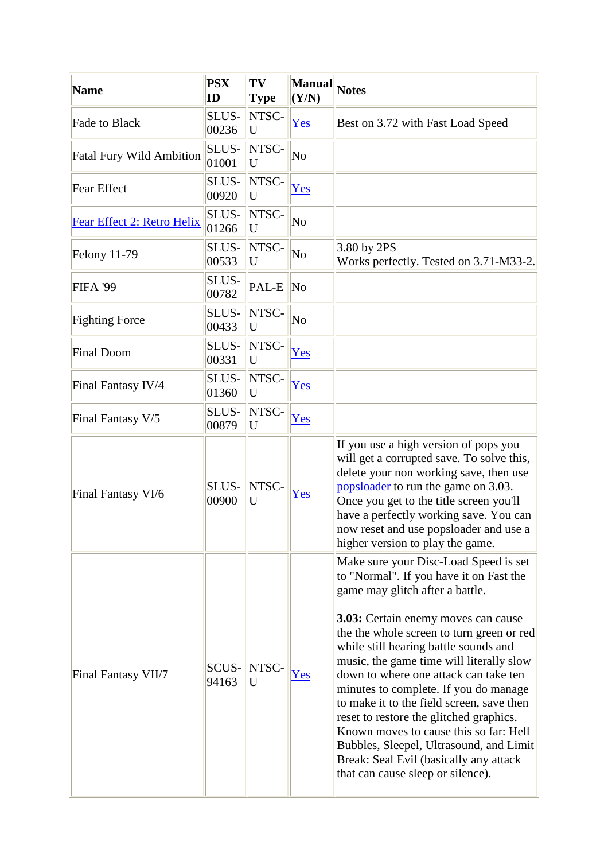| <b>Name</b>                     | <b>PSX</b><br>$\mathbf{ID}$ | TV<br><b>Type</b> | <b>Manual</b><br>(Y/N) | <b>Notes</b>                                                                                                                                                                                                                                                                                                                                                                                                                                                                                                                                                                                                                               |
|---------------------------------|-----------------------------|-------------------|------------------------|--------------------------------------------------------------------------------------------------------------------------------------------------------------------------------------------------------------------------------------------------------------------------------------------------------------------------------------------------------------------------------------------------------------------------------------------------------------------------------------------------------------------------------------------------------------------------------------------------------------------------------------------|
| Fade to Black                   | SLUS-<br>00236              | NTSC-<br>U        | <u>Yes</u>             | Best on 3.72 with Fast Load Speed                                                                                                                                                                                                                                                                                                                                                                                                                                                                                                                                                                                                          |
| <b>Fatal Fury Wild Ambition</b> | SLUS-<br>01001              | NTSC-<br>U        | No                     |                                                                                                                                                                                                                                                                                                                                                                                                                                                                                                                                                                                                                                            |
| Fear Effect                     | SLUS-<br>00920              | NTSC-<br>U        | Yes                    |                                                                                                                                                                                                                                                                                                                                                                                                                                                                                                                                                                                                                                            |
| Fear Effect 2: Retro Helix      | SLUS-<br>01266              | NTSC-<br>U        | $\overline{\text{No}}$ |                                                                                                                                                                                                                                                                                                                                                                                                                                                                                                                                                                                                                                            |
| <b>Felony 11-79</b>             | SLUS-<br>00533              | NTSC-<br>U        | No                     | 3.80 by 2PS<br>Works perfectly. Tested on 3.71-M33-2.                                                                                                                                                                                                                                                                                                                                                                                                                                                                                                                                                                                      |
| <b>FIFA '99</b>                 | SLUS-<br>00782              | PAL-E             | N <sub>0</sub>         |                                                                                                                                                                                                                                                                                                                                                                                                                                                                                                                                                                                                                                            |
| <b>Fighting Force</b>           | SLUS-<br>00433              | NTSC-<br>U        | $\overline{\text{No}}$ |                                                                                                                                                                                                                                                                                                                                                                                                                                                                                                                                                                                                                                            |
| Final Doom                      | SLUS-<br>00331              | NTSC-<br>U        | Yes                    |                                                                                                                                                                                                                                                                                                                                                                                                                                                                                                                                                                                                                                            |
| Final Fantasy IV/4              | SLUS-<br>01360              | NTSC-<br>U        | Yes                    |                                                                                                                                                                                                                                                                                                                                                                                                                                                                                                                                                                                                                                            |
| Final Fantasy V/5               | SLUS-<br>00879              | NTSC-<br>U        | Yes                    |                                                                                                                                                                                                                                                                                                                                                                                                                                                                                                                                                                                                                                            |
| Final Fantasy VI/6              | SLUS-<br>00900              | NTSC-<br>U        | Yes                    | If you use a high version of pops you<br>will get a corrupted save. To solve this,<br>delete your non working save, then use<br>popsloader to run the game on 3.03.<br>Once you get to the title screen you'll<br>have a perfectly working save. You can<br>now reset and use popsloader and use a<br>higher version to play the game.                                                                                                                                                                                                                                                                                                     |
| Final Fantasy VII/7             | <b>SCUS-</b><br>94163       | NTSC-<br>U        | Yes                    | Make sure your Disc-Load Speed is set<br>to "Normal". If you have it on Fast the<br>game may glitch after a battle.<br>3.03: Certain enemy moves can cause<br>the the whole screen to turn green or red<br>while still hearing battle sounds and<br>music, the game time will literally slow<br>down to where one attack can take ten<br>minutes to complete. If you do manage<br>to make it to the field screen, save then<br>reset to restore the glitched graphics.<br>Known moves to cause this so far: Hell<br>Bubbles, Sleepel, Ultrasound, and Limit<br>Break: Seal Evil (basically any attack<br>that can cause sleep or silence). |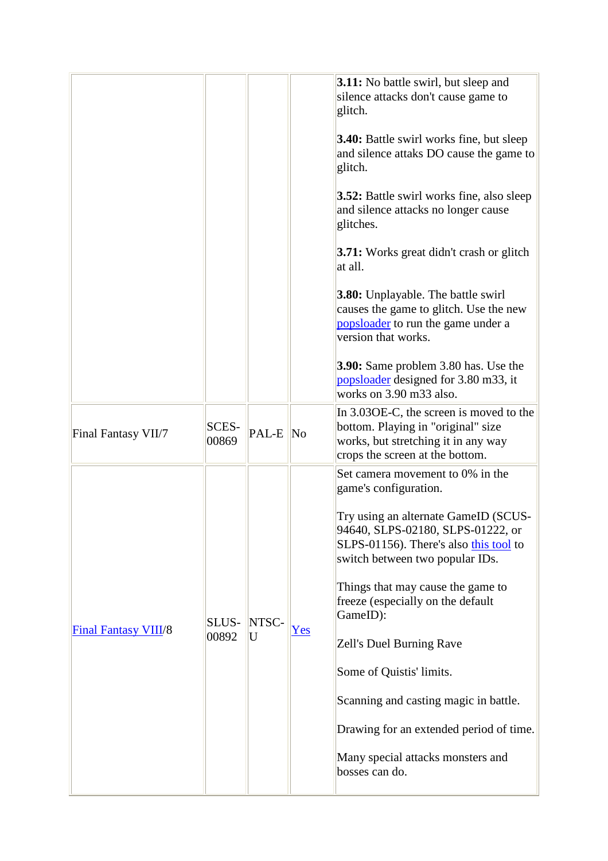|                             |                       |            |     | <b>3.11:</b> No battle swirl, but sleep and<br>silence attacks don't cause game to<br>glitch.<br><b>3.40:</b> Battle swirl works fine, but sleep<br>and silence attaks DO cause the game to<br>glitch.<br><b>3.52:</b> Battle swirl works fine, also sleep<br>and silence attacks no longer cause<br>glitches.<br>3.71: Works great didn't crash or glitch<br>at all.<br><b>3.80:</b> Unplayable. The battle swirl<br>causes the game to glitch. Use the new<br>popsloader to run the game under a<br>version that works.<br><b>3.90:</b> Same problem 3.80 has. Use the<br>popsloader designed for 3.80 m33, it<br>works on 3.90 m33 also. |
|-----------------------------|-----------------------|------------|-----|---------------------------------------------------------------------------------------------------------------------------------------------------------------------------------------------------------------------------------------------------------------------------------------------------------------------------------------------------------------------------------------------------------------------------------------------------------------------------------------------------------------------------------------------------------------------------------------------------------------------------------------------|
| Final Fantasy VII/7         | <b>SCES-</b><br>00869 | PAL-E No   |     | In 3.030E-C, the screen is moved to the<br>bottom. Playing in "original" size<br>works, but stretching it in any way<br>crops the screen at the bottom.                                                                                                                                                                                                                                                                                                                                                                                                                                                                                     |
| <b>Final Fantasy VIII/8</b> | SLUS-<br>00892        | NTSC-<br>U | Yes | Set camera movement to 0% in the<br>game's configuration.<br>Try using an alternate GameID (SCUS-<br>94640, SLPS-02180, SLPS-01222, or<br>SLPS-01156). There's also this tool to<br>switch between two popular IDs.<br>Things that may cause the game to<br>freeze (especially on the default<br>GameID):<br>Zell's Duel Burning Rave<br>Some of Quistis' limits.<br>Scanning and casting magic in battle.<br>Drawing for an extended period of time.<br>Many special attacks monsters and<br>bosses can do.                                                                                                                                |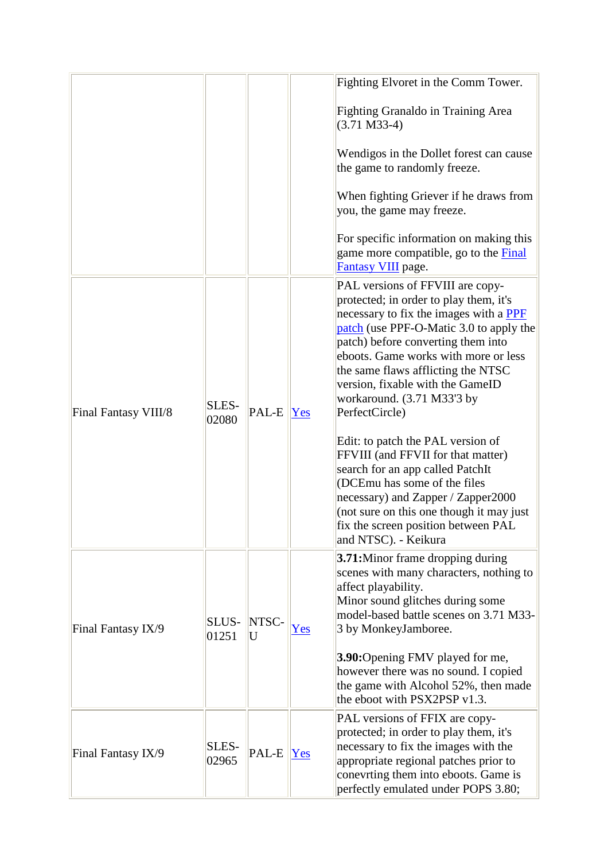|                      |                |            |                                                                                                                                                         | Fighting Elvoret in the Comm Tower.                                                                                                                                                                                                                                                                                                                                                                                                                                                    |
|----------------------|----------------|------------|---------------------------------------------------------------------------------------------------------------------------------------------------------|----------------------------------------------------------------------------------------------------------------------------------------------------------------------------------------------------------------------------------------------------------------------------------------------------------------------------------------------------------------------------------------------------------------------------------------------------------------------------------------|
|                      |                |            |                                                                                                                                                         | <b>Fighting Granaldo in Training Area</b><br>$(3.71 M33-4)$                                                                                                                                                                                                                                                                                                                                                                                                                            |
|                      |                |            |                                                                                                                                                         | Wendigos in the Dollet forest can cause<br>the game to randomly freeze.                                                                                                                                                                                                                                                                                                                                                                                                                |
|                      |                |            |                                                                                                                                                         | When fighting Griever if he draws from<br>you, the game may freeze.                                                                                                                                                                                                                                                                                                                                                                                                                    |
|                      |                |            |                                                                                                                                                         | For specific information on making this<br>game more compatible, go to the <b>Final</b><br>Fantasy VIII page.                                                                                                                                                                                                                                                                                                                                                                          |
| Final Fantasy VIII/8 | SLES-<br>02080 | PAL-E      | Yes                                                                                                                                                     | PAL versions of FFVIII are copy-<br>protected; in order to play them, it's<br>necessary to fix the images with a PPF<br>patch (use PPF-O-Matic 3.0 to apply the<br>patch) before converting them into<br>eboots. Game works with more or less<br>the same flaws afflicting the NTSC<br>version, fixable with the GameID<br>workaround. (3.71 M33'3 by<br>PerfectCircle)<br>Edit: to patch the PAL version of<br>FFVIII (and FFVII for that matter)<br>search for an app called PatchIt |
|                      |                |            |                                                                                                                                                         | (DCEmu has some of the files<br>necessary) and Zapper / Zapper2000<br>(not sure on this one though it may just<br>fix the screen position between PAL<br>and NTSC). - Keikura                                                                                                                                                                                                                                                                                                          |
| Final Fantasy IX/9   | SLUS-<br>01251 | NTSC-<br>U | Yes                                                                                                                                                     | 3.71: Minor frame dropping during<br>scenes with many characters, nothing to<br>affect playability.<br>Minor sound glitches during some<br>model-based battle scenes on 3.71 M33-<br>3 by MonkeyJamboree.                                                                                                                                                                                                                                                                              |
|                      |                |            | <b>3.90:</b> Opening FMV played for me,<br>however there was no sound. I copied<br>the game with Alcohol 52%, then made<br>the eboot with PSX2PSP v1.3. |                                                                                                                                                                                                                                                                                                                                                                                                                                                                                        |
| Final Fantasy IX/9   | SLES-<br>02965 | PAL-E      | Yes                                                                                                                                                     | PAL versions of FFIX are copy-<br>protected; in order to play them, it's<br>necessary to fix the images with the<br>appropriate regional patches prior to<br>conevrting them into eboots. Game is<br>perfectly emulated under POPS 3.80;                                                                                                                                                                                                                                               |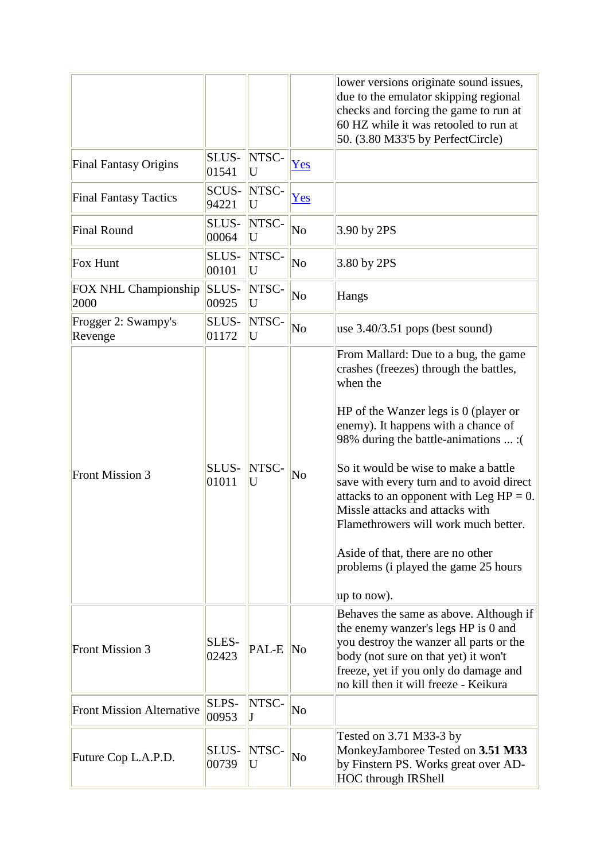|                                  |                |             |                        | lower versions originate sound issues,<br>due to the emulator skipping regional<br>checks and forcing the game to run at<br>60 HZ while it was retooled to run at<br>50. (3.80 M33'5 by PerfectCircle)                                                                                                                                                                                                                                                                                                                          |
|----------------------------------|----------------|-------------|------------------------|---------------------------------------------------------------------------------------------------------------------------------------------------------------------------------------------------------------------------------------------------------------------------------------------------------------------------------------------------------------------------------------------------------------------------------------------------------------------------------------------------------------------------------|
| <b>Final Fantasy Origins</b>     | SLUS-<br>01541 | NTSC-<br>U  | Yes                    |                                                                                                                                                                                                                                                                                                                                                                                                                                                                                                                                 |
| <b>Final Fantasy Tactics</b>     | SCUS-<br>94221 | NTSC-<br>U  | Yes                    |                                                                                                                                                                                                                                                                                                                                                                                                                                                                                                                                 |
| <b>Final Round</b>               | SLUS-<br>00064 | NTSC-<br>U  | $\overline{\text{No}}$ | $3.90$ by 2PS                                                                                                                                                                                                                                                                                                                                                                                                                                                                                                                   |
| Fox Hunt                         | SLUS-<br>00101 | NTSC-<br>U  | $\overline{\text{No}}$ | 3.80 by 2PS                                                                                                                                                                                                                                                                                                                                                                                                                                                                                                                     |
| FOX NHL Championship<br>2000     | SLUS-<br>00925 | NTSC-<br>U  | No                     | Hangs                                                                                                                                                                                                                                                                                                                                                                                                                                                                                                                           |
| Frogger 2: Swampy's<br>Revenge   | SLUS-<br>01172 | NTSC-<br>U  | No                     | use $3.40/3.51$ pops (best sound)                                                                                                                                                                                                                                                                                                                                                                                                                                                                                               |
| <b>Front Mission 3</b>           | SLUS-<br>01011 | NTSC-<br>U  | No                     | From Mallard: Due to a bug, the game<br>crashes (freezes) through the battles,<br>when the<br>HP of the Wanzer legs is 0 (player or<br>enemy). It happens with a chance of<br>98% during the battle-animations  : (<br>So it would be wise to make a battle<br>save with every turn and to avoid direct<br>attacks to an opponent with Leg $HP = 0$ .<br>Missle attacks and attacks with<br>Flamethrowers will work much better.<br>Aside of that, there are no other<br>problems (i played the game 25 hours<br>$\mu$ to now). |
| <b>Front Mission 3</b>           | SLES-<br>02423 | PAL-E No    |                        | Behaves the same as above. Although if<br>the enemy wanzer's legs HP is 0 and<br>you destroy the wanzer all parts or the<br>body (not sure on that yet) it won't<br>freeze, yet if you only do damage and<br>no kill then it will freeze - Keikura                                                                                                                                                                                                                                                                              |
| <b>Front Mission Alternative</b> | SLPS-<br>00953 | NTSC-<br>IJ | No                     |                                                                                                                                                                                                                                                                                                                                                                                                                                                                                                                                 |
| Future Cop L.A.P.D.              | SLUS-<br>00739 | NTSC-<br>U  | $\overline{\text{No}}$ | Tested on 3.71 M33-3 by<br>MonkeyJamboree Tested on 3.51 M33<br>by Finstern PS. Works great over AD-<br>HOC through IRShell                                                                                                                                                                                                                                                                                                                                                                                                     |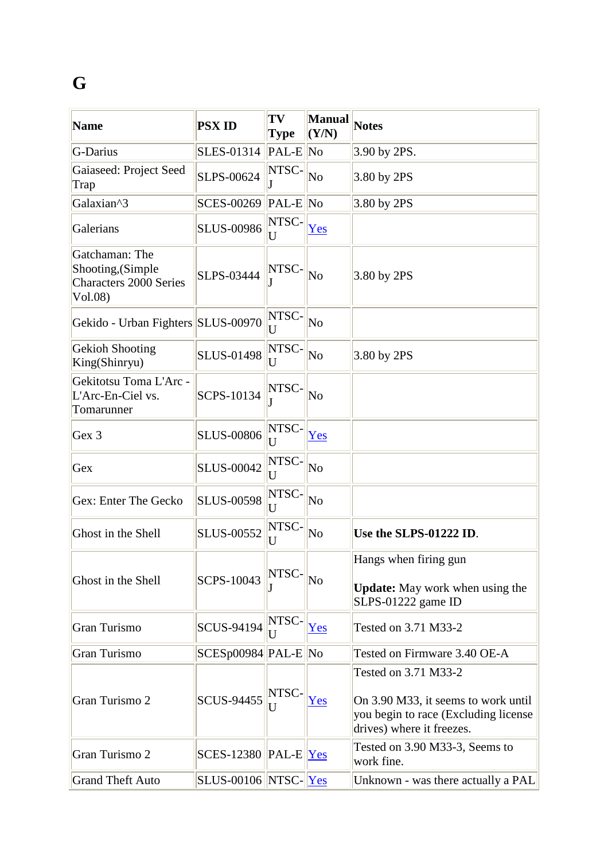## **G**

| <b>Name</b>                                                                     | <b>PSX ID</b>                          | TV<br>Type                                 | <b>Manual</b><br>(Y/N) | <b>Notes</b>                                                                                                                     |
|---------------------------------------------------------------------------------|----------------------------------------|--------------------------------------------|------------------------|----------------------------------------------------------------------------------------------------------------------------------|
| G-Darius                                                                        | SLES-01314                             | $ PAL-E $ No                               |                        | 3.90 by 2PS.                                                                                                                     |
| Gaiaseed: Project Seed<br>Trap                                                  | SLPS-00624                             | NTSC-                                      | No                     | 3.80 by 2PS                                                                                                                      |
| Galaxian^3                                                                      | <b>SCES-00269</b>                      | $ PAL-E $ No                               |                        | 3.80 by 2PS                                                                                                                      |
| Galerians                                                                       | <b>SLUS-00986</b>                      | NTSC-<br>$\overline{U}$                    | Yes                    |                                                                                                                                  |
| Gatchaman: The<br>Shooting, (Simple<br><b>Characters 2000 Series</b><br>Vol.08) | SLPS-03444                             | NTSC-                                      | No                     | 3.80 by 2PS                                                                                                                      |
| Gekido - Urban Fighters SLUS-00970                                              |                                        | NTSC-<br>U                                 | N <sub>0</sub>         |                                                                                                                                  |
| <b>Gekioh Shooting</b><br>King(Shinryu)                                         | <b>SLUS-01498</b>                      | NTSC-<br>U                                 | N <sub>0</sub>         | 3.80 by 2PS                                                                                                                      |
| Gekitotsu Toma L'Arc -<br>L'Arc-En-Ciel vs.<br>Tomarunner                       | <b>SCPS-10134</b>                      | NTSC-                                      | N <sub>0</sub>         |                                                                                                                                  |
| Gex 3                                                                           | <b>SLUS-00806</b>                      | NTSC-<br>U                                 | Yes                    |                                                                                                                                  |
| Gex                                                                             | <b>SLUS-00042</b>                      | NTSC-<br>U                                 | N <sub>0</sub>         |                                                                                                                                  |
| Gex: Enter The Gecko                                                            | <b>SLUS-00598</b>                      | NTSC-<br>U                                 | No                     |                                                                                                                                  |
| Ghost in the Shell                                                              | <b>SLUS-00552</b>                      | NTSC-<br>U                                 | N <sub>0</sub>         | Use the SLPS-01222 ID.                                                                                                           |
| Ghost in the Shell                                                              | <b>SCPS-10043</b>                      | $\bigl\ \text{NTSC-}\bigr\ _{\mathrm{No}}$ |                        | Hangs when firing gun<br><b>Update:</b> May work when using the<br>SLPS-01222 game ID                                            |
| Gran Turismo                                                                    | <b>SCUS-94194</b>                      | NTSC-<br>U                                 | Yes                    | Tested on 3.71 M33-2                                                                                                             |
| Gran Turismo                                                                    | $SCESp00984$ PAL-E No                  |                                            |                        | Tested on Firmware 3.40 OE-A                                                                                                     |
| Gran Turismo 2                                                                  | SCUS-94455                             | NTSC-<br>IJ                                | Yes                    | Tested on 3.71 M33-2<br>On 3.90 M33, it seems to work until<br>you begin to race (Excluding license<br>drives) where it freezes. |
| Gran Turismo 2                                                                  | $SCES-12380$ PAL-E Yes                 |                                            |                        | Tested on 3.90 M33-3, Seems to<br>work fine.                                                                                     |
| <b>Grand Theft Auto</b>                                                         | $\text{SLUS-00106}$ NTSC- $\text{Yes}$ |                                            |                        | Unknown - was there actually a PAL                                                                                               |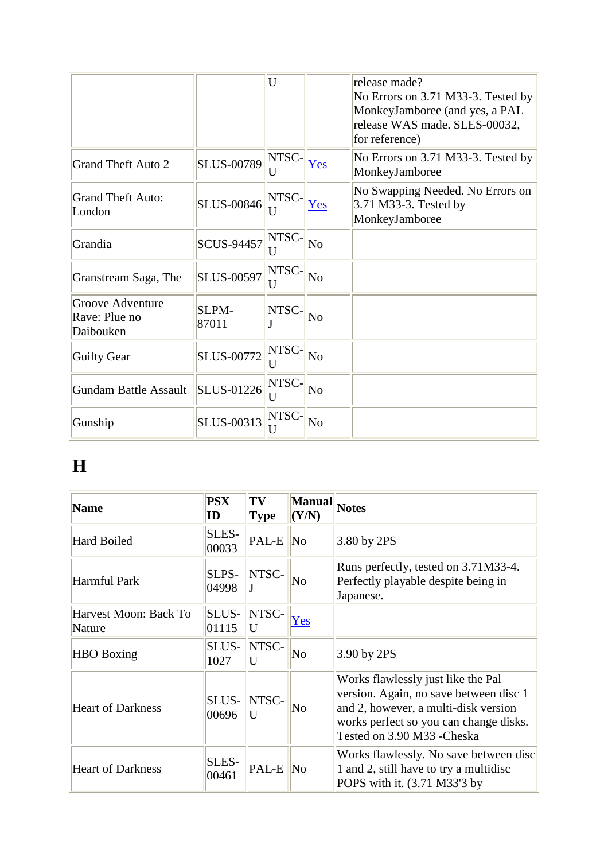|                                                |                   | U          |                        | release made?<br>No Errors on 3.71 M33-3. Tested by<br>MonkeyJamboree (and yes, a PAL<br>release WAS made. SLES-00032,<br>for reference) |
|------------------------------------------------|-------------------|------------|------------------------|------------------------------------------------------------------------------------------------------------------------------------------|
| <b>Grand Theft Auto 2</b>                      | <b>SLUS-00789</b> | NTSC-<br>U | Yes                    | No Errors on 3.71 M33-3. Tested by<br>MonkeyJamboree                                                                                     |
| <b>Grand Theft Auto:</b><br>London             | <b>SLUS-00846</b> | NTSC-<br>U | Yes                    | No Swapping Needed. No Errors on<br>3.71 M33-3. Tested by<br>MonkeyJamboree                                                              |
| Grandia                                        | <b>SCUS-94457</b> | NTSC-<br>U | No                     |                                                                                                                                          |
| Granstream Saga, The                           | <b>SLUS-00597</b> | NTSC-<br>U | N <sub>o</sub>         |                                                                                                                                          |
| Groove Adventure<br>Rave: Plue no<br>Daibouken | SLPM-<br>87011    | NTSC-      | No                     |                                                                                                                                          |
| <b>Guilty Gear</b>                             | <b>SLUS-00772</b> | NTSC-<br>U | $\overline{\text{No}}$ |                                                                                                                                          |
| <b>Gundam Battle Assault</b>                   | <b>SLUS-01226</b> | NTSC-<br>U | No                     |                                                                                                                                          |
| Gunship                                        | SLUS-00313        | NTSC-<br>U | N <sub>0</sub>         |                                                                                                                                          |

## **H**

| <b>Name</b>                     | <b>PSX</b><br>ID | TV<br><b>Type</b> | <b>Manual</b><br>(Y/N) | <b>Notes</b>                                                                                                                                                                                 |
|---------------------------------|------------------|-------------------|------------------------|----------------------------------------------------------------------------------------------------------------------------------------------------------------------------------------------|
| Hard Boiled                     | SLES-<br>00033   | PAL-E             | N <sub>0</sub>         | 3.80 by 2PS                                                                                                                                                                                  |
| Harmful Park                    | SLPS-<br>04998   | NTSC-             | No                     | Runs perfectly, tested on 3.71M33-4.<br>Perfectly playable despite being in<br>Japanese.                                                                                                     |
| Harvest Moon: Back To<br>Nature | SLUS-<br>01115   | NTSC-<br>U        | Yes                    |                                                                                                                                                                                              |
| <b>HBO</b> Boxing               | SLUS-<br>1027    | NTSC-<br>U        | No                     | 3.90 by 2PS                                                                                                                                                                                  |
| <b>Heart of Darkness</b>        | SLUS-<br>00696   | NTSC-             | No                     | Works flawlessly just like the Pal<br>version. Again, no save between disc 1<br>and 2, however, a multi-disk version<br>works perfect so you can change disks.<br>Tested on 3.90 M33 -Cheska |
| <b>Heart of Darkness</b>        | SLES-<br>00461   | PAL-E             | N <sub>0</sub>         | Works flawlessly. No save between disc<br>1 and 2, still have to try a multidisc<br>POPS with it. (3.71 M33'3 by                                                                             |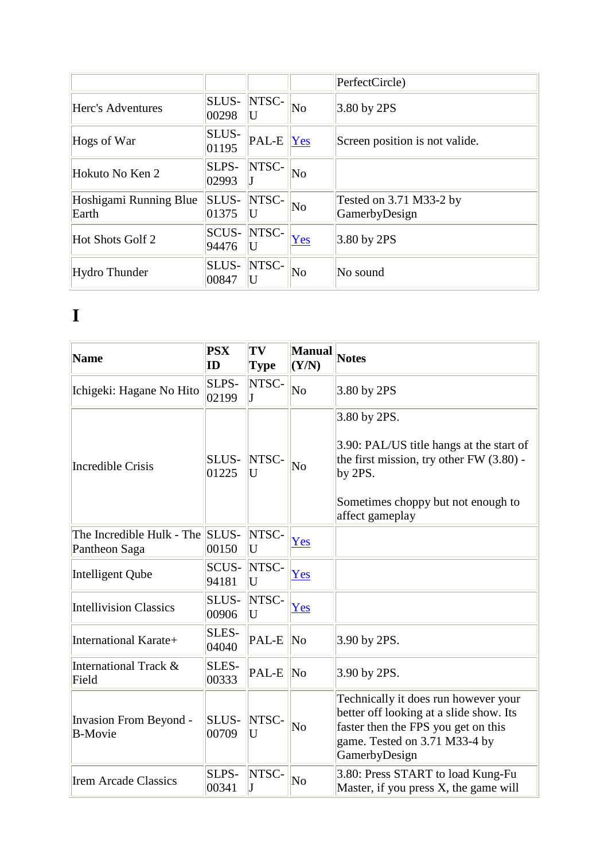|                                 |                       |                                     |                        | PerfectCircle)                                |
|---------------------------------|-----------------------|-------------------------------------|------------------------|-----------------------------------------------|
| Herc's Adventures               | SLUS-<br>00298        | NTSC-<br>U                          | $\overline{\text{No}}$ | $3.80$ by 2PS                                 |
| Hogs of War                     | SLUS-<br>01195        | $\overline{PAL-E}$ $\overline{Yes}$ |                        | Screen position is not valide.                |
| Hokuto No Ken 2                 | <b>SLPS-</b><br>02993 | NTSC-                               | $\overline{\text{No}}$ |                                               |
| Hoshigami Running Blue<br>Earth | <b>SLUS-</b><br>01375 | NTSC-<br>U                          | $\overline{\text{No}}$ | Tested on $3.71$ M $33-2$ by<br>GamerbyDesign |
| Hot Shots Golf 2                | <b>SCUS-</b><br>94476 | NTSC-                               | Yes                    | $3.80$ by 2PS                                 |
| Hydro Thunder                   | <b>SLUS-</b><br>00847 | NTSC-                               | $\overline{\text{No}}$ | No sound                                      |

#### **I**

| <b>Name</b>                                      | <b>PSX</b><br>ID | TV<br><b>Type</b> | Manual<br>(Y/N)        | <b>Notes</b>                                                                                                                                                              |
|--------------------------------------------------|------------------|-------------------|------------------------|---------------------------------------------------------------------------------------------------------------------------------------------------------------------------|
| Ichigeki: Hagane No Hito                         | SLPS-<br>02199   | NTSC-             | $\overline{\text{No}}$ | 3.80 by 2PS                                                                                                                                                               |
| <b>Incredible Crisis</b>                         | SLUS-<br>01225   | NTSC-<br>U        | N <sub>o</sub>         | 3.80 by 2PS.<br>3.90: PAL/US title hangs at the start of<br>the first mission, try other $FW(3.80)$ -<br>by 2PS.<br>Sometimes choppy but not enough to<br>affect gameplay |
| The Incredible Hulk - The SLUS-<br>Pantheon Saga | 00150            | NTSC-<br>U        | Yes                    |                                                                                                                                                                           |
| Intelligent Qube                                 | SCUS-<br>94181   | NTSC-<br>U        | Yes                    |                                                                                                                                                                           |
| <b>Intellivision Classics</b>                    | SLUS-<br>00906   | NTSC-<br>U        | Yes                    |                                                                                                                                                                           |
| International Karate+                            | SLES-<br>04040   | PAL-E             | $\overline{\text{No}}$ | 3.90 by 2PS.                                                                                                                                                              |
| International Track &<br>Field                   | SLES-<br>00333   | PAL-E             | N <sub>o</sub>         | 3.90 by 2PS.                                                                                                                                                              |
| <b>Invasion From Beyond -</b><br><b>B-Movie</b>  | SLUS-<br>00709   | NTSC-<br>U        | $\overline{\text{No}}$ | Technically it does run however your<br>better off looking at a slide show. Its<br>faster then the FPS you get on this<br>game. Tested on 3.71 M33-4 by<br>GamerbyDesign  |
| <b>Irem Arcade Classics</b>                      | SLPS-<br>00341   | NTSC-             | No                     | 3.80: Press START to load Kung-Fu<br>Master, if you press X, the game will                                                                                                |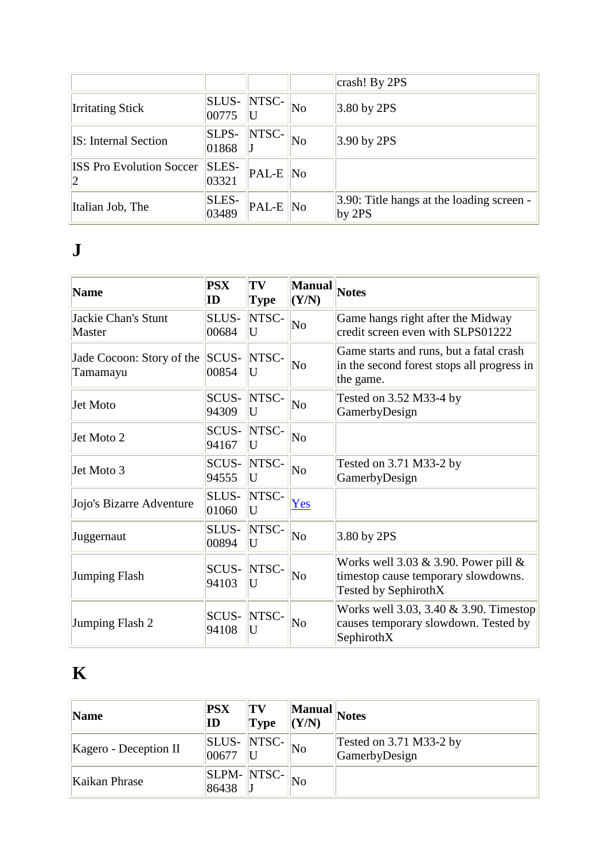|                                       |                |                                  |                        | crash! By 2PS                                         |
|---------------------------------------|----------------|----------------------------------|------------------------|-------------------------------------------------------|
| <b>Irritating Stick</b>               | SLUS-<br>00775 | NTSC-                            | $\overline{\text{No}}$ | $3.80$ by 2PS                                         |
| <b>IS:</b> Internal Section           | SLPS-<br>01868 | NTSC-                            | $\overline{\text{No}}$ | $3.90$ by 2PS                                         |
| <b>ISS Pro Evolution Soccer</b><br> 2 | SLES-<br>03321 | $PAL-E$ No                       |                        |                                                       |
| Italian Job, The                      | SLES-<br>03489 | $\mathsf{PAL}\text{-}\mathsf{E}$ | $\overline{\text{No}}$ | 3.90: Title hangs at the loading screen -<br>by $2PS$ |

#### **J**

| <b>Name</b>                           | <b>PSX</b><br>ID | TV<br><b>Type</b> | Manual<br>(Y/N)        | Notes                                                                                                     |
|---------------------------------------|------------------|-------------------|------------------------|-----------------------------------------------------------------------------------------------------------|
| Jackie Chan's Stunt<br>Master         | SLUS-<br>00684   | NTSC-<br>U        | N <sub>o</sub>         | Game hangs right after the Midway<br>credit screen even with SLPS01222                                    |
| Jade Cocoon: Story of the<br>Tamamayu | SCUS-<br>00854   | NTSC-<br>U        | No                     | Game starts and runs, but a fatal crash<br>in the second forest stops all progress in<br>the game.        |
| Jet Moto                              | SCUS-<br>94309   | NTSC-<br>U        | N <sub>o</sub>         | Tested on 3.52 M33-4 by<br>GamerbyDesign                                                                  |
| Jet Moto 2                            | SCUS-<br>94167   | NTSC-<br>U        | $\overline{\text{No}}$ |                                                                                                           |
| Jet Moto 3                            | SCUS-<br>94555   | NTSC-<br>U        | No                     | Tested on 3.71 M33-2 by<br>GamerbyDesign                                                                  |
| Jojo's Bizarre Adventure              | SLUS-<br>01060   | NTSC-<br>U        | Yes                    |                                                                                                           |
| Juggernaut                            | SLUS-<br>00894   | NTSC-<br>U        | $\overline{\text{No}}$ | 3.80 by 2PS                                                                                               |
| <b>Jumping Flash</b>                  | SCUS-<br>94103   | NTSC-<br>U        | No                     | Works well 3.03 $\&$ 3.90. Power pill $\&$<br>timestop cause temporary slowdowns.<br>Tested by SephirothX |
| Jumping Flash 2                       | SCUS-<br>94108   | NTSC-<br>U        | No                     | Works well 3.03, 3.40 & 3.90. Timestop<br>causes temporary slowdown. Tested by<br>SephirothX              |

## **K**

| Name                          | <b>PSX</b><br>ID     | TV <br>$\mathbf{Type}$ | (Y/N)                  | $\ \overline{\text{Manual}}\ _{\text{Notes}}$ |
|-------------------------------|----------------------|------------------------|------------------------|-----------------------------------------------|
| $\vert$ Kagero - Deception II | SLUS-NTSC-<br>100677 |                        | No                     | Tested on $3.71$ M $33-2$ by<br>GamerbyDesign |
| Kaikan Phrase                 | 86438                | <b>SLPM-</b> NTSC-     | $\overline{\text{No}}$ |                                               |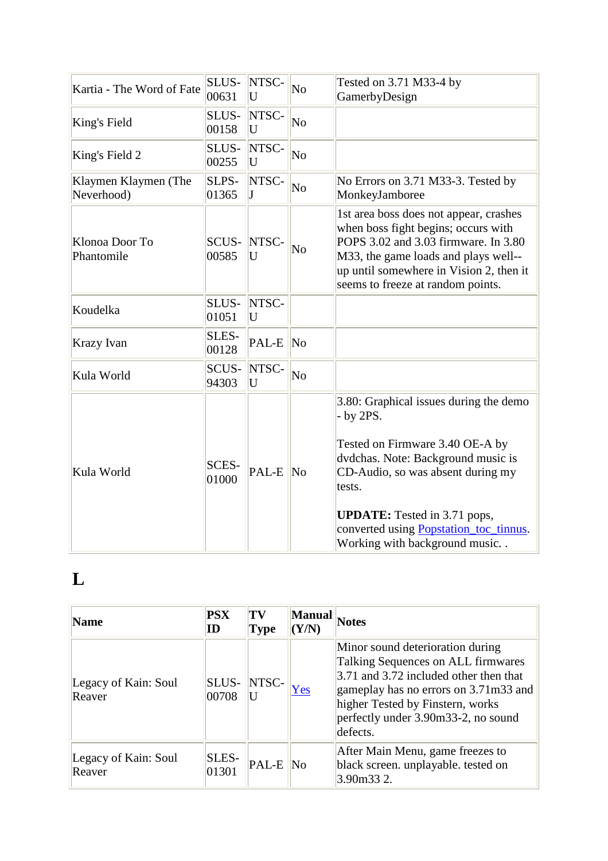| Kartia - The Word of Fate          | SLUS-<br>00631        | NTSC-<br>U | N <sub>0</sub>         | Tested on 3.71 M33-4 by<br>GamerbyDesign                                                                                                                                                                                                                                                        |
|------------------------------------|-----------------------|------------|------------------------|-------------------------------------------------------------------------------------------------------------------------------------------------------------------------------------------------------------------------------------------------------------------------------------------------|
| King's Field                       | SLUS-<br>00158        | NTSC-<br>U | $\overline{\text{No}}$ |                                                                                                                                                                                                                                                                                                 |
| King's Field 2                     | SLUS-<br>00255        | NTSC-<br>U | $\overline{\text{No}}$ |                                                                                                                                                                                                                                                                                                 |
| Klaymen Klaymen (The<br>Neverhood) | SLPS-<br>01365        | NTSC-<br>J | $\overline{\text{No}}$ | No Errors on 3.71 M33-3. Tested by<br>MonkeyJamboree                                                                                                                                                                                                                                            |
| Klonoa Door To<br>Phantomile       | SCUS-<br>00585        | NTSC-<br>U | No                     | 1st area boss does not appear, crashes<br>when boss fight begins; occurs with<br>POPS 3.02 and 3.03 firmware. In 3.80<br>M33, the game loads and plays well--<br>up until somewhere in Vision 2, then it<br>seems to freeze at random points.                                                   |
| Koudelka                           | SLUS-<br>01051        | NTSC-<br>U |                        |                                                                                                                                                                                                                                                                                                 |
| Krazy Ivan                         | SLES-<br>00128        | PAL-E      | $\overline{\text{No}}$ |                                                                                                                                                                                                                                                                                                 |
| Kula World                         | <b>SCUS-</b><br>94303 | NTSC-<br>U | $\overline{\text{No}}$ |                                                                                                                                                                                                                                                                                                 |
| Kula World                         | <b>SCES-</b><br>01000 | PAL-E No   |                        | 3.80: Graphical issues during the demo<br>$-$ by 2PS.<br>Tested on Firmware 3.40 OE-A by<br>dvdchas. Note: Background music is<br>CD-Audio, so was absent during my<br>tests.<br><b>UPDATE:</b> Tested in 3.71 pops,<br>converted using Popstation_toc_tinnus.<br>Working with background music |

## **L**

| <b>Name</b>                    | <b>PSX</b><br>ID | TV<br>Type                       | <b>Manual</b><br>$\mathbf{Y/N}$ | Notes                                                                                                                                                                                                                                                            |
|--------------------------------|------------------|----------------------------------|---------------------------------|------------------------------------------------------------------------------------------------------------------------------------------------------------------------------------------------------------------------------------------------------------------|
| Legacy of Kain: Soul<br>Reaver | SLUS-<br>00708   | NTSC-                            | <b>Yes</b>                      | Minor sound deterioration during<br>Talking Sequences on ALL firmwares<br>$\vert 3.71 \rangle$ and 3.72 included other then that<br>gameplay has no errors on 3.71m33 and<br>higher Tested by Finstern, works<br>perfectly under 3.90m33-2, no sound<br>defects. |
| Legacy of Kain: Soul<br>Reaver | SLES-<br>01301   | $\mathsf{PAL}\text{-}\mathsf{E}$ | $\mathbb{N}^{\text{o}}$         | After Main Menu, game freezes to<br>black screen. unplayable. tested on<br>$3.90m33$ 2.                                                                                                                                                                          |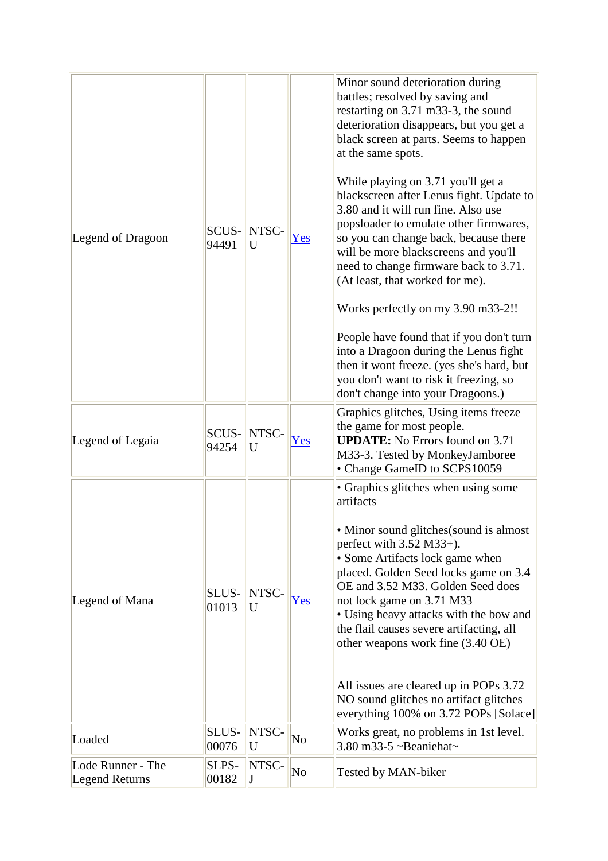| Legend of Dragoon                          | SCUS-<br>94491        | NTSC-<br>U | Yes                    | Minor sound deterioration during<br>battles; resolved by saving and<br>restarting on 3.71 m33-3, the sound<br>deterioration disappears, but you get a<br>black screen at parts. Seems to happen<br>at the same spots.<br>While playing on 3.71 you'll get a<br>blackscreen after Lenus fight. Update to<br>3.80 and it will run fine. Also use<br>popsloader to emulate other firmwares,<br>so you can change back, because there<br>will be more blackscreens and you'll<br>need to change firmware back to 3.71.<br>(At least, that worked for me).<br>Works perfectly on my 3.90 m33-2!!<br>People have found that if you don't turn<br>into a Dragoon during the Lenus fight<br>then it wont freeze. (yes she's hard, but<br>you don't want to risk it freezing, so<br>don't change into your Dragoons.) |
|--------------------------------------------|-----------------------|------------|------------------------|--------------------------------------------------------------------------------------------------------------------------------------------------------------------------------------------------------------------------------------------------------------------------------------------------------------------------------------------------------------------------------------------------------------------------------------------------------------------------------------------------------------------------------------------------------------------------------------------------------------------------------------------------------------------------------------------------------------------------------------------------------------------------------------------------------------|
| Legend of Legaia                           | <b>SCUS-</b><br>94254 | NTSC-<br>U | Yes                    | Graphics glitches, Using items freeze<br>the game for most people.<br><b>UPDATE:</b> No Errors found on 3.71<br>M33-3. Tested by MonkeyJamboree<br>• Change GameID to SCPS10059                                                                                                                                                                                                                                                                                                                                                                                                                                                                                                                                                                                                                              |
| Legend of Mana                             | SLUS-<br>01013        | NTSC-<br>U | Yes                    | • Graphics glitches when using some<br>artifacts<br>• Minor sound glitches (sound is almost<br>perfect with $3.52$ M $33+$ ).<br>• Some Artifacts lock game when<br>placed. Golden Seed locks game on 3.4<br>OE and 3.52 M33. Golden Seed does<br>not lock game on 3.71 M33<br>• Using heavy attacks with the bow and<br>the flail causes severe artifacting, all<br>other weapons work fine (3.40 OE)<br>All issues are cleared up in POPs 3.72<br>NO sound glitches no artifact glitches<br>everything 100% on 3.72 POPs [Solace]                                                                                                                                                                                                                                                                          |
| Loaded                                     | SLUS-<br>00076        | NTSC-<br>U | No                     | Works great, no problems in 1st level.<br>3.80 m33-5 $\sim$ Beaniehat $\sim$                                                                                                                                                                                                                                                                                                                                                                                                                                                                                                                                                                                                                                                                                                                                 |
| Lode Runner - The<br><b>Legend Returns</b> | SLPS-<br>00182        | NTSC-<br>J | $\overline{\text{No}}$ | Tested by MAN-biker                                                                                                                                                                                                                                                                                                                                                                                                                                                                                                                                                                                                                                                                                                                                                                                          |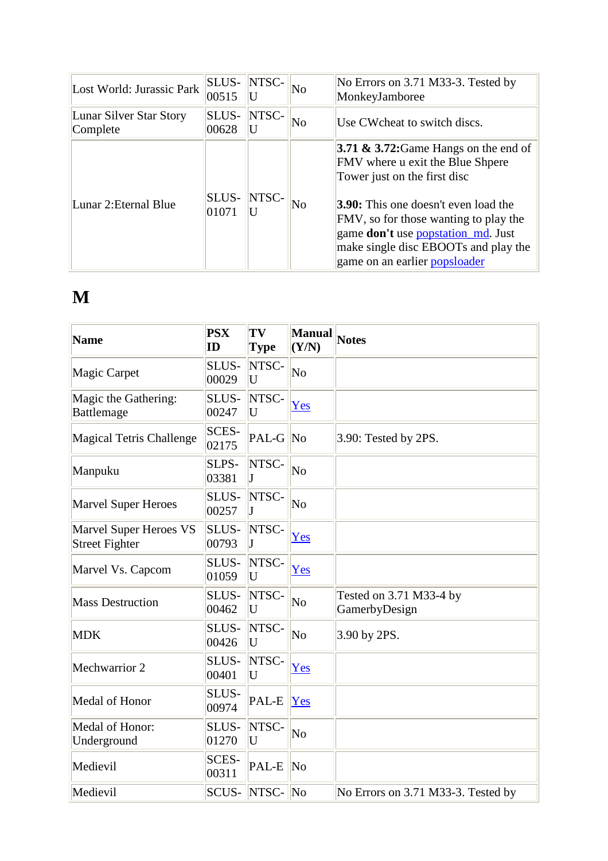| Lost World: Jurassic Park           | SLUS-<br>00515 | NTSC- | No | No Errors on 3.71 M33-3. Tested by<br>MonkeyJamboree                                                                                                                                                                                                                                                                       |
|-------------------------------------|----------------|-------|----|----------------------------------------------------------------------------------------------------------------------------------------------------------------------------------------------------------------------------------------------------------------------------------------------------------------------------|
| Lunar Silver Star Story<br>Complete | SLUS-<br>00628 | NTSC- | No | Use CW cheat to switch discs.                                                                                                                                                                                                                                                                                              |
| Lunar 2: Eternal Blue               | SLUS-<br>01071 | NTSC- | No | 3.71 $\&$ 3.72: Game Hangs on the end of<br>FMV where u exit the Blue Shpere<br>Tower just on the first disc<br><b>3.90:</b> This one doesn't even load the<br>FMV, so for those wanting to play the<br>game <b>don't</b> use popstation_md. Just<br>make single disc EBOOTs and play the<br>game on an earlier popsloader |

#### **M**

| <b>Name</b>                                     | <b>PSX</b><br>ID      | TV<br><b>Type</b> | <b>Manual</b><br>(Y/N) | <b>Notes</b>                             |
|-------------------------------------------------|-----------------------|-------------------|------------------------|------------------------------------------|
| Magic Carpet                                    | SLUS-<br>00029        | NTSC-<br>U        | No                     |                                          |
| Magic the Gathering:<br>Battlemage              | SLUS-<br>00247        | NTSC-<br>U        | Yes                    |                                          |
| Magical Tetris Challenge                        | <b>SCES-</b><br>02175 | PAL-G No          |                        | 3.90: Tested by 2PS.                     |
| Manpuku                                         | SLPS-<br>03381        | NTSC-<br>L        | $\overline{\text{No}}$ |                                          |
| <b>Marvel Super Heroes</b>                      | SLUS-<br>00257        | NTSC-<br>J        | No                     |                                          |
| Marvel Super Heroes VS<br><b>Street Fighter</b> | SLUS-<br>00793        | NTSC-<br>$\bf J$  | Yes                    |                                          |
| Marvel Vs. Capcom                               | SLUS-<br>01059        | NTSC-<br>U        | Yes                    |                                          |
| <b>Mass Destruction</b>                         | SLUS-<br>00462        | NTSC-<br>U        | $\overline{\text{No}}$ | Tested on 3.71 M33-4 by<br>GamerbyDesign |
| <b>MDK</b>                                      | SLUS-<br>00426        | NTSC-<br>U        | N <sub>0</sub>         | 3.90 by 2PS.                             |
| Mechwarrior 2                                   | SLUS-<br>00401        | NTSC-<br>U        | Yes                    |                                          |
| Medal of Honor                                  | SLUS-<br>00974        | PAL-E             | Yes                    |                                          |
| Medal of Honor:<br>Underground                  | SLUS-<br>01270        | NTSC-<br>U        | $\overline{\text{No}}$ |                                          |
| Medievil                                        | <b>SCES-</b><br>00311 | PAL-E             | N <sub>o</sub>         |                                          |
| Medievil                                        | SCUS-                 | NTSC-No           |                        | No Errors on 3.71 M33-3. Tested by       |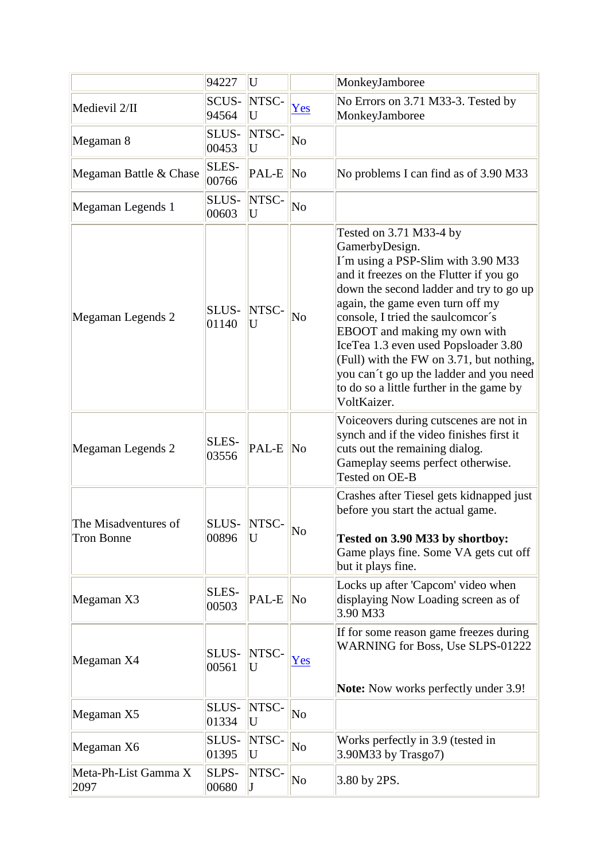|                                           | 94227                 | U          |                        | MonkeyJamboree                                                                                                                                                                                                                                                                                                                                                                                                                                                           |
|-------------------------------------------|-----------------------|------------|------------------------|--------------------------------------------------------------------------------------------------------------------------------------------------------------------------------------------------------------------------------------------------------------------------------------------------------------------------------------------------------------------------------------------------------------------------------------------------------------------------|
| Medievil 2/II                             | <b>SCUS-</b><br>94564 | NTSC-<br>U | Yes                    | No Errors on 3.71 M33-3. Tested by<br>MonkeyJamboree                                                                                                                                                                                                                                                                                                                                                                                                                     |
| Megaman 8                                 | SLUS-<br>00453        | NTSC-<br>U | $\overline{\text{No}}$ |                                                                                                                                                                                                                                                                                                                                                                                                                                                                          |
| Megaman Battle & Chase                    | SLES-<br>00766        | PAL-E      | $\overline{\text{No}}$ | No problems I can find as of 3.90 M33                                                                                                                                                                                                                                                                                                                                                                                                                                    |
| Megaman Legends 1                         | SLUS-<br>00603        | NTSC-<br>U | $\overline{\text{No}}$ |                                                                                                                                                                                                                                                                                                                                                                                                                                                                          |
| Megaman Legends 2                         | SLUS-<br>01140        | NTSC-<br>U | N <sub>0</sub>         | Tested on 3.71 M33-4 by<br>GamerbyDesign.<br>I'm using a PSP-Slim with 3.90 M33<br>and it freezes on the Flutter if you go<br>down the second ladder and try to go up<br>again, the game even turn off my<br>console, I tried the saulcomcor's<br>EBOOT and making my own with<br>IceTea 1.3 even used Popsloader 3.80<br>(Full) with the FW on 3.71, but nothing,<br>you can't go up the ladder and you need<br>to do so a little further in the game by<br>VoltKaizer. |
| Megaman Legends 2                         | SLES-<br>03556        | PAL-E      | N <sub>o</sub>         | Voiceovers during cutscenes are not in<br>synch and if the video finishes first it<br>cuts out the remaining dialog.<br>Gameplay seems perfect otherwise.<br>Tested on OE-B                                                                                                                                                                                                                                                                                              |
| The Misadventures of<br><b>Tron Bonne</b> | SLUS-<br>00896        | NTSC-<br>U | $\overline{\text{No}}$ | Crashes after Tiesel gets kidnapped just<br>before you start the actual game.<br>Tested on 3.90 M33 by shortboy:<br>Game plays fine. Some VA gets cut off<br>but it plays fine.                                                                                                                                                                                                                                                                                          |
| Megaman X3                                | SLES-<br>00503        | PAL-E      | No                     | Locks up after 'Capcom' video when<br>displaying Now Loading screen as of<br>3.90 M33                                                                                                                                                                                                                                                                                                                                                                                    |
| Megaman X4                                | SLUS-<br>00561        | NTSC-<br>U | Yes                    | If for some reason game freezes during<br><b>WARNING for Boss, Use SLPS-01222</b><br>Note: Now works perfectly under 3.9!                                                                                                                                                                                                                                                                                                                                                |
| Megaman X5                                | SLUS-<br>01334        | NTSC-<br>U | No                     |                                                                                                                                                                                                                                                                                                                                                                                                                                                                          |
| Megaman X6                                | SLUS-<br>01395        | NTSC-<br>U | No                     | Works perfectly in 3.9 (tested in<br>3.90M33 by Trasgo7)                                                                                                                                                                                                                                                                                                                                                                                                                 |
| Meta-Ph-List Gamma X<br>2097              | SLPS-<br>00680        | NTSC-      | No                     | 3.80 by 2PS.                                                                                                                                                                                                                                                                                                                                                                                                                                                             |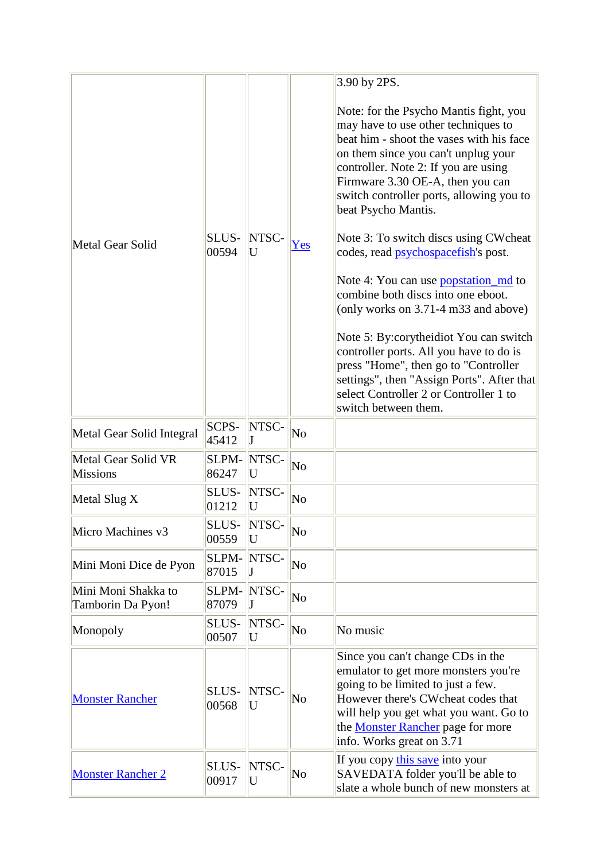|                                          |                       |            |                        | 3.90 by 2PS.                                                                                                                                                                                                                                                                                                                                                                                                                                                                                                                                                                                                                                                                                                                                                                 |
|------------------------------------------|-----------------------|------------|------------------------|------------------------------------------------------------------------------------------------------------------------------------------------------------------------------------------------------------------------------------------------------------------------------------------------------------------------------------------------------------------------------------------------------------------------------------------------------------------------------------------------------------------------------------------------------------------------------------------------------------------------------------------------------------------------------------------------------------------------------------------------------------------------------|
| Metal Gear Solid                         | SLUS-<br>00594        | NTSC-<br>U | Yes                    | Note: for the Psycho Mantis fight, you<br>may have to use other techniques to<br>beat him - shoot the vases with his face<br>on them since you can't unplug your<br>controller. Note 2: If you are using<br>Firmware 3.30 OE-A, then you can<br>switch controller ports, allowing you to<br>beat Psycho Mantis.<br>Note 3: To switch discs using CW cheat<br>codes, read <i>psychospacefish's</i> post.<br>Note 4: You can use popstation md to<br>combine both discs into one eboot.<br>(only works on 3.71-4 m33 and above)<br>Note 5: By: cory theidiot You can switch<br>controller ports. All you have to do is<br>press "Home", then go to "Controller<br>settings", then "Assign Ports". After that<br>select Controller 2 or Controller 1 to<br>switch between them. |
| Metal Gear Solid Integral                | <b>SCPS-</b><br>45412 | NTSC-      | No                     |                                                                                                                                                                                                                                                                                                                                                                                                                                                                                                                                                                                                                                                                                                                                                                              |
| Metal Gear Solid VR<br><b>Missions</b>   | SLPM-<br>86247        | NTSC-<br>U | $\overline{\text{No}}$ |                                                                                                                                                                                                                                                                                                                                                                                                                                                                                                                                                                                                                                                                                                                                                                              |
| Metal Slug X                             | SLUS-<br>01212        | NTSC-<br>U | No                     |                                                                                                                                                                                                                                                                                                                                                                                                                                                                                                                                                                                                                                                                                                                                                                              |
| Micro Machines v3                        | SLUS-<br>00559        | NTSC-<br>U | No                     |                                                                                                                                                                                                                                                                                                                                                                                                                                                                                                                                                                                                                                                                                                                                                                              |
| Mini Moni Dice de Pyon                   | SLPM-<br>87015        | NTSC-      | No                     |                                                                                                                                                                                                                                                                                                                                                                                                                                                                                                                                                                                                                                                                                                                                                                              |
| Mini Moni Shakka to<br>Tamborin Da Pyon! | SLPM-<br>87079        | NTSC-      | N <sub>o</sub>         |                                                                                                                                                                                                                                                                                                                                                                                                                                                                                                                                                                                                                                                                                                                                                                              |
| Monopoly                                 | SLUS-<br>00507        | NTSC-<br>U | $\overline{\text{No}}$ | No music                                                                                                                                                                                                                                                                                                                                                                                                                                                                                                                                                                                                                                                                                                                                                                     |
| <b>Monster Rancher</b>                   | SLUS-<br>00568        | NTSC-<br>U | No                     | Since you can't change CDs in the<br>emulator to get more monsters you're<br>going to be limited to just a few.<br>However there's CWcheat codes that<br>will help you get what you want. Go to<br>the <b>Monster Rancher</b> page for more<br>info. Works great on 3.71                                                                                                                                                                                                                                                                                                                                                                                                                                                                                                     |
| <b>Monster Rancher 2</b>                 | SLUS-<br>00917        | NTSC-<br>U | No                     | If you copy this save into your<br>SAVEDATA folder you'll be able to<br>slate a whole bunch of new monsters at                                                                                                                                                                                                                                                                                                                                                                                                                                                                                                                                                                                                                                                               |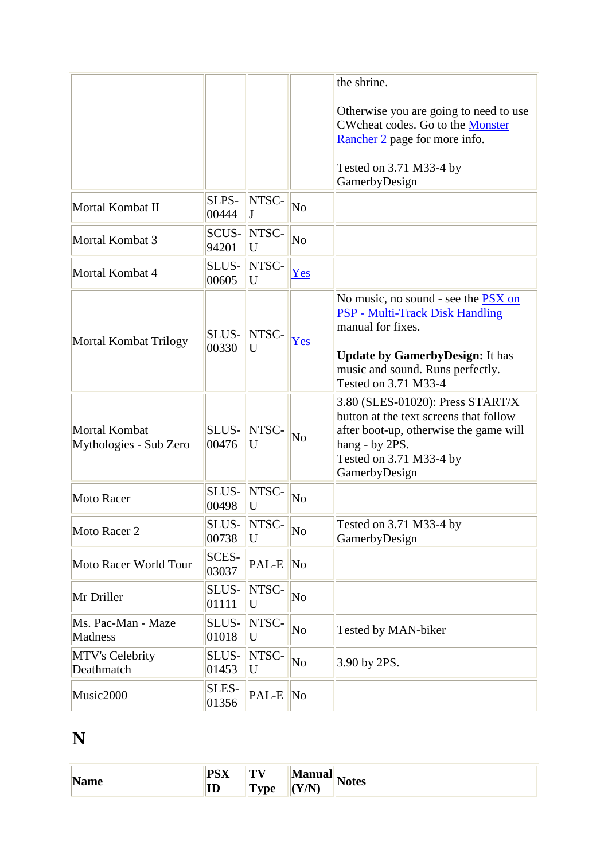|                                         |                       |            |                        | the shrine.                                                                                                                                                                                              |
|-----------------------------------------|-----------------------|------------|------------------------|----------------------------------------------------------------------------------------------------------------------------------------------------------------------------------------------------------|
|                                         |                       |            |                        | Otherwise you are going to need to use<br>CWcheat codes. Go to the Monster<br>Rancher 2 page for more info.                                                                                              |
|                                         |                       |            |                        | Tested on 3.71 M33-4 by<br>GamerbyDesign                                                                                                                                                                 |
| Mortal Kombat II                        | SLPS-<br>00444        | NTSC-      | $\overline{\text{No}}$ |                                                                                                                                                                                                          |
| Mortal Kombat 3                         | SCUS-<br>94201        | NTSC-<br>U | $\overline{\text{No}}$ |                                                                                                                                                                                                          |
| Mortal Kombat 4                         | SLUS-<br>00605        | NTSC-<br>U | Yes                    |                                                                                                                                                                                                          |
| Mortal Kombat Trilogy                   | SLUS-<br>00330        | NTSC-<br>U | Yes                    | No music, no sound - see the PSX on<br><b>PSP - Multi-Track Disk Handling</b><br>manual for fixes.<br><b>Update by GamerbyDesign:</b> It has<br>music and sound. Runs perfectly.<br>Tested on 3.71 M33-4 |
| Mortal Kombat<br>Mythologies - Sub Zero | SLUS-<br>00476        | NTSC-<br>U | No                     | 3.80 (SLES-01020): Press START/X<br>button at the text screens that follow<br>after boot-up, otherwise the game will<br>hang - by 2PS.<br>Tested on 3.71 M33-4 by<br>GamerbyDesign                       |
| Moto Racer                              | SLUS-<br>00498        | NTSC-<br>U | No                     |                                                                                                                                                                                                          |
| Moto Racer 2                            | SLUS-<br>00738        | NTSC-<br>U | $\overline{\text{No}}$ | Tested on 3.71 M33-4 by<br>GamerbyDesign                                                                                                                                                                 |
| Moto Racer World Tour                   | <b>SCES-</b><br>03037 | PAL-E      | $\overline{\text{No}}$ |                                                                                                                                                                                                          |
| Mr Driller                              | SLUS-<br>01111        | NTSC-<br>U | No                     |                                                                                                                                                                                                          |
| Ms. Pac-Man - Maze<br><b>Madness</b>    | SLUS-<br>01018        | NTSC-<br>U | No                     | Tested by MAN-biker                                                                                                                                                                                      |
| MTV's Celebrity<br>Deathmatch           | SLUS-<br>01453        | NTSC-<br>U | No                     | 3.90 by 2PS.                                                                                                                                                                                             |
| Music2000                               | SLES-<br>01356        | PAL-E      | No                     |                                                                                                                                                                                                          |

## **N**

| N<br>.⊪Nam≏<br>TValile | DCV<br>$\mathbf{L} \mathbf{D} \mathbf{\Lambda}$<br>ID | $\mathbf{H}$<br>`vne<br>- | $\blacksquare$<br>Manual<br>V/N<br><b>AIA</b> | <b>Notes</b> |
|------------------------|-------------------------------------------------------|---------------------------|-----------------------------------------------|--------------|
|                        |                                                       |                           |                                               |              |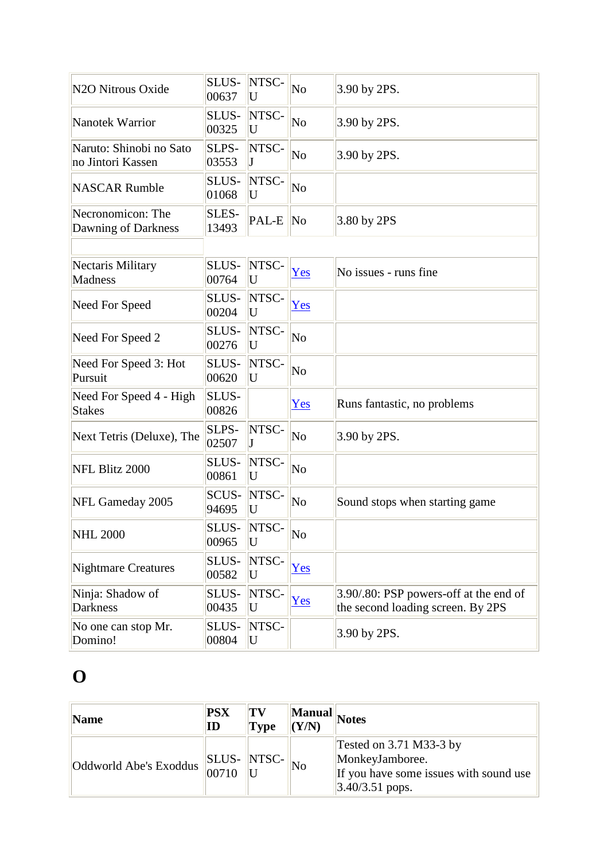| N <sub>2</sub> O Nitrous Oxide               | SLUS-<br>00637       | NTSC-<br>U | $\overline{\text{No}}$ | 3.90 by 2PS.                                                                |
|----------------------------------------------|----------------------|------------|------------------------|-----------------------------------------------------------------------------|
| Nanotek Warrior                              | SLUS-<br>00325       | NTSC-<br>U | No                     | 3.90 by 2PS.                                                                |
| Naruto: Shinobi no Sato<br>no Jintori Kassen | SLPS-<br>03553       | NTSC-      | No                     | 3.90 by 2PS.                                                                |
| <b>NASCAR Rumble</b>                         | SLUS-<br>01068       | NTSC-<br>U | $\overline{\text{No}}$ |                                                                             |
| Necronomicon: The<br>Dawning of Darkness     | SLES-<br>13493       | PAL-E      | $\overline{\text{No}}$ | 3.80 by 2PS                                                                 |
| Nectaris Military<br><b>Madness</b>          | SLUS-<br>00764       | NTSC-<br>U | Yes                    | No issues - runs fine                                                       |
| Need For Speed                               | SLUS-<br>00204       | NTSC-<br>U | Yes                    |                                                                             |
| Need For Speed 2                             | SLUS-<br>00276       | NTSC-<br>U | No                     |                                                                             |
| Need For Speed 3: Hot<br>Pursuit             | SLUS-<br>00620       | NTSC-<br>U | $\overline{\text{No}}$ |                                                                             |
| Need For Speed 4 - High<br><b>Stakes</b>     | SLUS-<br>00826       |            | Yes                    | Runs fantastic, no problems                                                 |
| Next Tetris (Deluxe), The                    | SLPS-<br>02507       | NTSC-      | No                     | 3.90 by 2PS.                                                                |
| NFL Blitz 2000                               | SLUS-<br>00861       | NTSC-<br>U | No                     |                                                                             |
| NFL Gameday 2005                             | SCUS-<br>94695       | NTSC-<br>U | No                     | Sound stops when starting game                                              |
| <b>NHL 2000</b>                              | <b>SLUS</b><br>00965 | NTSC-<br>U | $\overline{\text{No}}$ |                                                                             |
| <b>Nightmare Creatures</b>                   | SLUS-<br>00582       | NTSC-<br>U | Yes                    |                                                                             |
| Ninja: Shadow of<br><b>Darkness</b>          | SLUS-<br>00435       | NTSC-<br>U | Yes                    | 3.90/.80: PSP powers-off at the end of<br>the second loading screen. By 2PS |
| No one can stop Mr.<br>Domino!               | SLUS-<br>00804       | NTSC-<br>U |                        | 3.90 by 2PS.                                                                |

# **O**

| Name                                | <b>PSX</b><br>$\mathbf{ID}$ | TV<br><b>Type</b> | Manual<br>(Y/N) | Notes                                                                                                      |
|-------------------------------------|-----------------------------|-------------------|-----------------|------------------------------------------------------------------------------------------------------------|
| 'Oddworld Abe's Exoddus SLUS- NTSC- | 00710                       |                   | No              | Tested on 3.71 M33-3 by<br>MonkeyJamboree.<br>If you have some issues with sound use<br>$ 3.40/3.51$ pops. |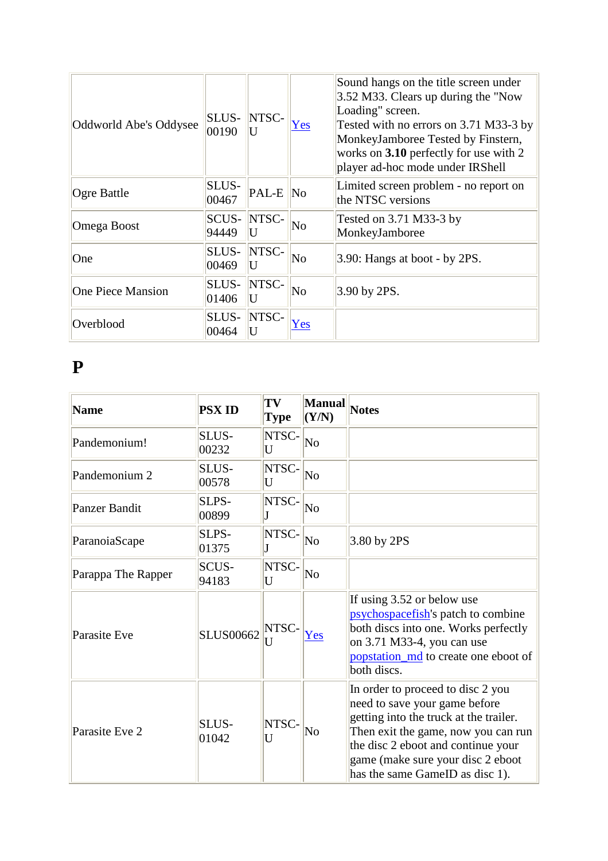| Oddworld Abe's Oddysee   | SLUS-<br>00190        | NTSC-<br>U | Yes                    | Sound hangs on the title screen under<br>$3.52$ M33. Clears up during the "Now"<br>Loading" screen.<br>Tested with no errors on 3.71 M33-3 by<br>MonkeyJamboree Tested by Finstern,<br>works on 3.10 perfectly for use with 2<br>player ad-hoc mode under IRShell |
|--------------------------|-----------------------|------------|------------------------|-------------------------------------------------------------------------------------------------------------------------------------------------------------------------------------------------------------------------------------------------------------------|
| Ogre Battle              | SLUS-<br>00467        | PAL-E No   |                        | Limited screen problem - no report on<br>the NTSC versions                                                                                                                                                                                                        |
| Omega Boost              | <b>SCUS-</b><br>94449 | NTSC-<br>U | $\overline{\text{No}}$ | Tested on $3.71$ M $33-3$ by<br>MonkeyJamboree                                                                                                                                                                                                                    |
| One                      | SLUS-<br>00469        | NTSC-<br>H | No                     | $3.90$ : Hangs at boot - by 2PS.                                                                                                                                                                                                                                  |
| <b>One Piece Mansion</b> | SLUS-<br>01406        | NTSC-      | $\overline{\text{No}}$ | $3.90$ by 2PS.                                                                                                                                                                                                                                                    |
| Overblood                | SLUS-<br>00464        | NTSC-<br>U | Yes                    |                                                                                                                                                                                                                                                                   |

#### **P**

| <b>Name</b>          | <b>PSX ID</b>    | TV<br><b>Type</b>       | <b>Manual</b><br>(Y/N) | <b>Notes</b>                                                                                                                                                                                                                                                      |
|----------------------|------------------|-------------------------|------------------------|-------------------------------------------------------------------------------------------------------------------------------------------------------------------------------------------------------------------------------------------------------------------|
| Pandemonium!         | SLUS-<br>00232   | NTSC-<br>U              | $\overline{\text{No}}$ |                                                                                                                                                                                                                                                                   |
| Pandemonium 2        | SLUS-<br>00578   | NTSC-<br>U              | No                     |                                                                                                                                                                                                                                                                   |
| <b>Panzer Bandit</b> | SLPS-<br>00899   | NTSC-                   | $\overline{\text{No}}$ |                                                                                                                                                                                                                                                                   |
| ParanoiaScape        | SLPS-<br>01375   | NTSC-                   | $\overline{\text{No}}$ | 3.80 by 2PS                                                                                                                                                                                                                                                       |
| Parappa The Rapper   | SCUS-<br>94183   | NTSC-<br>U              | $\overline{\text{No}}$ |                                                                                                                                                                                                                                                                   |
| Parasite Eve         | <b>SLUS00662</b> | NTSC-<br>$\overline{U}$ | Yes                    | If using 3.52 or below use<br>psychospacefish's patch to combine<br>both discs into one. Works perfectly<br>on 3.71 M33-4, you can use<br>popstation_md to create one eboot of<br>both discs.                                                                     |
| Parasite Eve 2       | SLUS-<br>01042   | NTSC-<br>U              | No                     | In order to proceed to disc 2 you<br>need to save your game before<br>getting into the truck at the trailer.<br>Then exit the game, now you can run<br>the disc 2 eboot and continue your<br>game (make sure your disc 2 eboot<br>has the same GameID as disc 1). |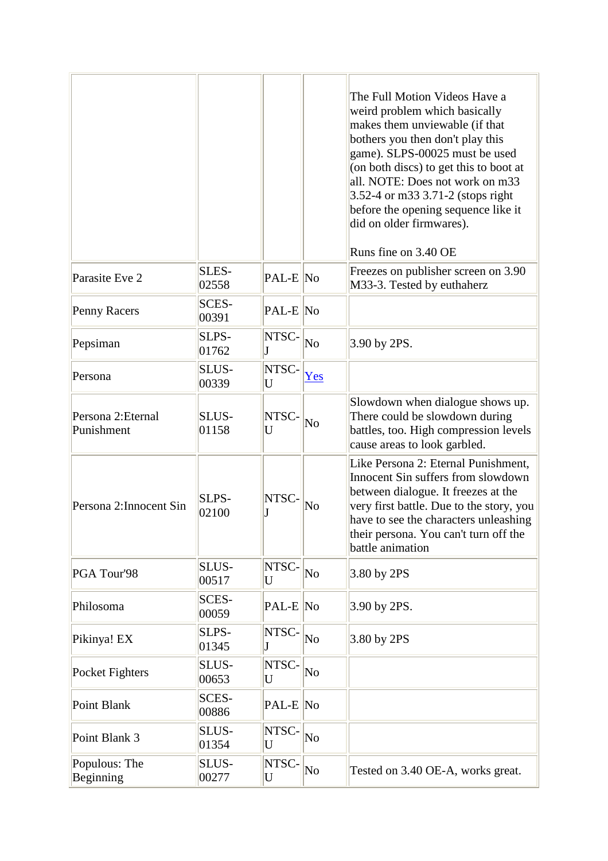|                                  |                |            |                        | The Full Motion Videos Have a<br>weird problem which basically<br>makes them unviewable (if that<br>bothers you then don't play this<br>game). SLPS-00025 must be used<br>(on both discs) to get this to boot at<br>all. NOTE: Does not work on m33<br>3.52-4 or m33 3.71-2 (stops right<br>before the opening sequence like it<br>did on older firmwares).<br>Runs fine on 3.40 OE |
|----------------------------------|----------------|------------|------------------------|-------------------------------------------------------------------------------------------------------------------------------------------------------------------------------------------------------------------------------------------------------------------------------------------------------------------------------------------------------------------------------------|
| Parasite Eve 2                   | SLES-<br>02558 | PAL-E No   |                        | Freezes on publisher screen on 3.90<br>M33-3. Tested by euthaherz                                                                                                                                                                                                                                                                                                                   |
| Penny Racers                     | SCES-<br>00391 | PAL-E No   |                        |                                                                                                                                                                                                                                                                                                                                                                                     |
| Pepsiman                         | SLPS-<br>01762 | NTSC-      | $\overline{\text{No}}$ | 3.90 by 2PS.                                                                                                                                                                                                                                                                                                                                                                        |
| Persona                          | SLUS-<br>00339 | NTSC-<br>U | Yes                    |                                                                                                                                                                                                                                                                                                                                                                                     |
| Persona 2: Eternal<br>Punishment | SLUS-<br>01158 | NTSC-<br>U | No                     | Slowdown when dialogue shows up.<br>There could be slowdown during<br>battles, too. High compression levels<br>cause areas to look garbled.                                                                                                                                                                                                                                         |
| Persona 2: Innocent Sin          | SLPS-<br>02100 | NTSC-      | $\overline{\text{No}}$ | Like Persona 2: Eternal Punishment,<br>Innocent Sin suffers from slowdown<br>between dialogue. It freezes at the<br>very first battle. Due to the story, you<br>have to see the characters unleashing<br>their persona. You can't turn off the<br>battle animation                                                                                                                  |
| PGA Tour'98                      | SLUS-<br>00517 | NTSC-<br>U | $\overline{\text{No}}$ | 3.80 by 2PS                                                                                                                                                                                                                                                                                                                                                                         |
| Philosoma                        | SCES-<br>00059 | PAL-E No   |                        | 3.90 by 2PS.                                                                                                                                                                                                                                                                                                                                                                        |
| Pikinya! EX                      | SLPS-<br>01345 | NTSC-<br>J | No                     | 3.80 by 2PS                                                                                                                                                                                                                                                                                                                                                                         |
| Pocket Fighters                  | SLUS-<br>00653 | NTSC-<br>U | No                     |                                                                                                                                                                                                                                                                                                                                                                                     |
| Point Blank                      | SCES-<br>00886 | PAL-E No   |                        |                                                                                                                                                                                                                                                                                                                                                                                     |
| Point Blank 3                    | SLUS-<br>01354 | NTSC-<br>U | No                     |                                                                                                                                                                                                                                                                                                                                                                                     |
| Populous: The<br>Beginning       | SLUS-<br>00277 | NTSC-<br>U | No                     | Tested on 3.40 OE-A, works great.                                                                                                                                                                                                                                                                                                                                                   |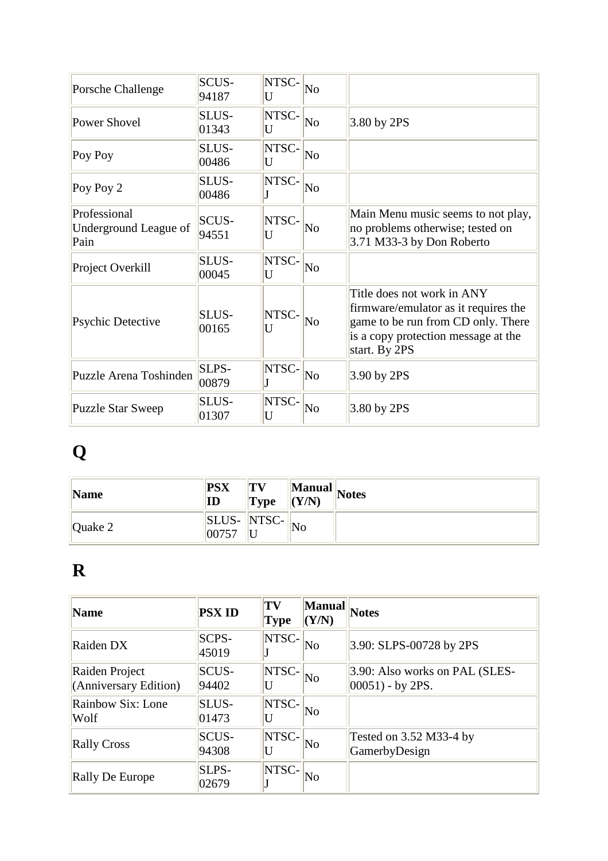| Porsche Challenge                             | <b>SCUS-</b><br>94187 | NTSC-<br>U       | No                     |                                                                                                                                                                  |
|-----------------------------------------------|-----------------------|------------------|------------------------|------------------------------------------------------------------------------------------------------------------------------------------------------------------|
| Power Shovel                                  | SLUS-<br>01343        | NTSC-<br>U       | No                     | 3.80 by 2PS                                                                                                                                                      |
| Poy Poy                                       | SLUS-<br>00486        | NTSC-<br>U       | $\overline{\text{No}}$ |                                                                                                                                                                  |
| Poy Poy 2                                     | SLUS-<br>00486        | NTSC-            | $\overline{\text{No}}$ |                                                                                                                                                                  |
| Professional<br>Underground League of<br>Pain | <b>SCUS-</b><br>94551 | NTSC-<br>U       | No                     | Main Menu music seems to not play,<br>no problems otherwise; tested on<br>3.71 M33-3 by Don Roberto                                                              |
| Project Overkill                              | SLUS-<br>00045        | NTSC-<br>U       | No                     |                                                                                                                                                                  |
| <b>Psychic Detective</b>                      | SLUS-<br>00165        | <b>NTSC</b><br>U | No                     | Title does not work in ANY<br>firmware/emulator as it requires the<br>game to be run from CD only. There<br>is a copy protection message at the<br>start. By 2PS |
| Puzzle Arena Toshinden                        | SLPS-<br>00879        | NTSC-            | No                     | 3.90 by 2PS                                                                                                                                                      |
| <b>Puzzle Star Sweep</b>                      | SLUS-<br>01307        | NTSC-<br>U       | No                     | 3.80 by 2PS                                                                                                                                                      |

# **Q**

| Name      | <b>PSX</b><br>ID                   | TV<br><b>Type</b> | (Y/N) | <b>Manual</b> Notes |
|-----------|------------------------------------|-------------------|-------|---------------------|
| Quake $2$ | <b>SLUS-</b> NTSC-<br>$ 0075^{-} $ |                   | No    |                     |

## **R**

| Name                                    | <b>PSX ID</b>         | TV<br>Type | <b>Manual</b><br>(Y/N) | <b>Notes</b>                                          |
|-----------------------------------------|-----------------------|------------|------------------------|-------------------------------------------------------|
| Raiden DX                               | <b>SCPS-</b><br>45019 | NTSC-      | No                     | 3.90: SLPS-00728 by 2PS                               |
| Raiden Project<br>(Anniversary Edition) | <b>SCUS-</b><br>94402 | NTSC-      | $\overline{\text{No}}$ | 3.90: Also works on PAL (SLES-<br>$ 00051)$ - by 2PS. |
| Rainbow Six: Lone<br>Wolf               | SLUS-<br>01473        | NTSC-      | No                     |                                                       |
| <b>Rally Cross</b>                      | <b>SCUS-</b><br>94308 | NTSC-      | $\overline{\rm No}$    | Tested on 3.52 M33-4 by<br>GamerbyDesign              |
| <b>Rally De Europe</b>                  | SLPS-<br>02679        | NTSC-      | No                     |                                                       |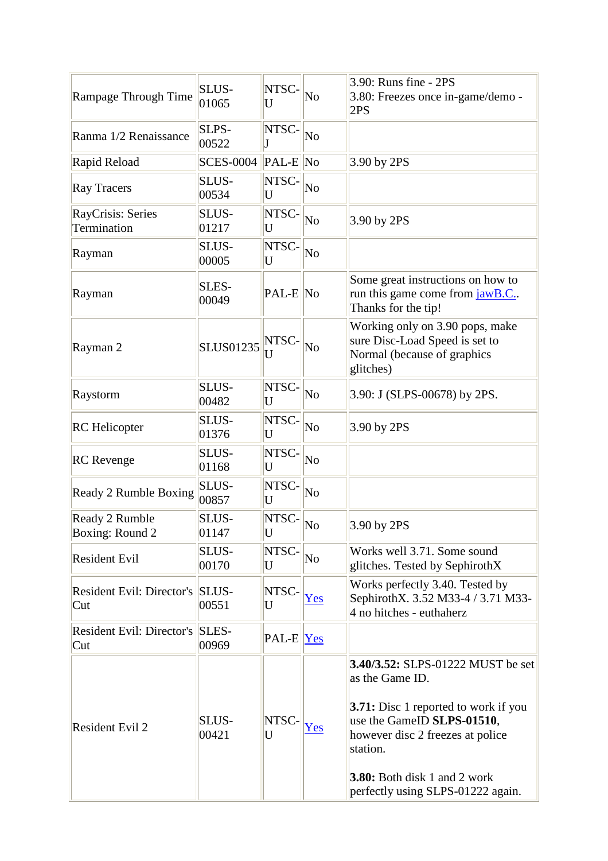| Rampage Through Time                    | SLUS-<br>01065        | <b>NTSC</b><br>U     | No                     | 3.90: Runs fine - 2PS<br>3.80: Freezes once in-game/demo -<br>2PS                                                                                                                                                                                      |
|-----------------------------------------|-----------------------|----------------------|------------------------|--------------------------------------------------------------------------------------------------------------------------------------------------------------------------------------------------------------------------------------------------------|
| Ranma 1/2 Renaissance                   | SLPS-<br>00522        | NTSC-<br>J           | No                     |                                                                                                                                                                                                                                                        |
| Rapid Reload                            | <b>SCES-0004</b>      | $ PAL-E $ No         |                        | 3.90 by 2PS                                                                                                                                                                                                                                            |
| <b>Ray Tracers</b>                      | SLUS-<br>00534        | NTSC-<br>U           | No                     |                                                                                                                                                                                                                                                        |
| <b>RayCrisis: Series</b><br>Termination | SLUS-<br>01217        | NTSC-<br>U           | $\overline{\text{No}}$ | 3.90 by 2PS                                                                                                                                                                                                                                            |
| Rayman                                  | SLUS-<br>00005        | NTSC-<br>U           | No                     |                                                                                                                                                                                                                                                        |
| Rayman                                  | SLES-<br>00049        | PAL-E No             |                        | Some great instructions on how to<br>run this game come from jawB.C.<br>Thanks for the tip!                                                                                                                                                            |
| Rayman 2                                | <b>SLUS01235</b>      | <b>NTSC</b><br>U     | $\overline{\text{No}}$ | Working only on 3.90 pops, make<br>sure Disc-Load Speed is set to<br>Normal (because of graphics<br>glitches)                                                                                                                                          |
| Raystorm                                | SLUS-<br>00482        | NTSC-<br>U           | No                     | 3.90: J (SLPS-00678) by 2PS.                                                                                                                                                                                                                           |
| <b>RC</b> Helicopter                    | SLUS-<br>01376        | NTSC-<br>U           | No                     | 3.90 by 2PS                                                                                                                                                                                                                                            |
| <b>RC</b> Revenge                       | SLUS-<br>01168        | NTSC-<br>U           | No                     |                                                                                                                                                                                                                                                        |
| Ready 2 Rumble Boxing                   | SLUS-<br>00857        | NTSC-<br>U           | No                     |                                                                                                                                                                                                                                                        |
| Ready 2 Rumble<br>Boxing: Round 2       | SLUS-<br>01147        | NTSC-<br>$\mathbf U$ | No                     | 3.90 by 2PS                                                                                                                                                                                                                                            |
| <b>Resident Evil</b>                    | SLUS-<br>00170        | NTSC-<br>U           | No                     | Works well 3.71. Some sound<br>glitches. Tested by SephirothX                                                                                                                                                                                          |
| <b>Resident Evil: Director's</b><br>Cut | SLUS-<br>00551        | NTSC-<br>U           | Yes                    | Works perfectly 3.40. Tested by<br>SephirothX. 3.52 M33-4 / 3.71 M33-<br>4 no hitches - euthaherz                                                                                                                                                      |
| <b>Resident Evil: Director's</b><br>Cut | SLES-<br>00969        | $\text{PAL-E}$  Yes  |                        |                                                                                                                                                                                                                                                        |
| <b>Resident Evil 2</b>                  | <b>SLUS-</b><br>00421 | NTSC-<br>U           | Yes                    | 3.40/3.52: SLPS-01222 MUST be set<br>as the Game ID.<br><b>3.71:</b> Disc 1 reported to work if you<br>use the GameID SLPS-01510,<br>however disc 2 freezes at police<br>station.<br>3.80: Both disk 1 and 2 work<br>perfectly using SLPS-01222 again. |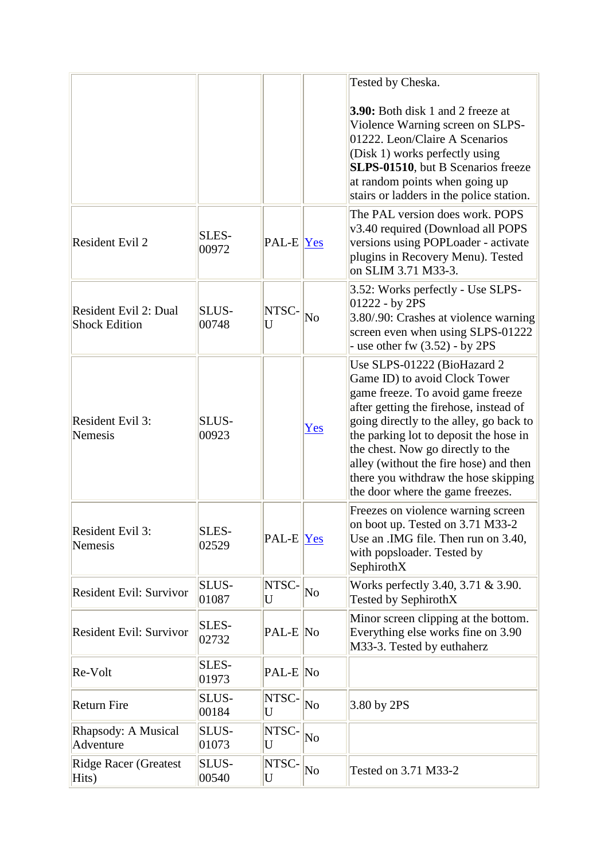|                                               |                       |                     |     | Tested by Cheska.                                                                                                                                                                                                                                                                                                                                                                           |
|-----------------------------------------------|-----------------------|---------------------|-----|---------------------------------------------------------------------------------------------------------------------------------------------------------------------------------------------------------------------------------------------------------------------------------------------------------------------------------------------------------------------------------------------|
|                                               |                       |                     |     | <b>3.90:</b> Both disk 1 and 2 freeze at<br>Violence Warning screen on SLPS-<br>01222. Leon/Claire A Scenarios<br>(Disk 1) works perfectly using<br>SLPS-01510, but B Scenarios freeze<br>at random points when going up<br>stairs or ladders in the police station.                                                                                                                        |
| <b>Resident Evil 2</b>                        | SLES-<br>00972        | $ PAL-E $ $Yes$     |     | The PAL version does work. POPS<br>v3.40 required (Download all POPS<br>versions using POPLoader - activate<br>plugins in Recovery Menu). Tested<br>on SLIM 3.71 M33-3.                                                                                                                                                                                                                     |
| Resident Evil 2: Dual<br><b>Shock Edition</b> | SLUS-<br>00748        | NTSC-<br>U          | No  | 3.52: Works perfectly - Use SLPS-<br>$01222 - by 2PS$<br>3.80/.90: Crashes at violence warning<br>screen even when using SLPS-01222<br>- use other fw $(3.52)$ - by 2PS                                                                                                                                                                                                                     |
| <b>Resident Evil 3:</b><br>Nemesis            | SLUS-<br>00923        |                     | Yes | Use SLPS-01222 (BioHazard 2<br>Game ID) to avoid Clock Tower<br>game freeze. To avoid game freeze<br>after getting the firehose, instead of<br>going directly to the alley, go back to<br>the parking lot to deposit the hose in<br>the chest. Now go directly to the<br>alley (without the fire hose) and then<br>there you withdraw the hose skipping<br>the door where the game freezes. |
| Resident Evil 3:<br>Nemesis                   | SLES-<br>02529        | $\text{PAL-E}$  Yes |     | Freezes on violence warning screen<br>on boot up. Tested on 3.71 M33-2<br>Use an .IMG file. Then run on 3.40,<br>with popsloader. Tested by<br>SephirothX                                                                                                                                                                                                                                   |
| <b>Resident Evil: Survivor</b>                | <b>SLUS-</b><br>01087 | NTSC-<br>U          | No  | Works perfectly 3.40, 3.71 & 3.90.<br>Tested by SephirothX                                                                                                                                                                                                                                                                                                                                  |
| <b>Resident Evil: Survivor</b>                | SLES-<br>02732        | PAL-E No            |     | Minor screen clipping at the bottom.<br>Everything else works fine on 3.90<br>M33-3. Tested by euthaherz                                                                                                                                                                                                                                                                                    |
| Re-Volt                                       | SLES-<br>01973        | PAL-E No            |     |                                                                                                                                                                                                                                                                                                                                                                                             |
| <b>Return Fire</b>                            | SLUS-<br>00184        | NTSC-<br>U          | No  | 3.80 by 2PS                                                                                                                                                                                                                                                                                                                                                                                 |
| Rhapsody: A Musical<br>Adventure              | SLUS-<br>01073        | NTSC-<br>U          | No  |                                                                                                                                                                                                                                                                                                                                                                                             |
| <b>Ridge Racer (Greatest</b><br>Hits)         | SLUS-<br>00540        | NTSC-<br>U          | No  | Tested on 3.71 M33-2                                                                                                                                                                                                                                                                                                                                                                        |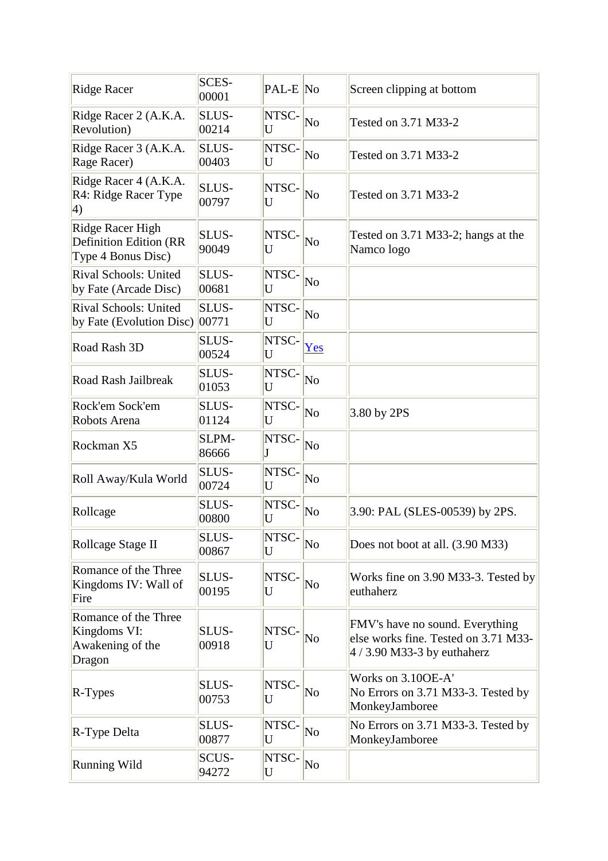| <b>Ridge Racer</b>                                                      | <b>SCES-</b><br>00001 | PAL-E No   |                        | Screen clipping at bottom                                                                              |
|-------------------------------------------------------------------------|-----------------------|------------|------------------------|--------------------------------------------------------------------------------------------------------|
| Ridge Racer 2 (A.K.A.<br>Revolution)                                    | SLUS-<br>00214        | NTSC-<br>U | $\overline{\text{No}}$ | Tested on 3.71 M33-2                                                                                   |
| Ridge Racer 3 (A.K.A.<br>Rage Racer)                                    | SLUS-<br>00403        | NTSC-<br>U | $\overline{\text{No}}$ | Tested on 3.71 M33-2                                                                                   |
| Ridge Racer 4 (A.K.A.<br>R4: Ridge Racer Type<br>$\vert 4)$             | SLUS-<br>00797        | NTSC-<br>U | $\overline{\text{No}}$ | Tested on 3.71 M33-2                                                                                   |
| Ridge Racer High<br><b>Definition Edition (RR</b><br>Type 4 Bonus Disc) | <b>SLUS-</b><br>90049 | NTSC-<br>U | $\overline{\text{No}}$ | Tested on 3.71 M33-2; hangs at the<br>Namco logo                                                       |
| Rival Schools: United<br>by Fate (Arcade Disc)                          | SLUS-<br>00681        | NTSC-<br>U | No                     |                                                                                                        |
| Rival Schools: United<br>by Fate (Evolution Disc)                       | SLUS-<br> 00771       | NTSC-<br>U | $\overline{\text{No}}$ |                                                                                                        |
| Road Rash 3D                                                            | SLUS-<br>00524        | NTSC-<br>U | Yes                    |                                                                                                        |
| Road Rash Jailbreak                                                     | SLUS-<br>01053        | NTSC-<br>U | No                     |                                                                                                        |
| Rock'em Sock'em<br>Robots Arena                                         | SLUS-<br>01124        | NTSC-<br>U | $\overline{\text{No}}$ | 3.80 by 2PS                                                                                            |
| Rockman X5                                                              | SLPM-<br>86666        | NTSC-<br>J | No                     |                                                                                                        |
| Roll Away/Kula World                                                    | SLUS-<br>00724        | NTSC-<br>U | No                     |                                                                                                        |
| Rollcage                                                                | SLUS-<br>00800        | NTSC-<br>U | No                     | 3.90: PAL (SLES-00539) by 2PS.                                                                         |
| Rollcage Stage II                                                       | SLUS-<br>00867        | NTSC-<br>U | $\overline{\text{No}}$ | Does not boot at all. (3.90 M33)                                                                       |
| Romance of the Three<br>Kingdoms IV: Wall of<br>Fire                    | SLUS-<br>00195        | NTSC-<br>U | N <sub>o</sub>         | Works fine on 3.90 M33-3. Tested by<br>euthaherz                                                       |
| Romance of the Three<br>Kingdoms VI:<br>Awakening of the<br>Dragon      | SLUS-<br>00918        | NTSC-<br>U | No                     | FMV's have no sound. Everything<br>else works fine. Tested on 3.71 M33-<br>$4/3.90$ M33-3 by euthaherz |
| $R-Types$                                                               | SLUS-<br>00753        | NTSC-<br>U | No                     | Works on 3.10OE-A'<br>No Errors on 3.71 M33-3. Tested by<br>MonkeyJamboree                             |
| R-Type Delta                                                            | SLUS-<br>00877        | NTSC-<br>U | $\overline{\text{No}}$ | No Errors on 3.71 M33-3. Tested by<br>MonkeyJamboree                                                   |
| <b>Running Wild</b>                                                     | SCUS-<br>94272        | NTSC-<br>U | No                     |                                                                                                        |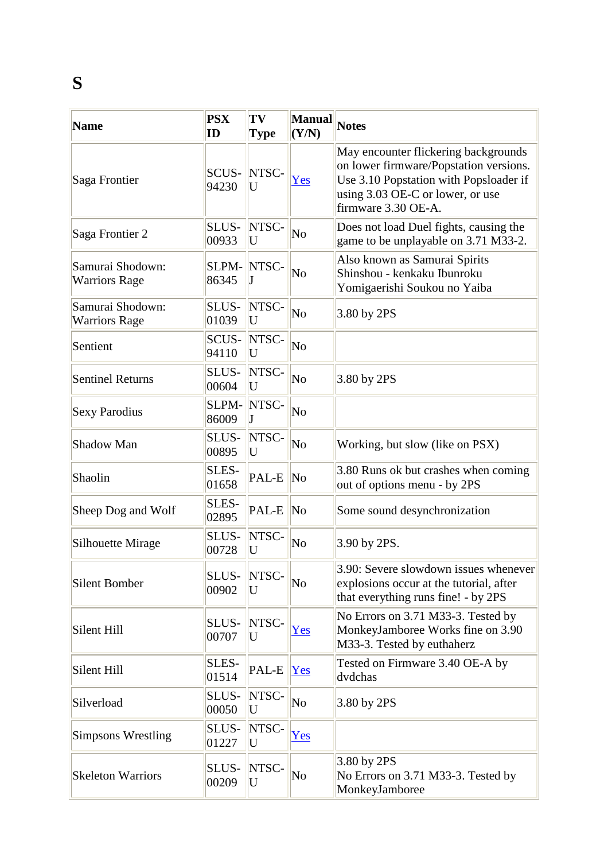## **S**

| <b>Name</b>                              | <b>PSX</b><br>ID      | TV<br>Type | Manual<br>(Y/N)        | <b>Notes</b>                                                                                                                                                                        |
|------------------------------------------|-----------------------|------------|------------------------|-------------------------------------------------------------------------------------------------------------------------------------------------------------------------------------|
| Saga Frontier                            | SCUS-<br>94230        | NTSC-<br>U | Yes                    | May encounter flickering backgrounds<br>on lower firmware/Popstation versions.<br>Use 3.10 Popstation with Popsloader if<br>using 3.03 OE-C or lower, or use<br>firmware 3.30 OE-A. |
| Saga Frontier 2                          | SLUS-<br>00933        | NTSC-<br>U | No                     | Does not load Duel fights, causing the<br>game to be unplayable on 3.71 M33-2.                                                                                                      |
| Samurai Shodown:<br><b>Warriors Rage</b> | SLPM-<br>86345        | NTSC-      | No                     | Also known as Samurai Spirits<br>Shinshou - kenkaku Ibunroku<br>Yomigaerishi Soukou no Yaiba                                                                                        |
| Samurai Shodown:<br><b>Warriors Rage</b> | SLUS-<br>01039        | NTSC-<br>U | No                     | 3.80 by 2PS                                                                                                                                                                         |
| Sentient                                 | <b>SCUS-</b><br>94110 | NTSC-<br>U | $\overline{\text{No}}$ |                                                                                                                                                                                     |
| <b>Sentinel Returns</b>                  | SLUS-<br>00604        | NTSC-<br>U | No                     | 3.80 by 2PS                                                                                                                                                                         |
| <b>Sexy Parodius</b>                     | SLPM-<br>86009        | NTSC-      | No                     |                                                                                                                                                                                     |
| Shadow Man                               | SLUS-<br>00895        | NTSC-<br>U | No                     | Working, but slow (like on PSX)                                                                                                                                                     |
| Shaolin                                  | SLES-<br>01658        | PAL-E      | $\overline{\text{No}}$ | 3.80 Runs ok but crashes when coming<br>out of options menu - by 2PS                                                                                                                |
| Sheep Dog and Wolf                       | SLES-<br>02895        | PAL-E      | $\overline{\text{No}}$ | Some sound desynchronization                                                                                                                                                        |
| Silhouette Mirage                        | SLUS-<br>00728        | NTSC-<br>U | $\overline{\text{No}}$ | 3.90 by 2PS.                                                                                                                                                                        |
| Silent Bomber                            | SLUS-<br>00902        | NTSC-<br>U | No                     | 3.90: Severe slowdown issues whenever<br>explosions occur at the tutorial, after<br>that everything runs fine! - by 2PS                                                             |
| Silent Hill                              | <b>SLUS-</b><br>00707 | NTSC-<br>U | Yes                    | No Errors on 3.71 M33-3. Tested by<br>MonkeyJamboree Works fine on 3.90<br>M33-3. Tested by euthaherz                                                                               |
| Silent Hill                              | SLES-<br>01514        | PAL-E      | Yes                    | Tested on Firmware 3.40 OE-A by<br>dvdchas                                                                                                                                          |
| Silverload                               | SLUS-<br>00050        | NTSC-<br>U | $\overline{\text{No}}$ | 3.80 by 2PS                                                                                                                                                                         |
| <b>Simpsons Wrestling</b>                | <b>SLUS-</b><br>01227 | NTSC-<br>U | Yes                    |                                                                                                                                                                                     |
| <b>Skeleton Warriors</b>                 | <b>SLUS-</b><br>00209 | NTSC-<br>U | $\overline{\rm No}$    | 3.80 by 2PS<br>No Errors on 3.71 M33-3. Tested by<br>MonkeyJamboree                                                                                                                 |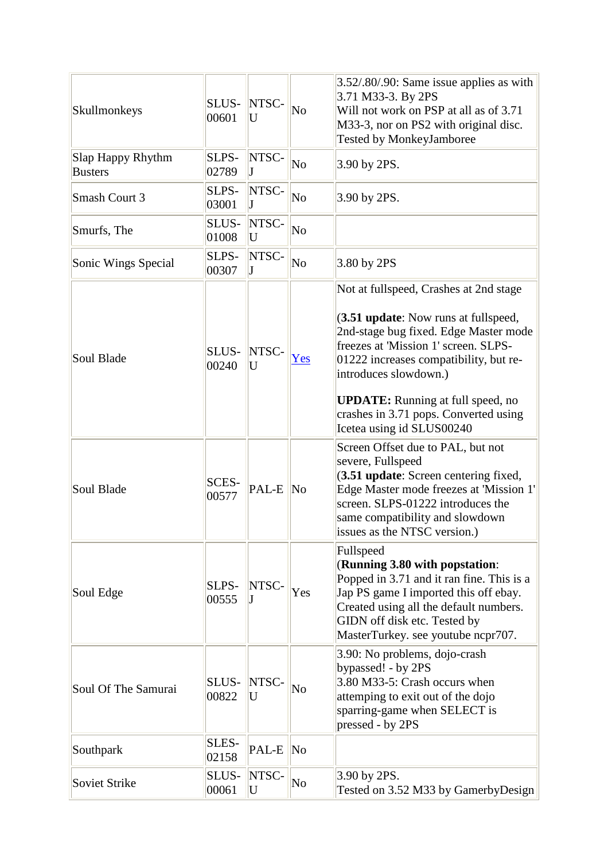| Skullmonkeys                        | SLUS-<br>00601        | NTSC-<br>U | No                     | 3.52/.80/.90: Same issue applies as with<br>3.71 M33-3. By 2PS<br>Will not work on PSP at all as of 3.71<br>M33-3, nor on PS2 with original disc.<br><b>Tested by MonkeyJamboree</b>                                                                                                                                                                 |
|-------------------------------------|-----------------------|------------|------------------------|------------------------------------------------------------------------------------------------------------------------------------------------------------------------------------------------------------------------------------------------------------------------------------------------------------------------------------------------------|
| Slap Happy Rhythm<br><b>Busters</b> | SLPS-<br>02789        | NTSC-      | $\overline{\text{No}}$ | 3.90 by 2PS.                                                                                                                                                                                                                                                                                                                                         |
| Smash Court 3                       | SLPS-<br>03001        | NTSC-      | No                     | 3.90 by 2PS.                                                                                                                                                                                                                                                                                                                                         |
| Smurfs, The                         | SLUS-<br>01008        | NTSC-<br>U | No                     |                                                                                                                                                                                                                                                                                                                                                      |
| Sonic Wings Special                 | SLPS-<br>00307        | NTSC-      | $\overline{\text{No}}$ | 3.80 by 2PS                                                                                                                                                                                                                                                                                                                                          |
| Soul Blade                          | SLUS-<br>00240        | NTSC-<br>U | Yes                    | Not at fullspeed, Crashes at 2nd stage<br>(3.51 update: Now runs at fullspeed,<br>2nd-stage bug fixed. Edge Master mode<br>freezes at 'Mission 1' screen. SLPS-<br>01222 increases compatibility, but re-<br>introduces slowdown.)<br><b>UPDATE:</b> Running at full speed, no<br>crashes in 3.71 pops. Converted using<br>Icetea using id SLUS00240 |
| Soul Blade                          | SCES-<br>00577        | PAL-E No   |                        | Screen Offset due to PAL, but not<br>severe, Fullspeed<br>(3.51 update: Screen centering fixed,<br>Edge Master mode freezes at 'Mission 1'<br>screen. SLPS-01222 introduces the<br>same compatibility and slowdown<br>issues as the NTSC version.)                                                                                                   |
| Soul Edge                           | SLPS-<br>00555        | NTSC-      | Yes                    | Fullspeed<br>(Running 3.80 with popstation:<br>Popped in 3.71 and it ran fine. This is a<br>Jap PS game I imported this off ebay.<br>Created using all the default numbers.<br>GIDN off disk etc. Tested by<br>MasterTurkey. see youtube ncpr707.                                                                                                    |
| Soul Of The Samurai                 | SLUS-<br>00822        | NTSC-<br>U | No                     | 3.90: No problems, dojo-crash<br>bypassed! - by 2PS<br>3.80 M33-5: Crash occurs when<br>attemping to exit out of the dojo<br>sparring-game when SELECT is<br>pressed - by 2PS                                                                                                                                                                        |
| Southpark                           | <b>SLES-</b><br>02158 | PAL-E      | $\overline{\text{No}}$ |                                                                                                                                                                                                                                                                                                                                                      |
| Soviet Strike                       | SLUS-<br>00061        | NTSC-<br>U | No                     | 3.90 by 2PS.<br>Tested on 3.52 M33 by GamerbyDesign                                                                                                                                                                                                                                                                                                  |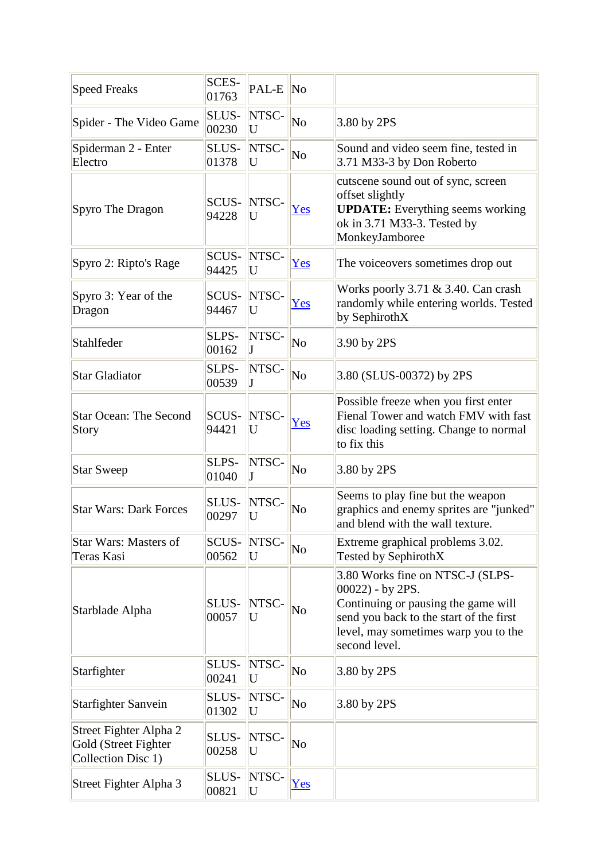| <b>Speed Freaks</b>                                                  | SCES-<br>01763 | PAL-E      | $\overline{\text{No}}$ |                                                                                                                                                                                                    |
|----------------------------------------------------------------------|----------------|------------|------------------------|----------------------------------------------------------------------------------------------------------------------------------------------------------------------------------------------------|
| Spider - The Video Game                                              | SLUS-<br>00230 | NTSC-<br>U | No                     | 3.80 by 2PS                                                                                                                                                                                        |
| Spiderman 2 - Enter<br>Electro                                       | SLUS-<br>01378 | NTSC-<br>U | $\overline{\text{No}}$ | Sound and video seem fine, tested in<br>3.71 M33-3 by Don Roberto                                                                                                                                  |
| Spyro The Dragon                                                     | SCUS-<br>94228 | NTSC-<br>U | Yes                    | cutscene sound out of sync, screen<br>offset slightly<br><b>UPDATE:</b> Everything seems working<br>ok in 3.71 M33-3. Tested by<br>MonkeyJamboree                                                  |
| Spyro 2: Ripto's Rage                                                | SCUS-<br>94425 | NTSC-<br>U | Yes                    | The voice overs sometimes drop out                                                                                                                                                                 |
| Spyro 3: Year of the<br>Dragon                                       | SCUS-<br>94467 | NTSC-<br>U | Yes                    | Works poorly 3.71 & 3.40. Can crash<br>randomly while entering worlds. Tested<br>by SephirothX                                                                                                     |
| Stahlfeder                                                           | SLPS-<br>00162 | NTSC-<br>J | No                     | 3.90 by 2PS                                                                                                                                                                                        |
| <b>Star Gladiator</b>                                                | SLPS-<br>00539 | NTSC-      | $\overline{\text{No}}$ | 3.80 (SLUS-00372) by 2PS                                                                                                                                                                           |
| <b>Star Ocean: The Second</b><br>Story                               | SCUS-<br>94421 | NTSC-<br>U | Yes                    | Possible freeze when you first enter<br>Fienal Tower and watch FMV with fast<br>disc loading setting. Change to normal<br>to fix this                                                              |
| <b>Star Sweep</b>                                                    | SLPS-<br>01040 | NTSC-<br>J | N <sub>o</sub>         | 3.80 by 2PS                                                                                                                                                                                        |
| <b>Star Wars: Dark Forces</b>                                        | SLUS-<br>00297 | NTSC-<br>U | No                     | Seems to play fine but the weapon<br>graphics and enemy sprites are "junked"<br>and blend with the wall texture.                                                                                   |
| <b>Star Wars: Masters of</b><br>Teras Kasi                           | SCUS-<br>00562 | NTSC-<br>U | No                     | Extreme graphical problems 3.02.<br>Tested by SephirothX                                                                                                                                           |
| Starblade Alpha                                                      | SLUS-<br>00057 | NTSC-<br>U | No                     | 3.80 Works fine on NTSC-J (SLPS-<br>$00022$ ) - by 2PS.<br>Continuing or pausing the game will<br>send you back to the start of the first<br>level, may sometimes warp you to the<br>second level. |
| Starfighter                                                          | SLUS-<br>00241 | NTSC-<br>U | N <sub>o</sub>         | 3.80 by 2PS                                                                                                                                                                                        |
| <b>Starfighter Sanvein</b>                                           | SLUS-<br>01302 | NTSC-<br>U | N <sub>o</sub>         | 3.80 by 2PS                                                                                                                                                                                        |
| Street Fighter Alpha 2<br>Gold (Street Fighter<br>Collection Disc 1) | SLUS-<br>00258 | NTSC-<br>U | No                     |                                                                                                                                                                                                    |
| Street Fighter Alpha 3                                               | SLUS-<br>00821 | NTSC-<br>U | Yes                    |                                                                                                                                                                                                    |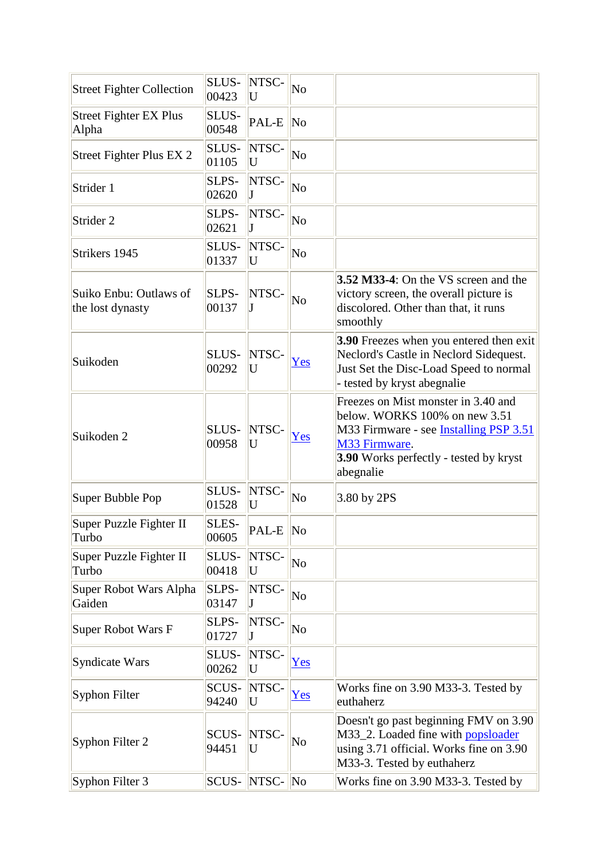| <b>Street Fighter Collection</b>           | SLUS-<br>00423 | NTSC-<br>U | No                     |                                                                                                                                                                                                      |
|--------------------------------------------|----------------|------------|------------------------|------------------------------------------------------------------------------------------------------------------------------------------------------------------------------------------------------|
| <b>Street Fighter EX Plus</b><br>Alpha     | SLUS-<br>00548 | PAL-E      | N <sub>0</sub>         |                                                                                                                                                                                                      |
| Street Fighter Plus EX 2                   | SLUS-<br>01105 | NTSC-<br>U | No                     |                                                                                                                                                                                                      |
| Strider 1                                  | SLPS-<br>02620 | NTSC-      | No                     |                                                                                                                                                                                                      |
| Strider 2                                  | SLPS-<br>02621 | NTSC-<br>J | No                     |                                                                                                                                                                                                      |
| Strikers 1945                              | SLUS-<br>01337 | NTSC-<br>U | No                     |                                                                                                                                                                                                      |
| Suiko Enbu: Outlaws of<br>the lost dynasty | SLPS-<br>00137 | NTSC-      | No                     | <b>3.52 M33-4:</b> On the VS screen and the<br>victory screen, the overall picture is<br>discolored. Other than that, it runs<br>smoothly                                                            |
| Suikoden                                   | SLUS-<br>00292 | NTSC-<br>U | Yes                    | 3.90 Freezes when you entered then exit<br>Neclord's Castle in Neclord Sidequest.<br>Just Set the Disc-Load Speed to normal<br>- tested by kryst abegnalie                                           |
| Suikoden 2                                 | SLUS-<br>00958 | NTSC-<br>U | Yes                    | Freezes on Mist monster in 3.40 and<br>below. WORKS 100% on new 3.51<br>M33 Firmware - see <b>Installing PSP 3.51</b><br>M33 Firmware.<br><b>3.90</b> Works perfectly - tested by kryst<br>abegnalie |
| Super Bubble Pop                           | SLUS-<br>01528 | NTSC-<br>U | No                     | 3.80 by 2PS                                                                                                                                                                                          |
| Super Puzzle Fighter II<br>Turbo           | SLES-<br>00605 | PAL-E      | $\overline{\text{No}}$ |                                                                                                                                                                                                      |
| Super Puzzle Fighter II<br>Turbo           | SLUS-<br>00418 | NTSC-<br>U | No                     |                                                                                                                                                                                                      |
| Super Robot Wars Alpha<br>Gaiden           | SLPS-<br>03147 | NTSC-      | No                     |                                                                                                                                                                                                      |
| <b>Super Robot Wars F</b>                  | SLPS-<br>01727 | NTSC-      | No                     |                                                                                                                                                                                                      |
| Syndicate Wars                             | SLUS-<br>00262 | NTSC-<br>U | Yes                    |                                                                                                                                                                                                      |
| Syphon Filter                              | SCUS-<br>94240 | NTSC-<br>U | Yes                    | Works fine on 3.90 M33-3. Tested by<br>euthaherz                                                                                                                                                     |
| Syphon Filter 2                            | SCUS-<br>94451 | NTSC-<br>U | No                     | Doesn't go past beginning FMV on 3.90<br>M33_2. Loaded fine with popsloader<br>using 3.71 official. Works fine on 3.90<br>M33-3. Tested by euthaherz                                                 |
| Syphon Filter 3                            | SCUS-          | NTSC-      | $\overline{\text{No}}$ | Works fine on 3.90 M33-3. Tested by                                                                                                                                                                  |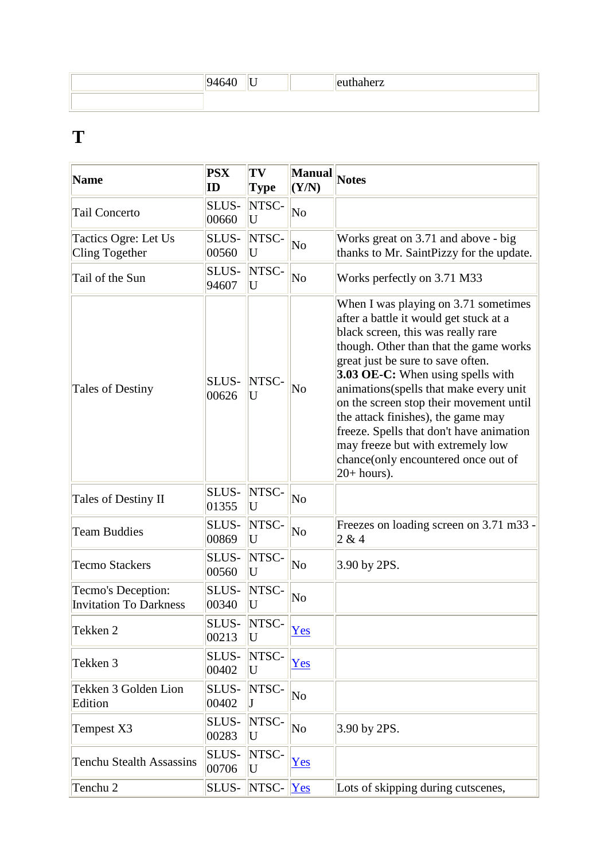|  |  | $\sim$ 44 $-$ |
|--|--|---------------|
|  |  |               |

#### **T**

| <b>Name</b>                                         | <b>PSX</b><br>ID | TV<br><b>Type</b>        | Manual<br>(Y/N)        | <b>Notes</b>                                                                                                                                                                                                                                                                                                                                                                                                                                                                                                         |
|-----------------------------------------------------|------------------|--------------------------|------------------------|----------------------------------------------------------------------------------------------------------------------------------------------------------------------------------------------------------------------------------------------------------------------------------------------------------------------------------------------------------------------------------------------------------------------------------------------------------------------------------------------------------------------|
| <b>Tail Concerto</b>                                | SLUS-<br>00660   | NTSC-<br>U               | No                     |                                                                                                                                                                                                                                                                                                                                                                                                                                                                                                                      |
| Tactics Ogre: Let Us<br>Cling Together              | SLUS-<br>00560   | NTSC-<br>U               | No                     | Works great on 3.71 and above - big<br>thanks to Mr. SaintPizzy for the update.                                                                                                                                                                                                                                                                                                                                                                                                                                      |
| Tail of the Sun                                     | SLUS-<br>94607   | NTSC-<br>U               | $\overline{\text{No}}$ | Works perfectly on 3.71 M33                                                                                                                                                                                                                                                                                                                                                                                                                                                                                          |
| <b>Tales of Destiny</b>                             | SLUS-<br>00626   | NTSC-<br>U               | No                     | When I was playing on 3.71 sometimes<br>after a battle it would get stuck at a<br>black screen, this was really rare<br>though. Other than that the game works<br>great just be sure to save often.<br><b>3.03 OE-C:</b> When using spells with<br>animations(spells that make every unit<br>on the screen stop their movement until<br>the attack finishes), the game may<br>freeze. Spells that don't have animation<br>may freeze but with extremely low<br>chance(only encountered once out of<br>$20+ hours$ ). |
| Tales of Destiny II                                 | SLUS-<br>01355   | NTSC-<br>U               | $\overline{\text{No}}$ |                                                                                                                                                                                                                                                                                                                                                                                                                                                                                                                      |
| <b>Team Buddies</b>                                 | SLUS-<br>00869   | NTSC-<br>U               | $\overline{\text{No}}$ | Freezes on loading screen on 3.71 m33 -<br>2 & 4                                                                                                                                                                                                                                                                                                                                                                                                                                                                     |
| <b>Tecmo Stackers</b>                               | SLUS-<br>00560   | NTSC-<br>U               | N <sub>o</sub>         | 3.90 by 2PS.                                                                                                                                                                                                                                                                                                                                                                                                                                                                                                         |
| Tecmo's Deception:<br><b>Invitation To Darkness</b> | SLUS-<br>00340   | NTSC-<br>U               | $\overline{\text{No}}$ |                                                                                                                                                                                                                                                                                                                                                                                                                                                                                                                      |
| Tekken 2                                            | 00213            | <b>SLUS- INTSC-</b><br>U | Yes                    |                                                                                                                                                                                                                                                                                                                                                                                                                                                                                                                      |
| Tekken 3                                            | SLUS-<br>00402   | NTSC-<br>U               | Yes                    |                                                                                                                                                                                                                                                                                                                                                                                                                                                                                                                      |
| Tekken 3 Golden Lion<br>Edition                     | SLUS-<br>00402   | NTSC-                    | No                     |                                                                                                                                                                                                                                                                                                                                                                                                                                                                                                                      |
| Tempest X3                                          | SLUS-<br>00283   | NTSC-<br>U               | No                     | 3.90 by 2PS.                                                                                                                                                                                                                                                                                                                                                                                                                                                                                                         |
| <b>Tenchu Stealth Assassins</b>                     | SLUS-<br>00706   | NTSC-<br>U               | Yes                    |                                                                                                                                                                                                                                                                                                                                                                                                                                                                                                                      |
| Tenchu 2                                            | SLUS-            | NTSC-                    | Yes                    | Lots of skipping during cutscenes,                                                                                                                                                                                                                                                                                                                                                                                                                                                                                   |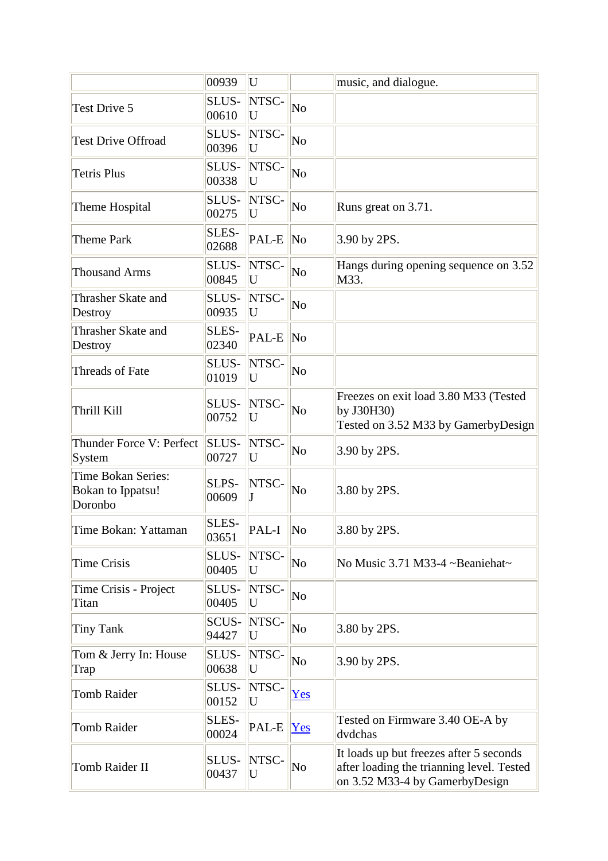|                                                                  | 00939          | U             |                        | music, and dialogue.                                                                                                   |
|------------------------------------------------------------------|----------------|---------------|------------------------|------------------------------------------------------------------------------------------------------------------------|
| <b>Test Drive 5</b>                                              | SLUS-<br>00610 | NTSC-<br>U    | N <sub>o</sub>         |                                                                                                                        |
| <b>Test Drive Offroad</b>                                        | SLUS-<br>00396 | NTSC-<br>U    | $\overline{\text{No}}$ |                                                                                                                        |
| <b>Tetris Plus</b>                                               | SLUS-<br>00338 | NTSC-<br>U    | $\overline{\text{No}}$ |                                                                                                                        |
| Theme Hospital                                                   | SLUS-<br>00275 | NTSC-<br>U    | No                     | Runs great on 3.71.                                                                                                    |
| <b>Theme Park</b>                                                | SLES-<br>02688 | PAL-E         | $\overline{\text{No}}$ | 3.90 by 2PS.                                                                                                           |
| <b>Thousand Arms</b>                                             | SLUS-<br>00845 | NTSC-<br>U    | N <sub>o</sub>         | Hangs during opening sequence on 3.52<br>M33.                                                                          |
| Thrasher Skate and<br>Destroy                                    | SLUS-<br>00935 | NTSC-<br>U    | No                     |                                                                                                                        |
| Thrasher Skate and<br>Destroy                                    | SLES-<br>02340 | PAL-E         | $\overline{\text{No}}$ |                                                                                                                        |
| Threads of Fate                                                  | SLUS-<br>01019 | NTSC-<br>U    | No                     |                                                                                                                        |
| Thrill Kill                                                      | SLUS-<br>00752 | NTSC-<br>U    | No                     | Freezes on exit load 3.80 M33 (Tested<br>by J30H30)<br>Tested on 3.52 M33 by GamerbyDesign                             |
| Thunder Force V: Perfect<br>System                               | SLUS-<br>00727 | NTSC-<br>U    | $\overline{\text{No}}$ | 3.90 by 2PS.                                                                                                           |
| <b>Time Bokan Series:</b><br><b>Bokan to Ippatsu!</b><br>Doronbo | SLPS-<br>00609 | NTSC-         | No                     | 3.80 by 2PS.                                                                                                           |
| Time Bokan: Yattaman                                             | SLES-<br>03651 | PAL-I $\ $ No |                        | 3.80 by 2PS.                                                                                                           |
| <b>Time Crisis</b>                                               | SLUS-<br>00405 | NTSC-<br>U    | $\overline{\text{No}}$ | No Music 3.71 M33-4 ~Beaniehat~                                                                                        |
| Time Crisis - Project<br>Titan                                   | SLUS-<br>00405 | NTSC-<br>U    | N <sub>o</sub>         |                                                                                                                        |
| <b>Tiny Tank</b>                                                 | SCUS-<br>94427 | NTSC-<br>U    | N <sub>o</sub>         | 3.80 by 2PS.                                                                                                           |
| Tom & Jerry In: House<br>Trap                                    | SLUS-<br>00638 | NTSC-<br>U    | N <sub>o</sub>         | 3.90 by 2PS.                                                                                                           |
| <b>Tomb Raider</b>                                               | SLUS-<br>00152 | NTSC-<br>U    | Yes                    |                                                                                                                        |
| <b>Tomb Raider</b>                                               | SLES-<br>00024 | PAL-E         | Yes                    | Tested on Firmware 3.40 OE-A by<br>dvdchas                                                                             |
| Tomb Raider II                                                   | SLUS-<br>00437 | NTSC-<br>U    | N <sub>o</sub>         | It loads up but freezes after 5 seconds<br>after loading the trianning level. Tested<br>on 3.52 M33-4 by GamerbyDesign |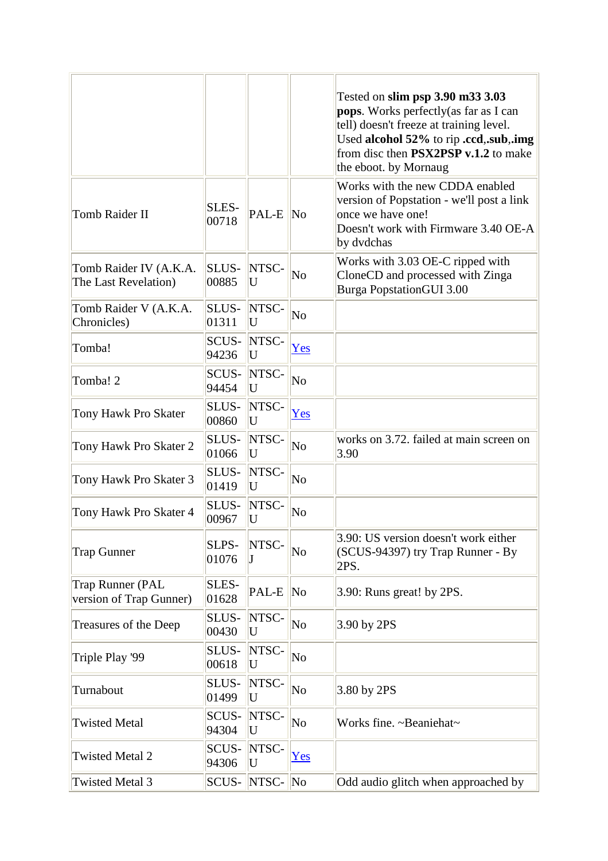|                                                |                |            |                        | Tested on slim psp 3.90 m33 3.03<br><b>pops.</b> Works perfectly (as far as I can<br>tell) doesn't freeze at training level.<br>Used alcohol 52% to rip .ccd, sub, img<br>from disc then <b>PSX2PSP</b> v.1.2 to make<br>the eboot. by Mornaug |
|------------------------------------------------|----------------|------------|------------------------|------------------------------------------------------------------------------------------------------------------------------------------------------------------------------------------------------------------------------------------------|
| Tomb Raider II                                 | SLES-<br>00718 | PAL-E      | N <sub>0</sub>         | Works with the new CDDA enabled<br>version of Popstation - we'll post a link<br>once we have one!<br>Doesn't work with Firmware 3.40 OE-A<br>by dvdchas                                                                                        |
| Tomb Raider IV (A.K.A.<br>The Last Revelation) | SLUS-<br>00885 | NTSC-<br>U | N <sub>o</sub>         | Works with 3.03 OE-C ripped with<br>CloneCD and processed with Zinga<br><b>Burga PopstationGUI 3.00</b>                                                                                                                                        |
| Tomb Raider V (A.K.A.<br>Chronicles)           | SLUS-<br>01311 | NTSC-<br>U | No                     |                                                                                                                                                                                                                                                |
| Tomba!                                         | SCUS-<br>94236 | NTSC-<br>U | Yes                    |                                                                                                                                                                                                                                                |
| Tomba! 2                                       | SCUS-<br>94454 | NTSC-<br>U | No                     |                                                                                                                                                                                                                                                |
| Tony Hawk Pro Skater                           | SLUS-<br>00860 | NTSC-<br>U | Yes                    |                                                                                                                                                                                                                                                |
| Tony Hawk Pro Skater 2                         | SLUS-<br>01066 | NTSC-<br>U | No                     | works on 3.72. failed at main screen on<br>3.90                                                                                                                                                                                                |
| Tony Hawk Pro Skater 3                         | SLUS-<br>01419 | NTSC-<br>U | No                     |                                                                                                                                                                                                                                                |
| Tony Hawk Pro Skater 4                         | SLUS-<br>00967 | NTSC-<br>U | No                     |                                                                                                                                                                                                                                                |
| <b>Trap Gunner</b>                             | SLPS-<br>01076 | NTSC-      | N <sub>o</sub>         | 3.90: US version doesn't work either<br>(SCUS-94397) try Trap Runner - By<br>2PS.                                                                                                                                                              |
| Trap Runner (PAL<br>version of Trap Gunner)    | SLES-<br>01628 | PAL-E      | $\overline{\text{No}}$ | 3.90: Runs great! by 2PS.                                                                                                                                                                                                                      |
| Treasures of the Deep                          | SLUS-<br>00430 | NTSC-<br>U | No                     | 3.90 by 2PS                                                                                                                                                                                                                                    |
| Triple Play '99                                | SLUS-<br>00618 | NTSC-<br>U | N <sub>o</sub>         |                                                                                                                                                                                                                                                |
| Turnabout                                      | SLUS-<br>01499 | NTSC-<br>U | No                     | 3.80 by 2PS                                                                                                                                                                                                                                    |
| <b>Twisted Metal</b>                           | SCUS-<br>94304 | NTSC-<br>U | No                     | Works fine. ~Beaniehat~                                                                                                                                                                                                                        |
| <b>Twisted Metal 2</b>                         | SCUS-<br>94306 | NTSC-<br>U | Yes                    |                                                                                                                                                                                                                                                |
| <b>Twisted Metal 3</b>                         | SCUS-          | NTSC-      | $\sqrt{N}$             | Odd audio glitch when approached by                                                                                                                                                                                                            |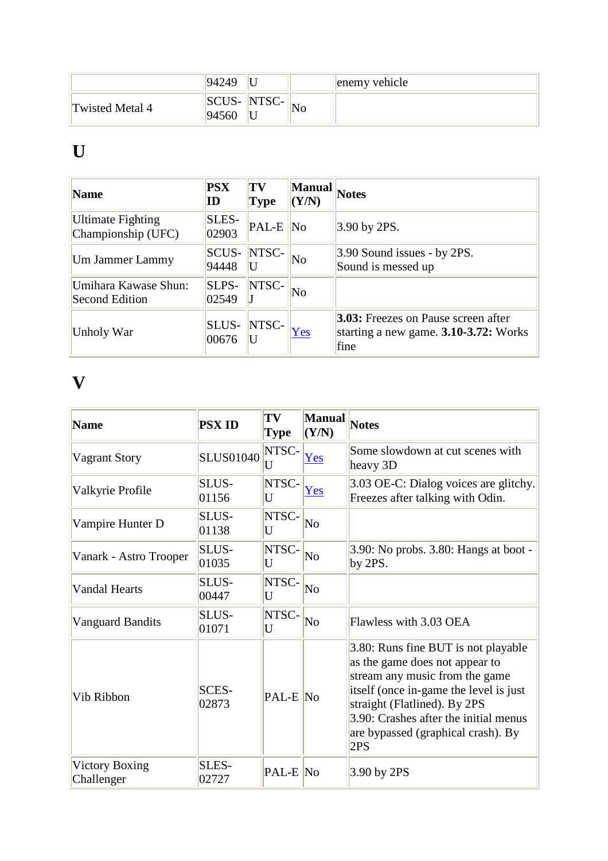|                 | 94249          |                   |    | enemy vehicle |
|-----------------|----------------|-------------------|----|---------------|
| Twisted Metal 4 | SCUS-<br>94560 | NTSC<br>∵−ب10 ادن | No |               |

## **U**

| <b>Name</b>                             | <b>PSX</b><br>ID      | TV<br><b>Type</b> | <b>Manual</b><br>(Y/N) | <b>Notes</b>                                                                                |
|-----------------------------------------|-----------------------|-------------------|------------------------|---------------------------------------------------------------------------------------------|
| Ultimate Fighting<br>Championship (UFC) | SLES-<br>02903        | PAL-E             | N <sub>0</sub>         | $3.90$ by 2PS.                                                                              |
| Um Jammer Lammy                         | <b>SCUS-</b><br>94448 | NTSC-             | $\overline{\text{No}}$ | $3.90$ Sound issues - by 2PS.<br>Sound is messed up                                         |
| Umihara Kawase Shun:<br>Second Edition  | SLPS-<br>02549        | NTSC-             | No                     |                                                                                             |
| Unholy War                              | <b>SLUS-</b><br>00676 | NTSC-             | Yes                    | <b>3.03:</b> Freezes on Pause screen after<br>starting a new game. 3.10-3.72: Works<br>fine |

#### **V**

| <b>Name</b>                         | <b>PSX ID</b>         | TV<br><b>Type</b>     | <b>Manual</b><br>(Y/N) | <b>Notes</b>                                                                                                                                                                                                                                                            |
|-------------------------------------|-----------------------|-----------------------|------------------------|-------------------------------------------------------------------------------------------------------------------------------------------------------------------------------------------------------------------------------------------------------------------------|
| Vagrant Story                       | <b>SLUS01040</b>      | NTSC-<br>U            | Yes                    | Some slowdown at cut scenes with<br>heavy 3D                                                                                                                                                                                                                            |
| Valkyrie Profile                    | SLUS-<br>01156        | NTSC-<br>U            | Yes                    | 3.03 OE-C: Dialog voices are glitchy.<br>Freezes after talking with Odin.                                                                                                                                                                                               |
| Vampire Hunter D                    | SLUS-<br>01138        | NTSC-<br>U            | N <sub>o</sub>         |                                                                                                                                                                                                                                                                         |
| Vanark - Astro Trooper              | <b>SLUS-</b><br>01035 | NTSC-<br>U            | $\overline{\text{No}}$ | 3.90: No probs. 3.80: Hangs at boot -<br>by 2PS.                                                                                                                                                                                                                        |
| <b>Vandal Hearts</b>                | SLUS-<br>00447        | NTSC-<br>U            | $\overline{\text{No}}$ |                                                                                                                                                                                                                                                                         |
| <b>Vanguard Bandits</b>             | SLUS-<br>01071        | NTSC-<br>U            | $\overline{\text{No}}$ | Flawless with 3.03 OEA                                                                                                                                                                                                                                                  |
| Vib Ribbon                          | SCES-<br>02873        | $\overline{PAL-E}$ No |                        | 3.80: Runs fine BUT is not playable<br>as the game does not appear to<br>stream any music from the game<br>itself (once in-game the level is just<br>straight (Flatlined). By 2PS<br>3.90: Crashes after the initial menus<br>are bypassed (graphical crash). By<br>2PS |
| <b>Victory Boxing</b><br>Challenger | SLES-<br>02727        | PAL-E No              |                        | 3.90 by 2PS                                                                                                                                                                                                                                                             |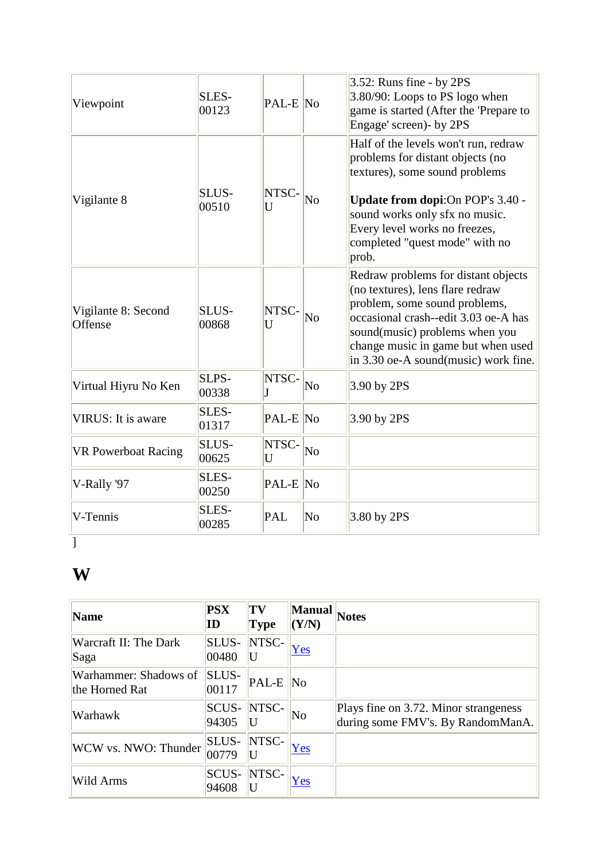|                                |                       |              |                        | 3.52: Runs fine - by 2PS                                                                                                                                                                                                                                         |
|--------------------------------|-----------------------|--------------|------------------------|------------------------------------------------------------------------------------------------------------------------------------------------------------------------------------------------------------------------------------------------------------------|
| Viewpoint                      | SLES-<br>00123        | $PAL-E$ No   |                        | 3.80/90: Loops to PS logo when<br>game is started (After the 'Prepare to<br>Engage' screen)- by 2PS                                                                                                                                                              |
| Vigilante 8                    | SLUS-<br>00510        | NTSC-<br>U   | $\overline{\text{No}}$ | Half of the levels won't run, redraw<br>problems for distant objects (no<br>textures), some sound problems<br>Update from dopi: On POP's 3.40 -<br>sound works only sfx no music.<br>Every level works no freezes,<br>completed "quest mode" with no<br>prob.    |
| Vigilante 8: Second<br>Offense | <b>SLUS-</b><br>00868 | NTSC-<br>U   | No                     | Redraw problems for distant objects<br>(no textures), lens flare redraw<br>problem, some sound problems,<br>occasional crash--edit 3.03 oe-A has<br>sound(music) problems when you<br>change music in game but when used<br>in 3.30 oe-A sound(music) work fine. |
| Virtual Hiyru No Ken           | SLPS-<br>00338        | NTSC-<br>J   | $\overline{\text{No}}$ | 3.90 by 2PS                                                                                                                                                                                                                                                      |
| VIRUS: It is aware             | SLES-<br>01317        | $ PAL-E $ No |                        | 3.90 by 2PS                                                                                                                                                                                                                                                      |
| <b>VR Powerboat Racing</b>     | <b>SLUS-</b><br>00625 | NTSC-<br>U   | $\overline{\text{No}}$ |                                                                                                                                                                                                                                                                  |
| V-Rally '97                    | SLES-<br>00250        | $ PAL-E $ No |                        |                                                                                                                                                                                                                                                                  |
| V-Tennis                       | SLES-<br>00285        | <b>PAL</b>   | $\overline{\rm No}$    | 3.80 by 2PS                                                                                                                                                                                                                                                      |

## **W**

| Name                                    | <b>PSX</b><br>ID      | TV<br><b>Type</b> | Manual<br>(Y/N)        | <b>Notes</b>                                                               |
|-----------------------------------------|-----------------------|-------------------|------------------------|----------------------------------------------------------------------------|
| <b>Warcraft II: The Dark</b><br>Saga    | SLUS-<br>00480        | NTSC-             | Yes                    |                                                                            |
| Warhammer: Shadows of<br>the Horned Rat | <b>SLUS-</b><br>00117 | PAL-E             | $\overline{\text{No}}$ |                                                                            |
| Warhawk                                 | SCUS-<br>94305        | NTSC-             | $\overline{\text{No}}$ | Plays fine on 3.72. Minor strangeness<br>during some FMV's. By RandomManA. |
| WCW vs. NWO: Thunder                    | <b>SLUS-</b><br>00779 | NTSC-             | Yes                    |                                                                            |
| Wild Arms                               | SCUS-<br>94608        | NTSC-             | Yes                    |                                                                            |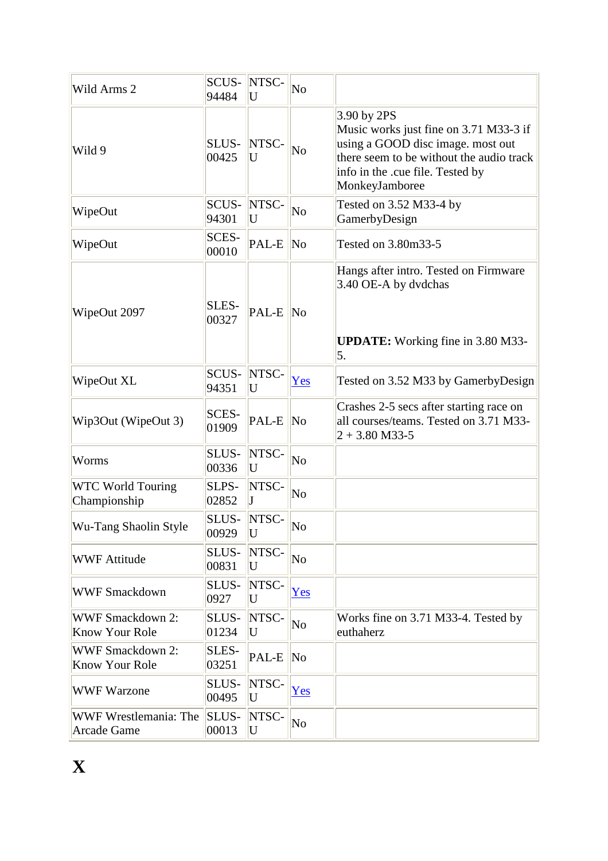| Wild Arms 2                                      | SCUS-<br>94484        | NTSC-<br>U | No                     |                                                                                                                                                                                                |
|--------------------------------------------------|-----------------------|------------|------------------------|------------------------------------------------------------------------------------------------------------------------------------------------------------------------------------------------|
| Wild 9                                           | SLUS-<br>00425        | NTSC-<br>U | No                     | $3.90$ by 2PS<br>Music works just fine on 3.71 M33-3 if<br>using a GOOD disc image. most out<br>there seem to be without the audio track<br>info in the .cue file. Tested by<br>MonkeyJamboree |
| WipeOut                                          | <b>SCUS-</b><br>94301 | NTSC-<br>U | No                     | Tested on 3.52 M33-4 by<br>GamerbyDesign                                                                                                                                                       |
| WipeOut                                          | SCES-<br>00010        | PAL-E      | $\overline{\text{No}}$ | Tested on 3.80m33-5                                                                                                                                                                            |
| WipeOut 2097                                     | SLES-<br>00327        | PAL-E      | $\sqrt{N_0}$           | Hangs after intro. Tested on Firmware<br>3.40 OE-A by dvdchas<br><b>UPDATE:</b> Working fine in 3.80 M33-<br>5.                                                                                |
| WipeOut XL                                       | SCUS-<br>94351        | NTSC-<br>U | Yes                    | Tested on 3.52 M33 by GamerbyDesign                                                                                                                                                            |
| Wip3Out (WipeOut 3)                              | SCES-<br>01909        | PAL-E      | $\overline{\text{No}}$ | Crashes 2-5 secs after starting race on<br>all courses/teams. Tested on 3.71 M33-<br>$ 2 + 3.80 \text{ M}33 - 5 $                                                                              |
| Worms                                            | SLUS-<br>00336        | NTSC-<br>U | No                     |                                                                                                                                                                                                |
| <b>WTC World Touring</b><br>Championship         | SLPS-<br>02852        | NTSC-      | No                     |                                                                                                                                                                                                |
| Wu-Tang Shaolin Style                            | SLUS-<br>00929        | NTSC-<br>U | $\overline{\text{No}}$ |                                                                                                                                                                                                |
| <b>WWF Attitude</b>                              | SLUS-<br>00831        | NTSC-<br>U | No                     |                                                                                                                                                                                                |
| <b>WWF Smackdown</b>                             | SLUS-<br>0927         | NTSC-<br>U | Yes                    |                                                                                                                                                                                                |
| <b>WWF Smackdown 2:</b><br><b>Know Your Role</b> | SLUS-<br>01234        | NTSC-<br>U | No                     | Works fine on 3.71 M33-4. Tested by<br>euthaherz                                                                                                                                               |
| <b>WWF Smackdown 2:</b><br>Know Your Role        | SLES-<br>03251        | PAL-E      | No                     |                                                                                                                                                                                                |
| <b>WWF Warzone</b>                               | SLUS-<br>00495        | NTSC-<br>U | Yes                    |                                                                                                                                                                                                |
| WWF Wrestlemania: The<br><b>Arcade Game</b>      | SLUS-<br>00013        | NTSC-<br>U | No                     |                                                                                                                                                                                                |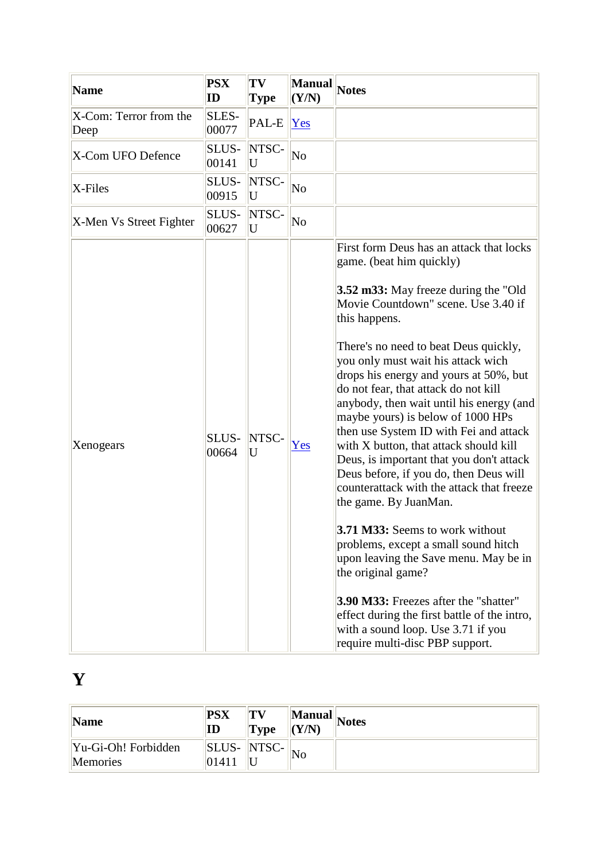| Name                           | <b>PSX</b><br>ID | TV<br><b>Type</b> | <b>Manual</b><br>(Y/N) | <b>Notes</b>                                                                                                                                                                                                                                                                                                                                                                                                                                                                                                                                                                                                                                                                                                                                                                                                                                                                                                                                                                               |
|--------------------------------|------------------|-------------------|------------------------|--------------------------------------------------------------------------------------------------------------------------------------------------------------------------------------------------------------------------------------------------------------------------------------------------------------------------------------------------------------------------------------------------------------------------------------------------------------------------------------------------------------------------------------------------------------------------------------------------------------------------------------------------------------------------------------------------------------------------------------------------------------------------------------------------------------------------------------------------------------------------------------------------------------------------------------------------------------------------------------------|
| X-Com: Terror from the<br>Deep | SLES-<br>00077   | PAL-E             | $\gamma$ es            |                                                                                                                                                                                                                                                                                                                                                                                                                                                                                                                                                                                                                                                                                                                                                                                                                                                                                                                                                                                            |
| X-Com UFO Defence              | SLUS-<br>00141   | NTSC-<br>U        | No                     |                                                                                                                                                                                                                                                                                                                                                                                                                                                                                                                                                                                                                                                                                                                                                                                                                                                                                                                                                                                            |
| $X$ -Files                     | SLUS-<br>00915   | NTSC-<br>U        | No                     |                                                                                                                                                                                                                                                                                                                                                                                                                                                                                                                                                                                                                                                                                                                                                                                                                                                                                                                                                                                            |
| X-Men Vs Street Fighter        | SLUS-<br>00627   | NTSC-<br>U        | No                     |                                                                                                                                                                                                                                                                                                                                                                                                                                                                                                                                                                                                                                                                                                                                                                                                                                                                                                                                                                                            |
| Xenogears                      | SLUS-<br>00664   | NTSC-<br>U        | Yes                    | First form Deus has an attack that locks<br>game. (beat him quickly)<br>3.52 m33: May freeze during the "Old"<br>Movie Countdown" scene. Use 3.40 if<br>this happens.<br>There's no need to beat Deus quickly,<br>you only must wait his attack wich<br>drops his energy and yours at 50%, but<br>do not fear, that attack do not kill<br>anybody, then wait until his energy (and<br>maybe yours) is below of 1000 HPs<br>then use System ID with Fei and attack<br>with X button, that attack should kill<br>Deus, is important that you don't attack<br>Deus before, if you do, then Deus will<br>counterattack with the attack that freeze<br>the game. By JuanMan.<br>3.71 M33: Seems to work without<br>problems, except a small sound hitch<br>upon leaving the Save menu. May be in<br>the original game?<br><b>3.90 M33:</b> Freezes after the "shatter"<br>effect during the first battle of the intro,<br>with a sound loop. Use 3.71 if you<br>require multi-disc PBP support. |

# **Y**

| Name                            | <b>PSX</b><br>ID     | TV<br><b>Type</b>  | $\langle (Y/N) \rangle$ | $\ \mathbf{M}{\mathbf{anual}}\ _{\mathbf{Notes}}$ |
|---------------------------------|----------------------|--------------------|-------------------------|---------------------------------------------------|
| Yu-Gi-Oh! Forbidden<br>Memories | <b>SLUS-</b><br>0141 | $\vert\vert$ NTSC- | 'No                     |                                                   |